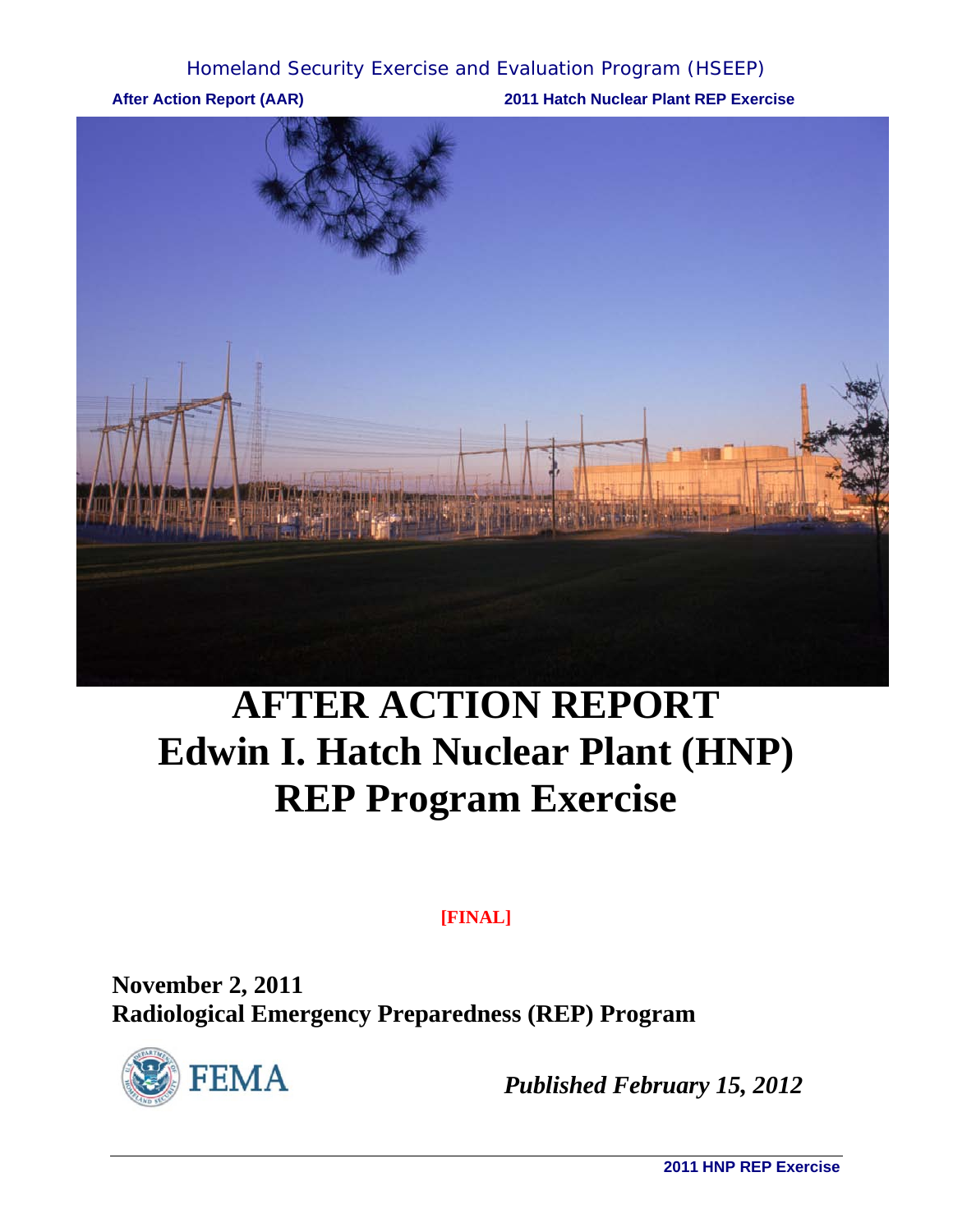**After Action Report (AAR) 2011 Hatch Nuclear Plant REP Exercise**



# **AFTER ACTION REPORT Edwin I. Hatch Nuclear Plant (HNP) REP Program Exercise**

### **[FINAL]**

**November 2, 2011 Radiological Emergency Preparedness (REP) Program** 



*Published February 15, 2012*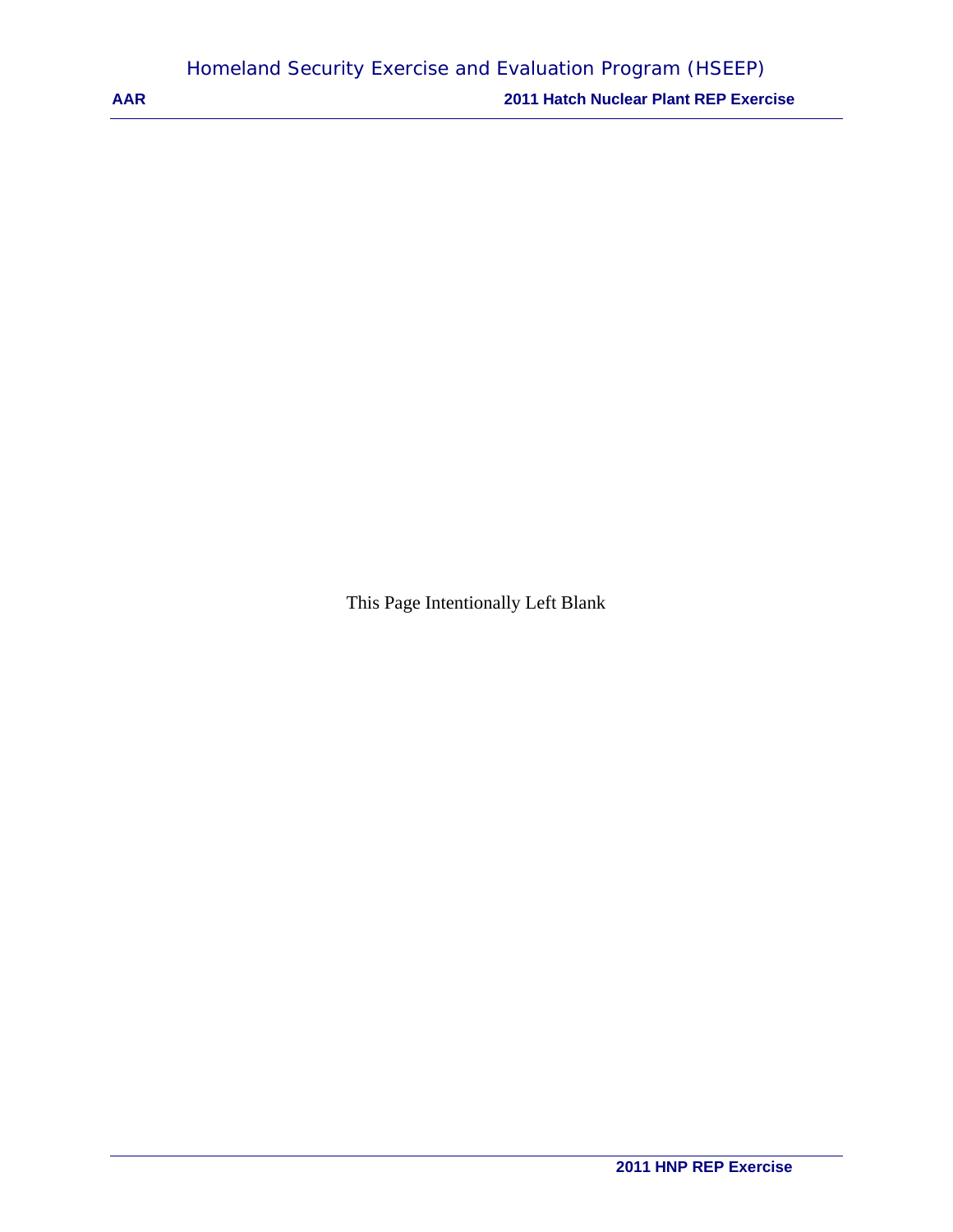This Page Intentionally Left Blank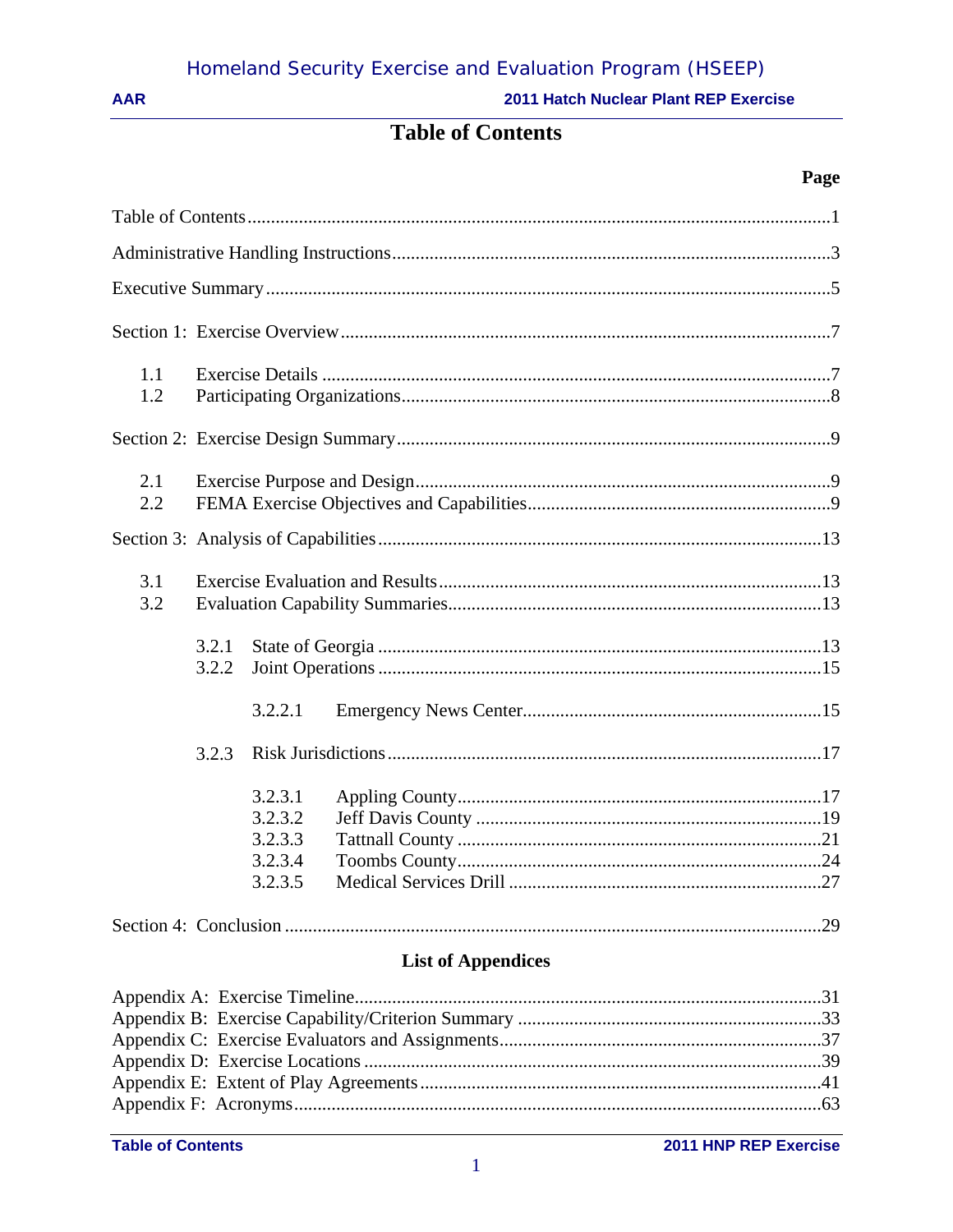2011 Hatch Nuclear Plant REP Exercise

# **Table of Contents**

### Page

| 1.1<br>1.2 |                |                                                     |                           |
|------------|----------------|-----------------------------------------------------|---------------------------|
|            |                |                                                     |                           |
| 2.1<br>2.2 |                |                                                     |                           |
|            |                |                                                     |                           |
| 3.1<br>3.2 |                |                                                     |                           |
|            | 3.2.1<br>3.2.2 |                                                     |                           |
|            |                | 3.2.2.1                                             |                           |
|            | 3.2.3          |                                                     |                           |
|            |                | 3.2.3.1<br>3.2.3.2<br>3.2.3.3<br>3.2.3.4<br>3.2.3.5 |                           |
|            |                |                                                     |                           |
|            |                |                                                     | <b>List of Appendices</b> |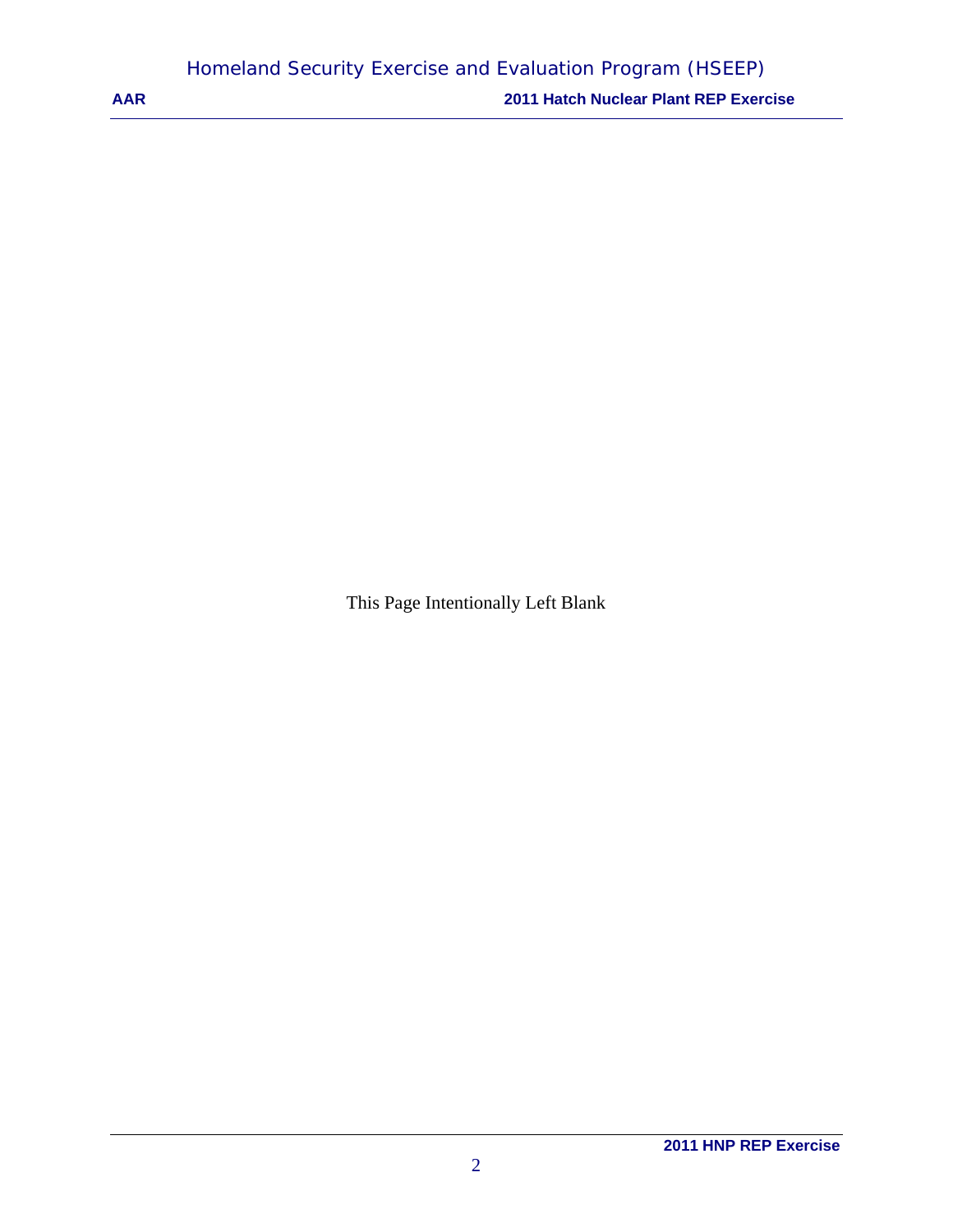This Page Intentionally Left Blank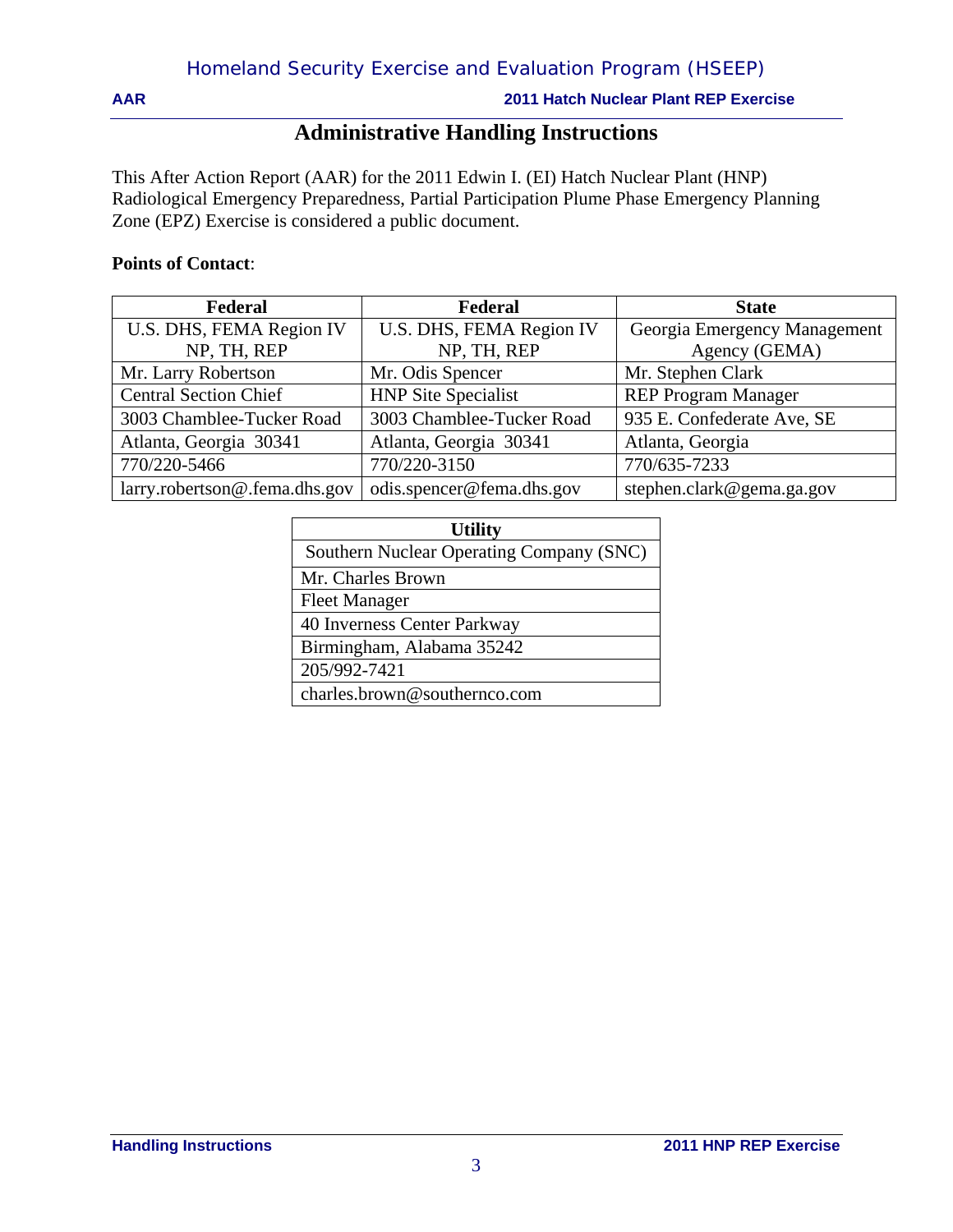# **Administrative Handling Instructions**

This After Action Report (AAR) for the 2011 Edwin I. (EI) Hatch Nuclear Plant (HNP) Radiological Emergency Preparedness, Partial Participation Plume Phase Emergency Planning Zone (EPZ) Exercise is considered a public document.

### **Points of Contact**:

| Federal                       | Federal                    | <b>State</b>                 |
|-------------------------------|----------------------------|------------------------------|
| U.S. DHS, FEMA Region IV      | U.S. DHS, FEMA Region IV   | Georgia Emergency Management |
| NP, TH, REP                   | NP, TH, REP                | Agency (GEMA)                |
| Mr. Larry Robertson           | Mr. Odis Spencer           | Mr. Stephen Clark            |
| <b>Central Section Chief</b>  | <b>HNP Site Specialist</b> | <b>REP Program Manager</b>   |
| 3003 Chamblee-Tucker Road     | 3003 Chamblee-Tucker Road  | 935 E. Confederate Ave, SE   |
| Atlanta, Georgia 30341        | Atlanta, Georgia 30341     | Atlanta, Georgia             |
| 770/220-5466                  | 770/220-3150               | 770/635-7233                 |
| larry.robertson@.fema.dhs.gov | odis.spencer@fema.dhs.gov  | stephen.clark@gema.ga.gov    |

| <b>Utility</b>                           |
|------------------------------------------|
| Southern Nuclear Operating Company (SNC) |
| Mr. Charles Brown                        |
| <b>Fleet Manager</b>                     |
| 40 Inverness Center Parkway              |
| Birmingham, Alabama 35242                |
| 205/992-7421                             |
| charles.brown@southernco.com             |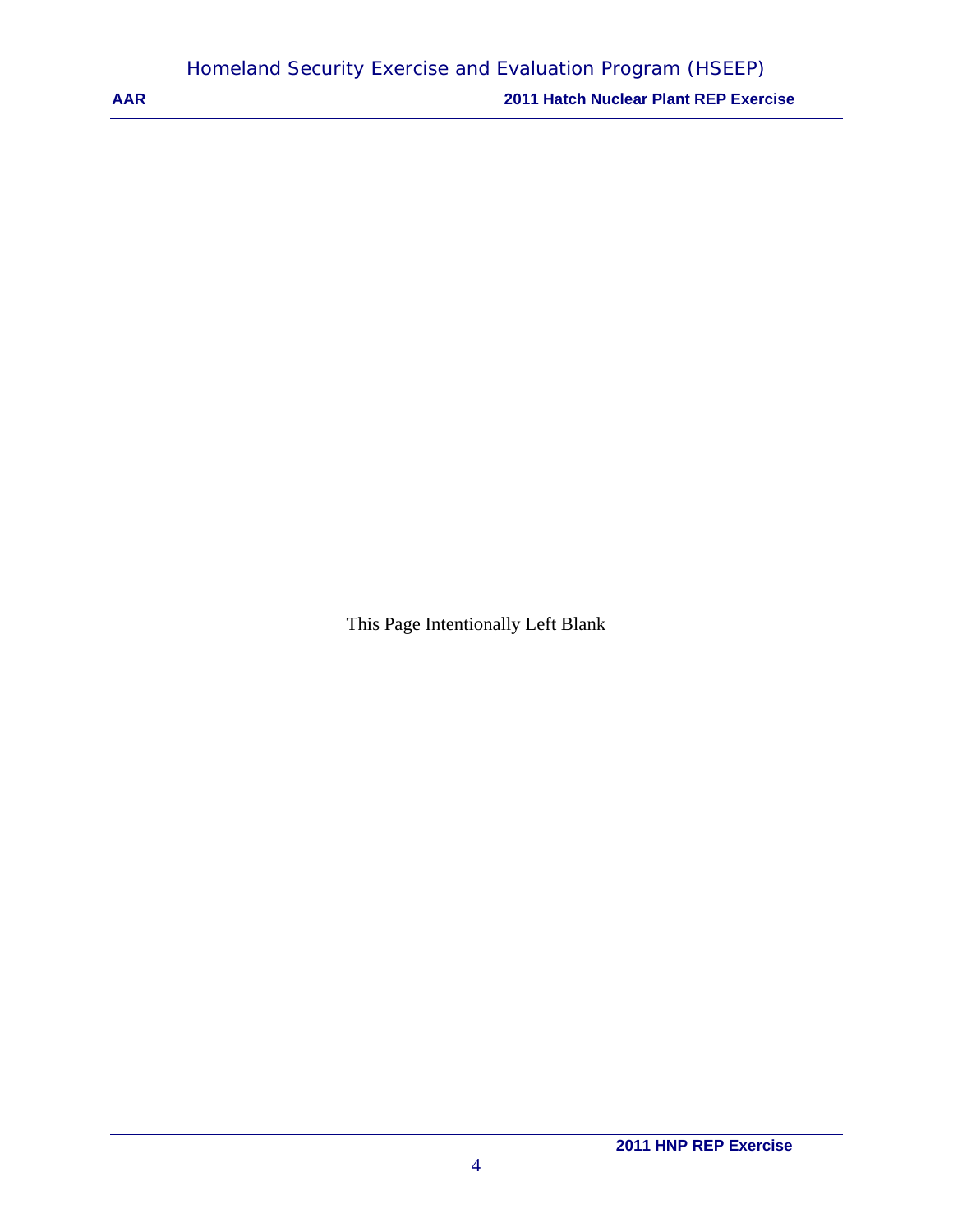This Page Intentionally Left Blank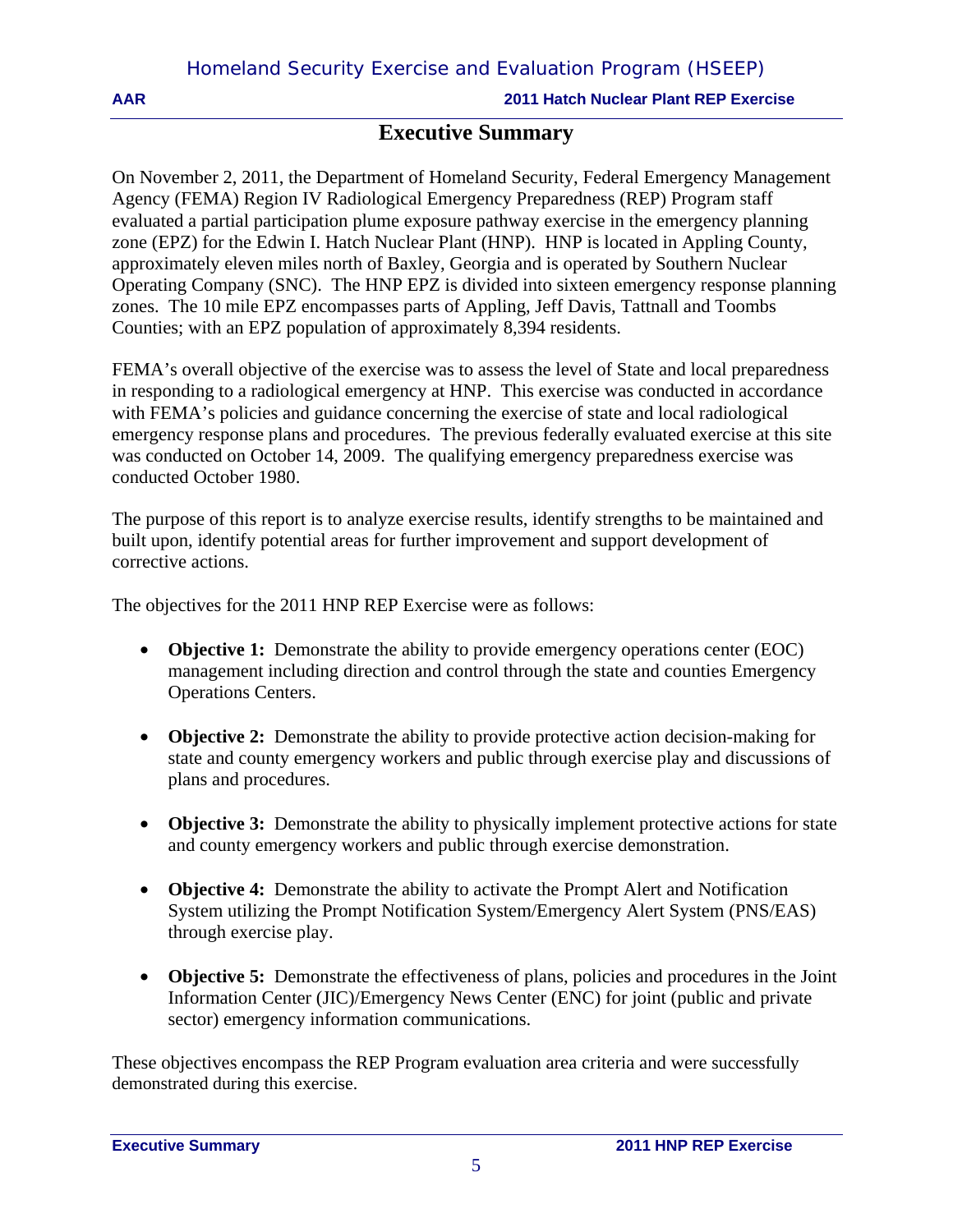## **Executive Summary**

On November 2, 2011, the Department of Homeland Security, Federal Emergency Management Agency (FEMA) Region IV Radiological Emergency Preparedness (REP) Program staff evaluated a partial participation plume exposure pathway exercise in the emergency planning zone (EPZ) for the Edwin I. Hatch Nuclear Plant (HNP). HNP is located in Appling County, approximately eleven miles north of Baxley, Georgia and is operated by Southern Nuclear Operating Company (SNC). The HNP EPZ is divided into sixteen emergency response planning zones. The 10 mile EPZ encompasses parts of Appling, Jeff Davis, Tattnall and Toombs Counties; with an EPZ population of approximately 8,394 residents.

FEMA's overall objective of the exercise was to assess the level of State and local preparedness in responding to a radiological emergency at HNP. This exercise was conducted in accordance with FEMA's policies and guidance concerning the exercise of state and local radiological emergency response plans and procedures. The previous federally evaluated exercise at this site was conducted on October 14, 2009. The qualifying emergency preparedness exercise was conducted October 1980.

The purpose of this report is to analyze exercise results, identify strengths to be maintained and built upon, identify potential areas for further improvement and support development of corrective actions.

The objectives for the 2011 HNP REP Exercise were as follows:

- **Objective 1:** Demonstrate the ability to provide emergency operations center (EOC) management including direction and control through the state and counties Emergency Operations Centers.
- **Objective 2:** Demonstrate the ability to provide protective action decision-making for state and county emergency workers and public through exercise play and discussions of plans and procedures.
- **Objective 3:** Demonstrate the ability to physically implement protective actions for state and county emergency workers and public through exercise demonstration.
- **Objective 4:** Demonstrate the ability to activate the Prompt Alert and Notification System utilizing the Prompt Notification System/Emergency Alert System (PNS/EAS) through exercise play.
- **Objective 5:** Demonstrate the effectiveness of plans, policies and procedures in the Joint Information Center (JIC)/Emergency News Center (ENC) for joint (public and private sector) emergency information communications.

These objectives encompass the REP Program evaluation area criteria and were successfully demonstrated during this exercise.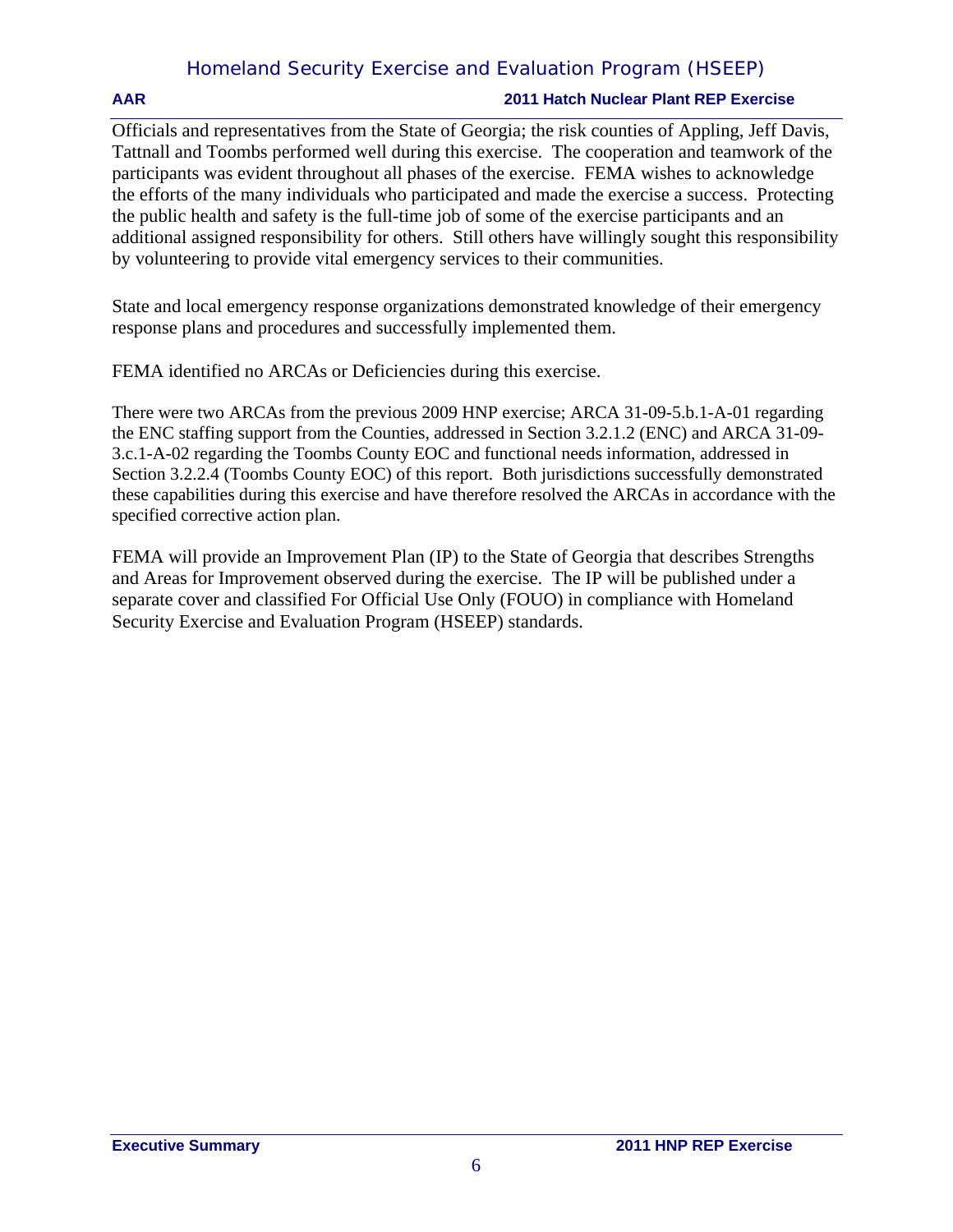### **AAR 2011 Hatch Nuclear Plant REP Exercise**

Officials and representatives from the State of Georgia; the risk counties of Appling, Jeff Davis, Tattnall and Toombs performed well during this exercise. The cooperation and teamwork of the participants was evident throughout all phases of the exercise. FEMA wishes to acknowledge the efforts of the many individuals who participated and made the exercise a success. Protecting the public health and safety is the full-time job of some of the exercise participants and an additional assigned responsibility for others. Still others have willingly sought this responsibility by volunteering to provide vital emergency services to their communities.

State and local emergency response organizations demonstrated knowledge of their emergency response plans and procedures and successfully implemented them.

FEMA identified no ARCAs or Deficiencies during this exercise.

There were two ARCAs from the previous 2009 HNP exercise; ARCA 31-09-5.b.1-A-01 regarding the ENC staffing support from the Counties, addressed in Section 3.2.1.2 (ENC) and ARCA 31-09- 3.c.1-A-02 regarding the Toombs County EOC and functional needs information, addressed in Section 3.2.2.4 (Toombs County EOC) of this report. Both jurisdictions successfully demonstrated these capabilities during this exercise and have therefore resolved the ARCAs in accordance with the specified corrective action plan.

FEMA will provide an Improvement Plan (IP) to the State of Georgia that describes Strengths and Areas for Improvement observed during the exercise. The IP will be published under a separate cover and classified For Official Use Only (FOUO) in compliance with Homeland Security Exercise and Evaluation Program (HSEEP) standards.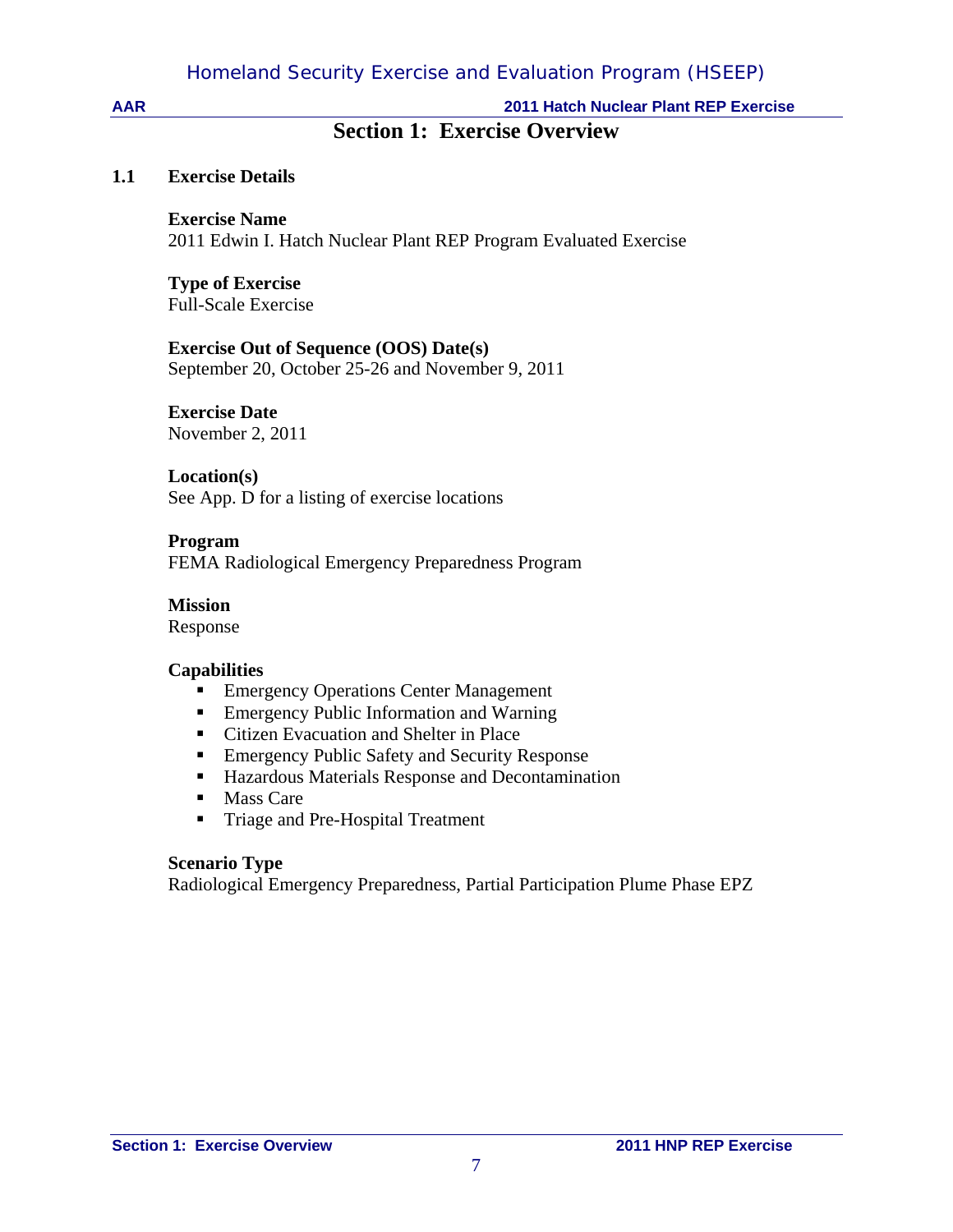**AAR 2011 Hatch Nuclear Plant REP Exercise**

### **Section 1: Exercise Overview**

### **1.1 Exercise Details**

### **Exercise Name**

2011 Edwin I. Hatch Nuclear Plant REP Program Evaluated Exercise

### **Type of Exercise**

Full-Scale Exercise

### **Exercise Out of Sequence (OOS) Date(s)**

September 20, October 25-26 and November 9, 2011

### **Exercise Date**  November 2, 2011

### **Location(s)**  See App. D for a listing of exercise locations

### **Program**

FEMA Radiological Emergency Preparedness Program

### **Mission**

Response

### **Capabilities**

- **Emergency Operations Center Management**
- **Emergency Public Information and Warning**
- **Citizen Evacuation and Shelter in Place**
- Emergency Public Safety and Security Response
- Hazardous Materials Response and Decontamination
- **Mass Care**
- Triage and Pre-Hospital Treatment

### **Scenario Type**

Radiological Emergency Preparedness, Partial Participation Plume Phase EPZ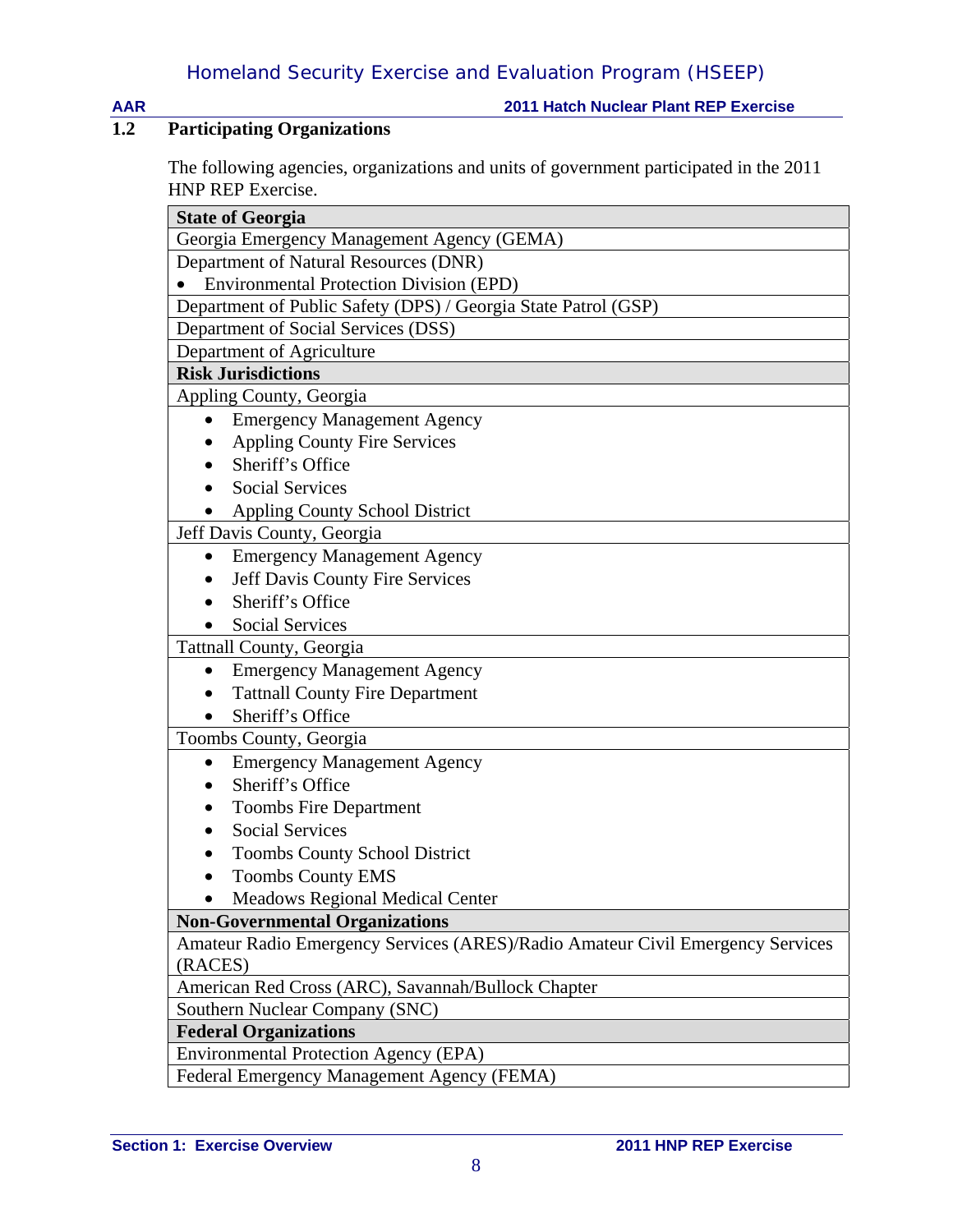**AAR 2011 Hatch Nuclear Plant REP Exercise**

### **1.2 Participating Organizations**

The following agencies, organizations and units of government participated in the 2011 HNP REP Exercise.

| <b>State of Georgia</b>                                                        |  |  |  |  |
|--------------------------------------------------------------------------------|--|--|--|--|
| Georgia Emergency Management Agency (GEMA)                                     |  |  |  |  |
| Department of Natural Resources (DNR)                                          |  |  |  |  |
| <b>Environmental Protection Division (EPD)</b>                                 |  |  |  |  |
| Department of Public Safety (DPS) / Georgia State Patrol (GSP)                 |  |  |  |  |
| Department of Social Services (DSS)                                            |  |  |  |  |
| Department of Agriculture                                                      |  |  |  |  |
| <b>Risk Jurisdictions</b>                                                      |  |  |  |  |
| Appling County, Georgia                                                        |  |  |  |  |
| <b>Emergency Management Agency</b>                                             |  |  |  |  |
| <b>Appling County Fire Services</b>                                            |  |  |  |  |
| Sheriff's Office                                                               |  |  |  |  |
| <b>Social Services</b>                                                         |  |  |  |  |
| <b>Appling County School District</b>                                          |  |  |  |  |
| Jeff Davis County, Georgia                                                     |  |  |  |  |
| <b>Emergency Management Agency</b><br>$\bullet$                                |  |  |  |  |
| Jeff Davis County Fire Services                                                |  |  |  |  |
| Sheriff's Office                                                               |  |  |  |  |
| <b>Social Services</b>                                                         |  |  |  |  |
| <b>Tattnall County, Georgia</b>                                                |  |  |  |  |
| <b>Emergency Management Agency</b><br>$\bullet$                                |  |  |  |  |
| <b>Tattnall County Fire Department</b>                                         |  |  |  |  |
| Sheriff's Office                                                               |  |  |  |  |
| Toombs County, Georgia                                                         |  |  |  |  |
| <b>Emergency Management Agency</b>                                             |  |  |  |  |
| Sheriff's Office                                                               |  |  |  |  |
| <b>Toombs Fire Department</b>                                                  |  |  |  |  |
| <b>Social Services</b>                                                         |  |  |  |  |
| <b>Toombs County School District</b>                                           |  |  |  |  |
| <b>Toombs County EMS</b>                                                       |  |  |  |  |
| <b>Meadows Regional Medical Center</b>                                         |  |  |  |  |
| <b>Non-Governmental Organizations</b>                                          |  |  |  |  |
| Amateur Radio Emergency Services (ARES)/Radio Amateur Civil Emergency Services |  |  |  |  |
| (RACES)                                                                        |  |  |  |  |
| American Red Cross (ARC), Savannah/Bullock Chapter                             |  |  |  |  |
| Southern Nuclear Company (SNC)                                                 |  |  |  |  |
| <b>Federal Organizations</b>                                                   |  |  |  |  |
| <b>Environmental Protection Agency (EPA)</b>                                   |  |  |  |  |
| Federal Emergency Management Agency (FEMA)                                     |  |  |  |  |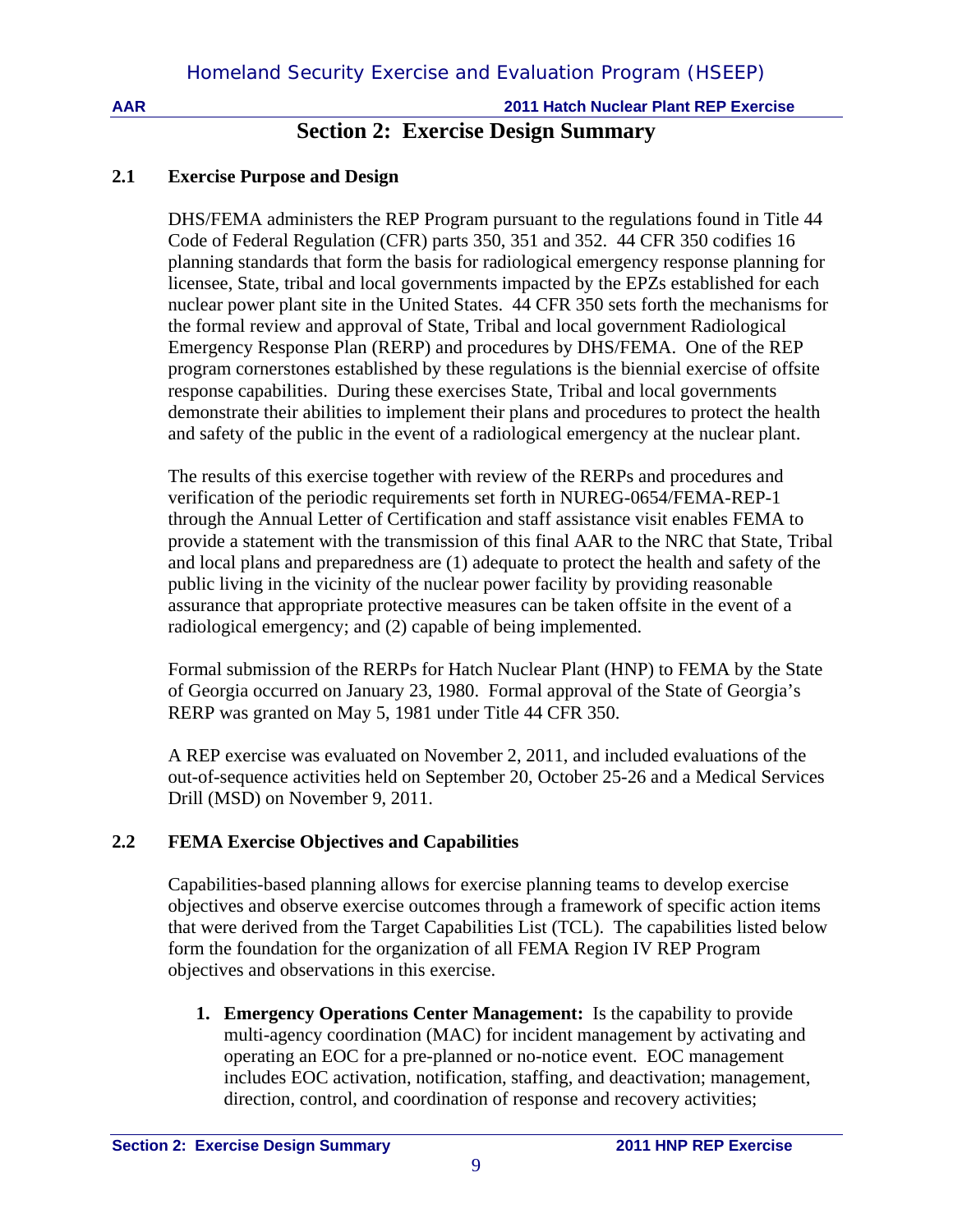# **Section 2: Exercise Design Summary**

### **2.1 Exercise Purpose and Design**

DHS/FEMA administers the REP Program pursuant to the regulations found in Title 44 Code of Federal Regulation (CFR) parts 350, 351 and 352. 44 CFR 350 codifies 16 planning standards that form the basis for radiological emergency response planning for licensee, State, tribal and local governments impacted by the EPZs established for each nuclear power plant site in the United States. 44 CFR 350 sets forth the mechanisms for the formal review and approval of State, Tribal and local government Radiological Emergency Response Plan (RERP) and procedures by DHS/FEMA. One of the REP program cornerstones established by these regulations is the biennial exercise of offsite response capabilities. During these exercises State, Tribal and local governments demonstrate their abilities to implement their plans and procedures to protect the health and safety of the public in the event of a radiological emergency at the nuclear plant.

The results of this exercise together with review of the RERPs and procedures and verification of the periodic requirements set forth in NUREG-0654/FEMA-REP-1 through the Annual Letter of Certification and staff assistance visit enables FEMA to provide a statement with the transmission of this final AAR to the NRC that State, Tribal and local plans and preparedness are (1) adequate to protect the health and safety of the public living in the vicinity of the nuclear power facility by providing reasonable assurance that appropriate protective measures can be taken offsite in the event of a radiological emergency; and (2) capable of being implemented.

Formal submission of the RERPs for Hatch Nuclear Plant (HNP) to FEMA by the State of Georgia occurred on January 23, 1980. Formal approval of the State of Georgia's RERP was granted on May 5, 1981 under Title 44 CFR 350.

A REP exercise was evaluated on November 2, 2011, and included evaluations of the out-of-sequence activities held on September 20, October 25-26 and a Medical Services Drill (MSD) on November 9, 2011.

### **2.2 FEMA Exercise Objectives and Capabilities**

Capabilities-based planning allows for exercise planning teams to develop exercise objectives and observe exercise outcomes through a framework of specific action items that were derived from the Target Capabilities List (TCL). The capabilities listed below form the foundation for the organization of all FEMA Region IV REP Program objectives and observations in this exercise.

**1. Emergency Operations Center Management:** Is the capability to provide multi-agency coordination (MAC) for incident management by activating and operating an EOC for a pre-planned or no-notice event. EOC management includes EOC activation, notification, staffing, and deactivation; management, direction, control, and coordination of response and recovery activities;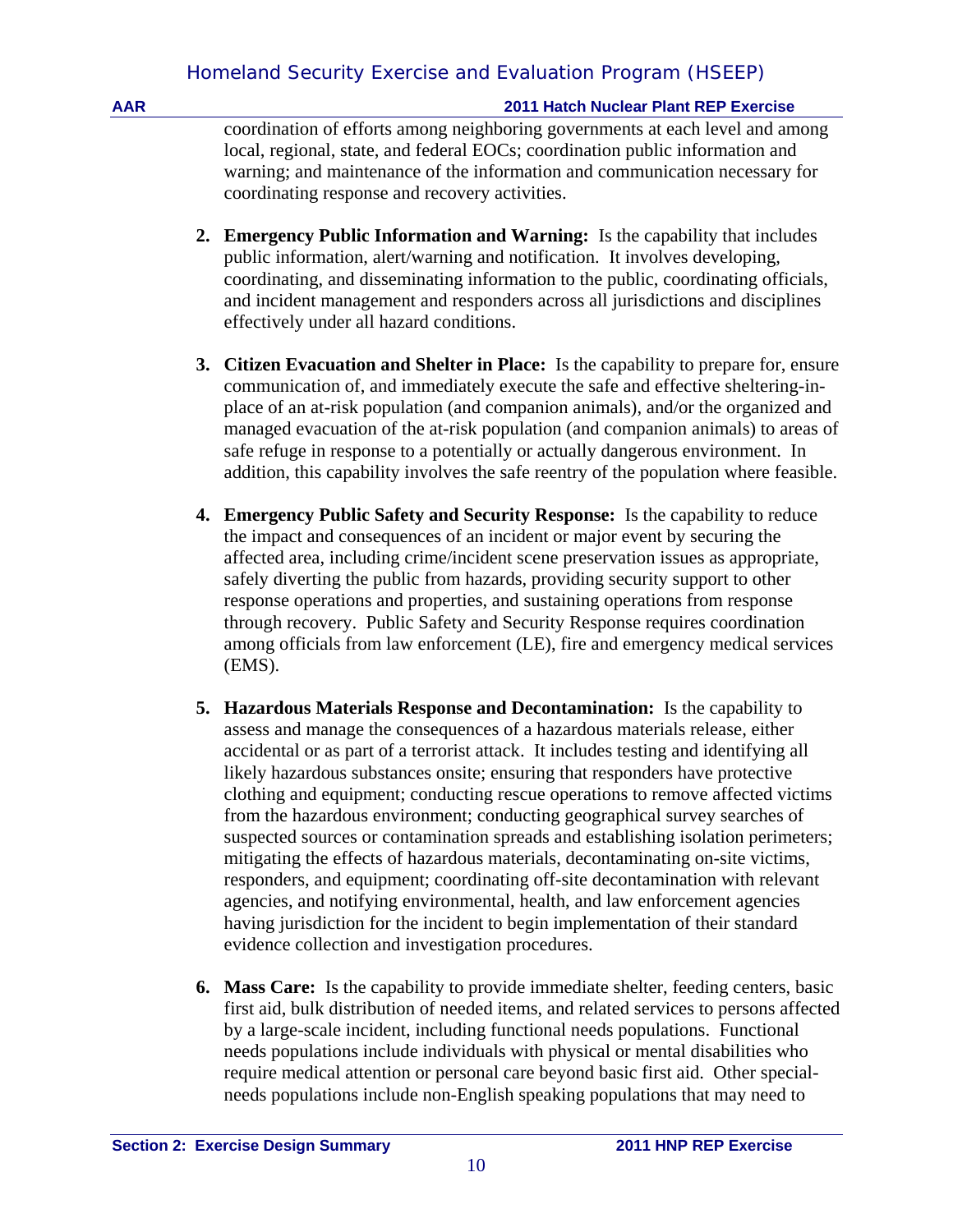**AAR 2011 Hatch Nuclear Plant REP Exercise**

coordination of efforts among neighboring governments at each level and among local, regional, state, and federal EOCs; coordination public information and warning; and maintenance of the information and communication necessary for coordinating response and recovery activities.

- **2. Emergency Public Information and Warning:** Is the capability that includes public information, alert/warning and notification. It involves developing, coordinating, and disseminating information to the public, coordinating officials, and incident management and responders across all jurisdictions and disciplines effectively under all hazard conditions.
- **3. Citizen Evacuation and Shelter in Place:** Is the capability to prepare for, ensure communication of, and immediately execute the safe and effective sheltering-inplace of an at-risk population (and companion animals), and/or the organized and managed evacuation of the at-risk population (and companion animals) to areas of safe refuge in response to a potentially or actually dangerous environment. In addition, this capability involves the safe reentry of the population where feasible.
- **4. Emergency Public Safety and Security Response:** Is the capability to reduce the impact and consequences of an incident or major event by securing the affected area, including crime/incident scene preservation issues as appropriate, safely diverting the public from hazards, providing security support to other response operations and properties, and sustaining operations from response through recovery. Public Safety and Security Response requires coordination among officials from law enforcement (LE), fire and emergency medical services (EMS).
- **5. Hazardous Materials Response and Decontamination:** Is the capability to assess and manage the consequences of a hazardous materials release, either accidental or as part of a terrorist attack. It includes testing and identifying all likely hazardous substances onsite; ensuring that responders have protective clothing and equipment; conducting rescue operations to remove affected victims from the hazardous environment; conducting geographical survey searches of suspected sources or contamination spreads and establishing isolation perimeters; mitigating the effects of hazardous materials, decontaminating on-site victims, responders, and equipment; coordinating off-site decontamination with relevant agencies, and notifying environmental, health, and law enforcement agencies having jurisdiction for the incident to begin implementation of their standard evidence collection and investigation procedures.
- **6. Mass Care:** Is the capability to provide immediate shelter, feeding centers, basic first aid, bulk distribution of needed items, and related services to persons affected by a large-scale incident, including functional needs populations. Functional needs populations include individuals with physical or mental disabilities who require medical attention or personal care beyond basic first aid. Other specialneeds populations include non-English speaking populations that may need to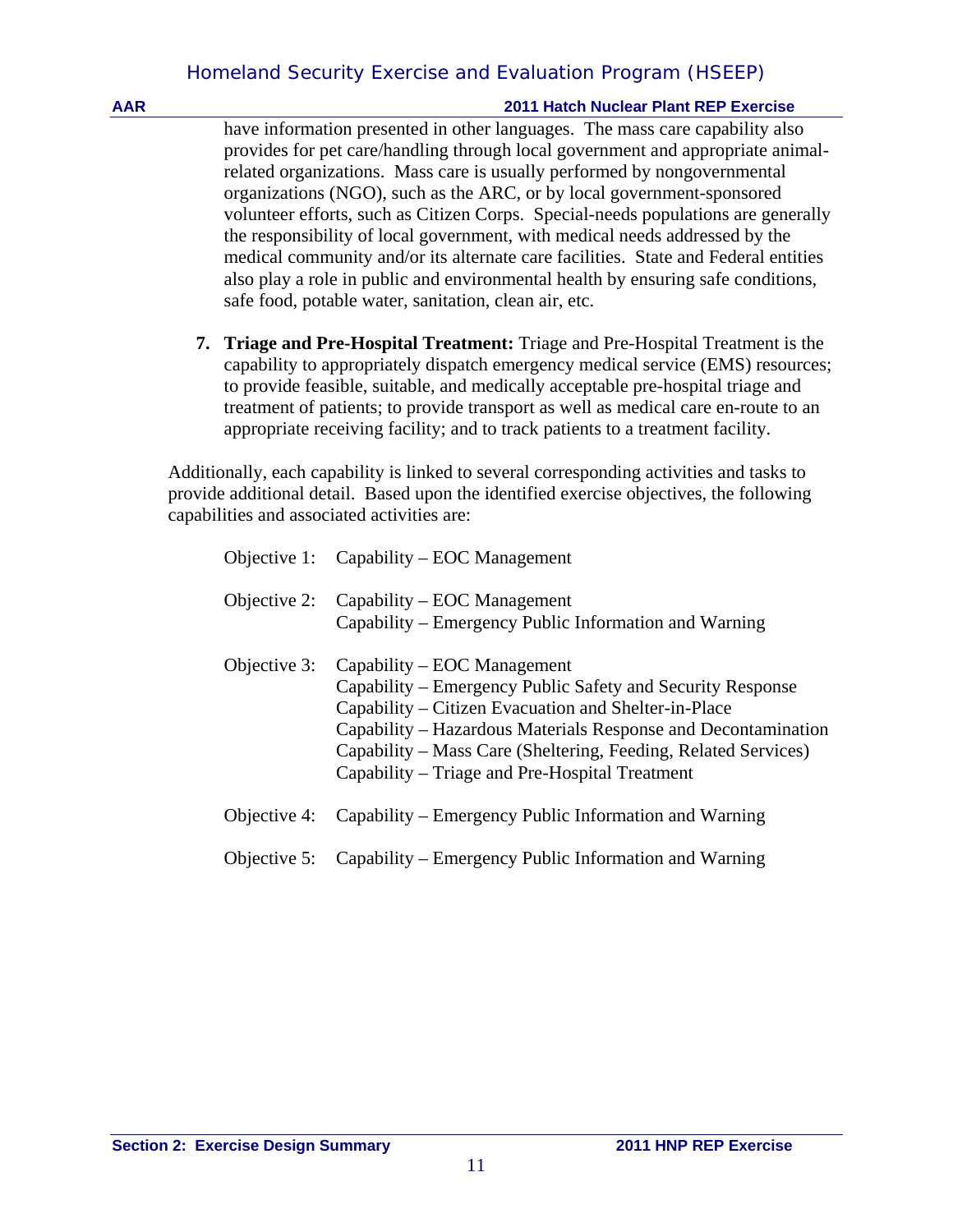### **AAR 2011 Hatch Nuclear Plant REP Exercise**

have information presented in other languages. The mass care capability also provides for pet care/handling through local government and appropriate animalrelated organizations. Mass care is usually performed by nongovernmental organizations (NGO), such as the ARC, or by local government-sponsored volunteer efforts, such as Citizen Corps. Special-needs populations are generally the responsibility of local government, with medical needs addressed by the medical community and/or its alternate care facilities. State and Federal entities also play a role in public and environmental health by ensuring safe conditions, safe food, potable water, sanitation, clean air, etc.

**7. Triage and Pre-Hospital Treatment:** Triage and Pre-Hospital Treatment is the capability to appropriately dispatch emergency medical service (EMS) resources; to provide feasible, suitable, and medically acceptable pre-hospital triage and treatment of patients; to provide transport as well as medical care en-route to an appropriate receiving facility; and to track patients to a treatment facility.

Additionally, each capability is linked to several corresponding activities and tasks to provide additional detail. Based upon the identified exercise objectives, the following capabilities and associated activities are:

|              | Objective 1: Capability – EOC Management                                                                                                                                                                                                                                                                                                 |
|--------------|------------------------------------------------------------------------------------------------------------------------------------------------------------------------------------------------------------------------------------------------------------------------------------------------------------------------------------------|
| Objective 2: | $Capability - EOC$ Management<br>Capability – Emergency Public Information and Warning                                                                                                                                                                                                                                                   |
| Objective 3: | $Capability - EOC$ Management<br>Capability – Emergency Public Safety and Security Response<br>Capability – Citizen Evacuation and Shelter-in-Place<br>Capability – Hazardous Materials Response and Decontamination<br>Capability – Mass Care (Sheltering, Feeding, Related Services)<br>Capability – Triage and Pre-Hospital Treatment |
| Objective 4: | Capability – Emergency Public Information and Warning                                                                                                                                                                                                                                                                                    |
|              | Objective 5: Capability – Emergency Public Information and Warning                                                                                                                                                                                                                                                                       |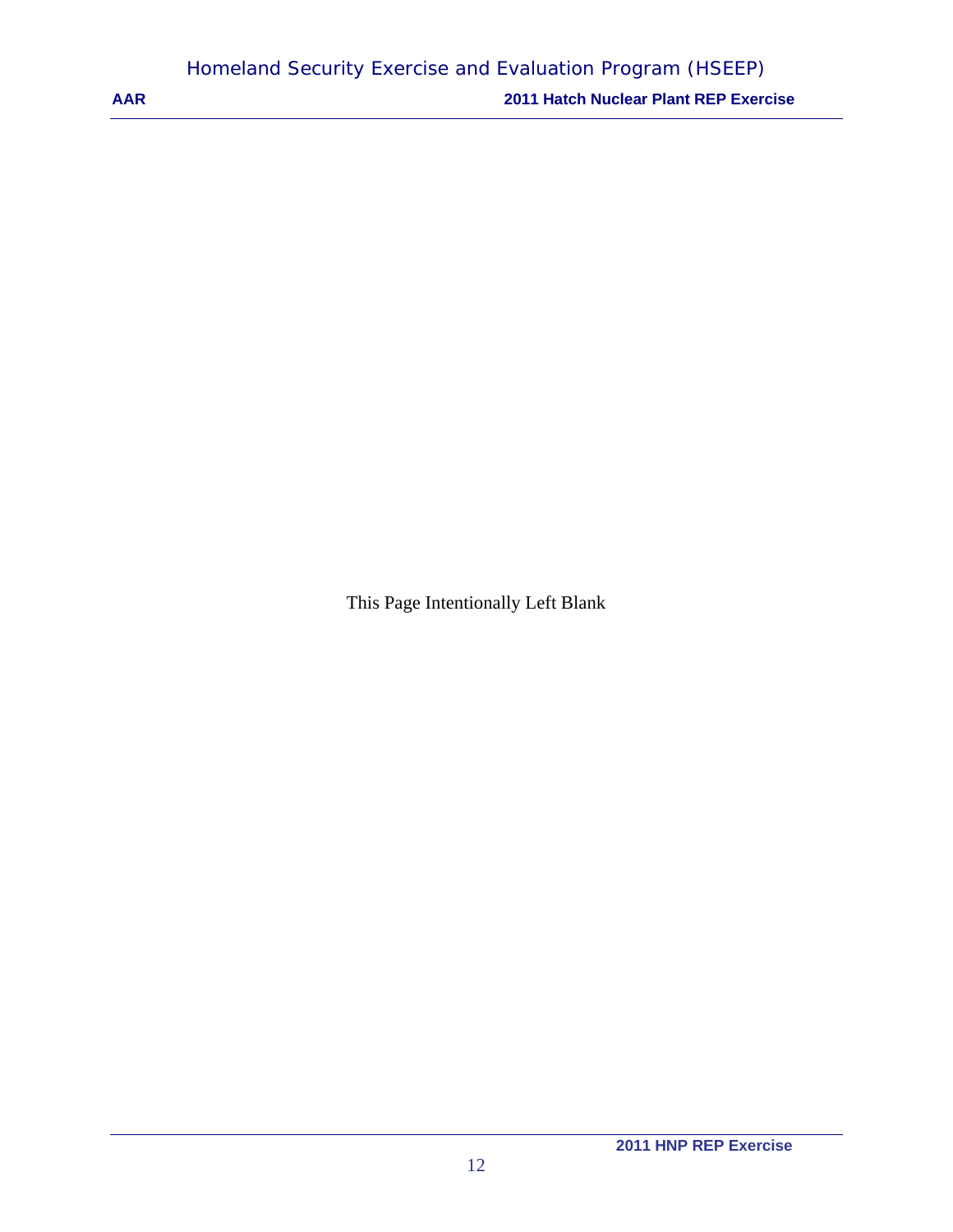This Page Intentionally Left Blank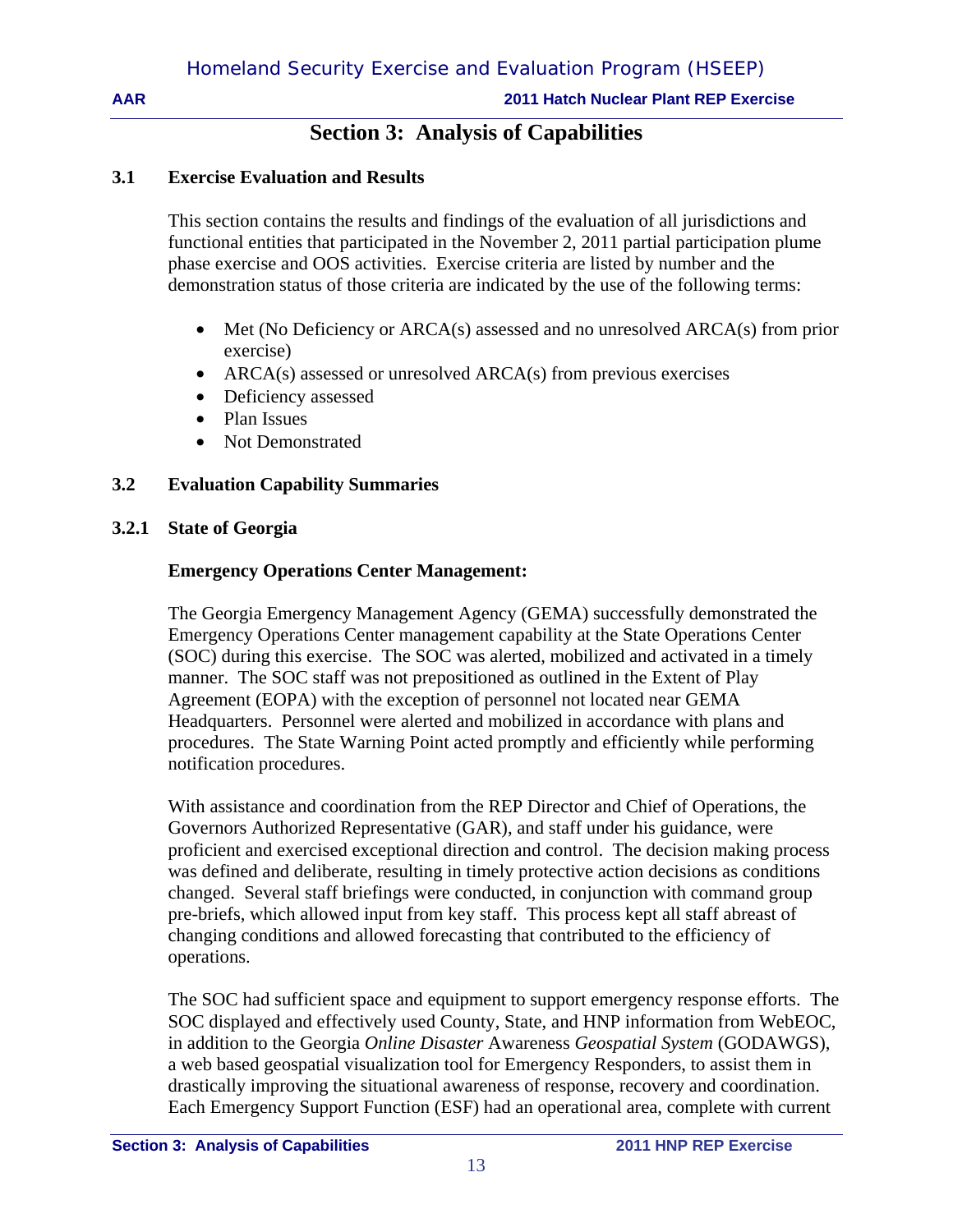### **Section 3: Analysis of Capabilities**

### **3.1 Exercise Evaluation and Results**

This section contains the results and findings of the evaluation of all jurisdictions and functional entities that participated in the November 2, 2011 partial participation plume phase exercise and OOS activities. Exercise criteria are listed by number and the demonstration status of those criteria are indicated by the use of the following terms:

- Met (No Deficiency or ARCA(s) assessed and no unresolved ARCA(s) from prior exercise)
- ARCA(s) assessed or unresolved ARCA(s) from previous exercises
- Deficiency assessed
- Plan Issues
- Not Demonstrated

### **3.2 Evaluation Capability Summaries**

### **3.2.1 State of Georgia**

### **Emergency Operations Center Management:**

The Georgia Emergency Management Agency (GEMA) successfully demonstrated the Emergency Operations Center management capability at the State Operations Center (SOC) during this exercise. The SOC was alerted, mobilized and activated in a timely manner. The SOC staff was not prepositioned as outlined in the Extent of Play Agreement (EOPA) with the exception of personnel not located near GEMA Headquarters. Personnel were alerted and mobilized in accordance with plans and procedures. The State Warning Point acted promptly and efficiently while performing notification procedures.

With assistance and coordination from the REP Director and Chief of Operations, the Governors Authorized Representative (GAR), and staff under his guidance, were proficient and exercised exceptional direction and control. The decision making process was defined and deliberate, resulting in timely protective action decisions as conditions changed. Several staff briefings were conducted, in conjunction with command group pre-briefs, which allowed input from key staff. This process kept all staff abreast of changing conditions and allowed forecasting that contributed to the efficiency of operations.

The SOC had sufficient space and equipment to support emergency response efforts. The SOC displayed and effectively used County, State, and HNP information from WebEOC, in addition to the Georgia *Online Disaster* Awareness *Geospatial System* (GODAWGS), a web based geospatial visualization tool for Emergency Responders, to assist them in drastically improving the situational awareness of response, recovery and coordination. Each Emergency Support Function (ESF) had an operational area, complete with current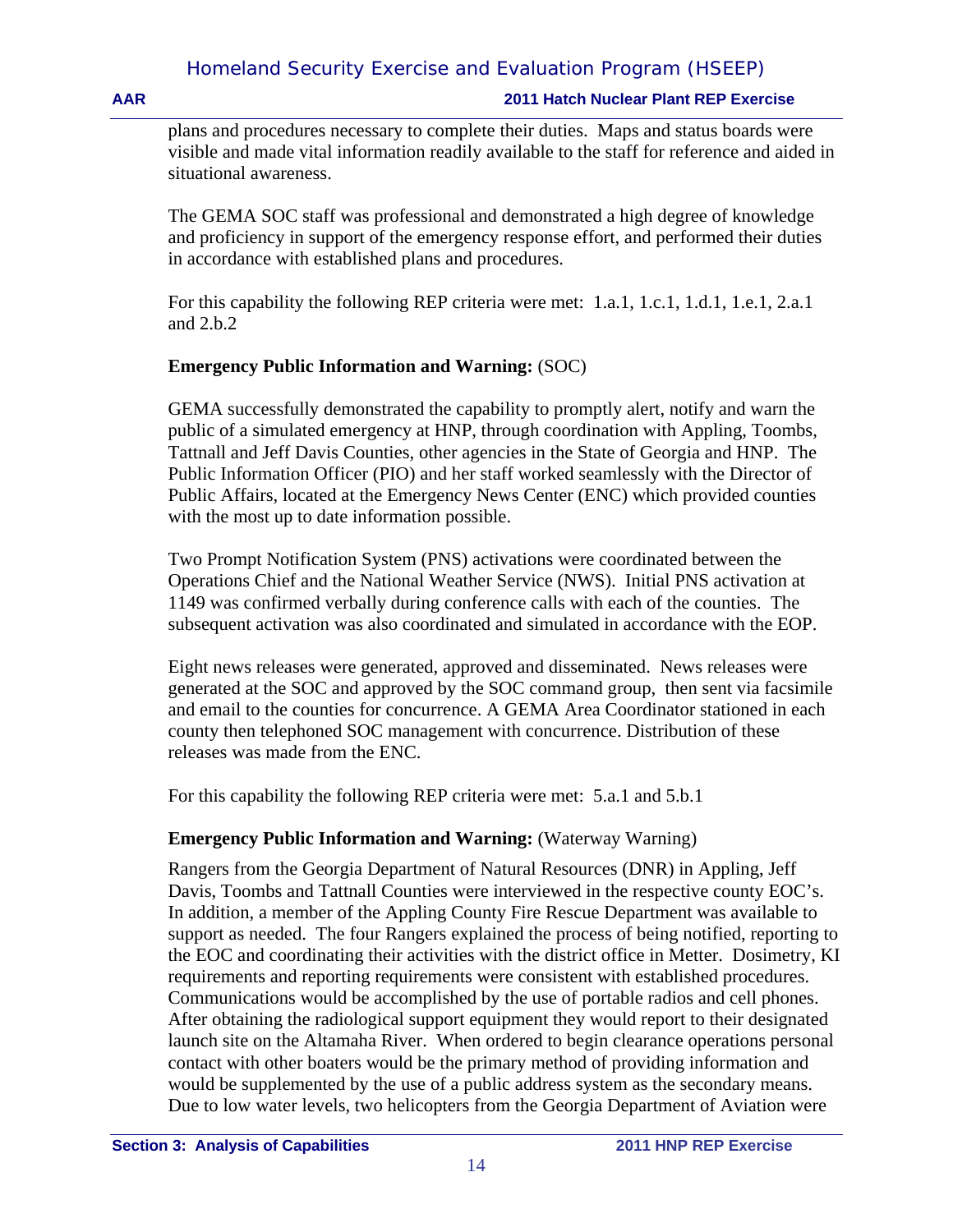**AAR 2011 Hatch Nuclear Plant REP Exercise**

plans and procedures necessary to complete their duties. Maps and status boards were visible and made vital information readily available to the staff for reference and aided in situational awareness.

The GEMA SOC staff was professional and demonstrated a high degree of knowledge and proficiency in support of the emergency response effort, and performed their duties in accordance with established plans and procedures.

For this capability the following REP criteria were met: 1.a.1, 1.c.1, 1.d.1, 1.e.1, 2.a.1 and 2.b.2

### **Emergency Public Information and Warning:** (SOC)

GEMA successfully demonstrated the capability to promptly alert, notify and warn the public of a simulated emergency at HNP, through coordination with Appling, Toombs, Tattnall and Jeff Davis Counties, other agencies in the State of Georgia and HNP. The Public Information Officer (PIO) and her staff worked seamlessly with the Director of Public Affairs, located at the Emergency News Center (ENC) which provided counties with the most up to date information possible.

Two Prompt Notification System (PNS) activations were coordinated between the Operations Chief and the National Weather Service (NWS). Initial PNS activation at 1149 was confirmed verbally during conference calls with each of the counties. The subsequent activation was also coordinated and simulated in accordance with the EOP.

Eight news releases were generated, approved and disseminated. News releases were generated at the SOC and approved by the SOC command group, then sent via facsimile and email to the counties for concurrence. A GEMA Area Coordinator stationed in each county then telephoned SOC management with concurrence. Distribution of these releases was made from the ENC.

For this capability the following REP criteria were met: 5.a.1 and 5.b.1

### **Emergency Public Information and Warning: (Waterway Warning)**

Rangers from the Georgia Department of Natural Resources (DNR) in Appling, Jeff Davis, Toombs and Tattnall Counties were interviewed in the respective county EOC's. In addition, a member of the Appling County Fire Rescue Department was available to support as needed. The four Rangers explained the process of being notified, reporting to the EOC and coordinating their activities with the district office in Metter. Dosimetry, KI requirements and reporting requirements were consistent with established procedures. Communications would be accomplished by the use of portable radios and cell phones. After obtaining the radiological support equipment they would report to their designated launch site on the Altamaha River. When ordered to begin clearance operations personal contact with other boaters would be the primary method of providing information and would be supplemented by the use of a public address system as the secondary means. Due to low water levels, two helicopters from the Georgia Department of Aviation were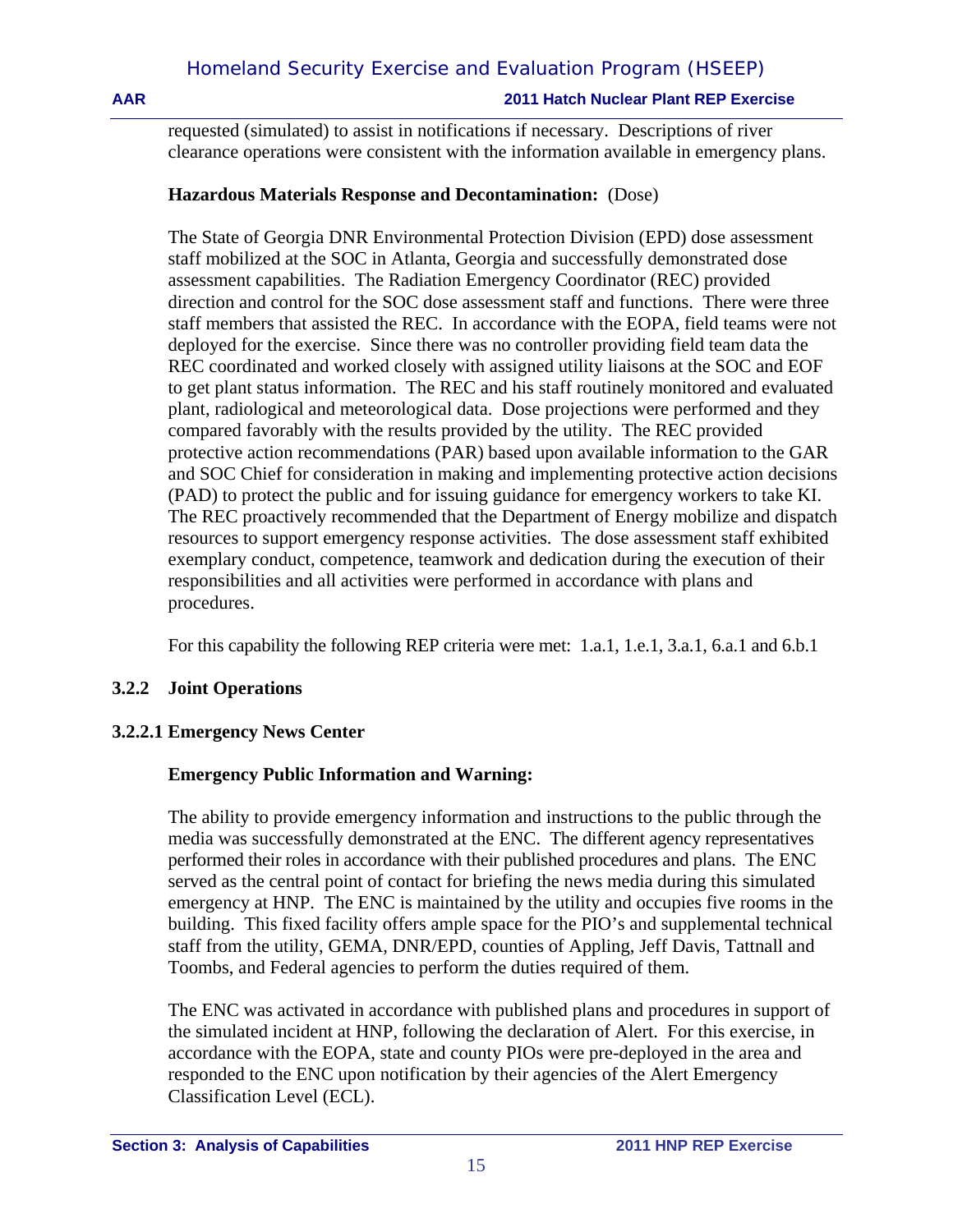### **AAR 2011 Hatch Nuclear Plant REP Exercise**

requested (simulated) to assist in notifications if necessary. Descriptions of river clearance operations were consistent with the information available in emergency plans.

### **Hazardous Materials Response and Decontamination:** (Dose)

The State of Georgia DNR Environmental Protection Division (EPD) dose assessment staff mobilized at the SOC in Atlanta, Georgia and successfully demonstrated dose assessment capabilities. The Radiation Emergency Coordinator (REC) provided direction and control for the SOC dose assessment staff and functions. There were three staff members that assisted the REC. In accordance with the EOPA, field teams were not deployed for the exercise. Since there was no controller providing field team data the REC coordinated and worked closely with assigned utility liaisons at the SOC and EOF to get plant status information. The REC and his staff routinely monitored and evaluated plant, radiological and meteorological data. Dose projections were performed and they compared favorably with the results provided by the utility. The REC provided protective action recommendations (PAR) based upon available information to the GAR and SOC Chief for consideration in making and implementing protective action decisions (PAD) to protect the public and for issuing guidance for emergency workers to take KI. The REC proactively recommended that the Department of Energy mobilize and dispatch resources to support emergency response activities. The dose assessment staff exhibited exemplary conduct, competence, teamwork and dedication during the execution of their responsibilities and all activities were performed in accordance with plans and procedures.

For this capability the following REP criteria were met: 1.a.1, 1.e.1, 3.a.1, 6.a.1 and 6.b.1

### **3.2.2 Joint Operations**

### **3.2.2.1 Emergency News Center**

### **Emergency Public Information and Warning:**

The ability to provide emergency information and instructions to the public through the media was successfully demonstrated at the ENC. The different agency representatives performed their roles in accordance with their published procedures and plans. The ENC served as the central point of contact for briefing the news media during this simulated emergency at HNP. The ENC is maintained by the utility and occupies five rooms in the building. This fixed facility offers ample space for the PIO's and supplemental technical staff from the utility, GEMA, DNR/EPD, counties of Appling, Jeff Davis, Tattnall and Toombs, and Federal agencies to perform the duties required of them.

The ENC was activated in accordance with published plans and procedures in support of the simulated incident at HNP, following the declaration of Alert. For this exercise, in accordance with the EOPA, state and county PIOs were pre-deployed in the area and responded to the ENC upon notification by their agencies of the Alert Emergency Classification Level (ECL).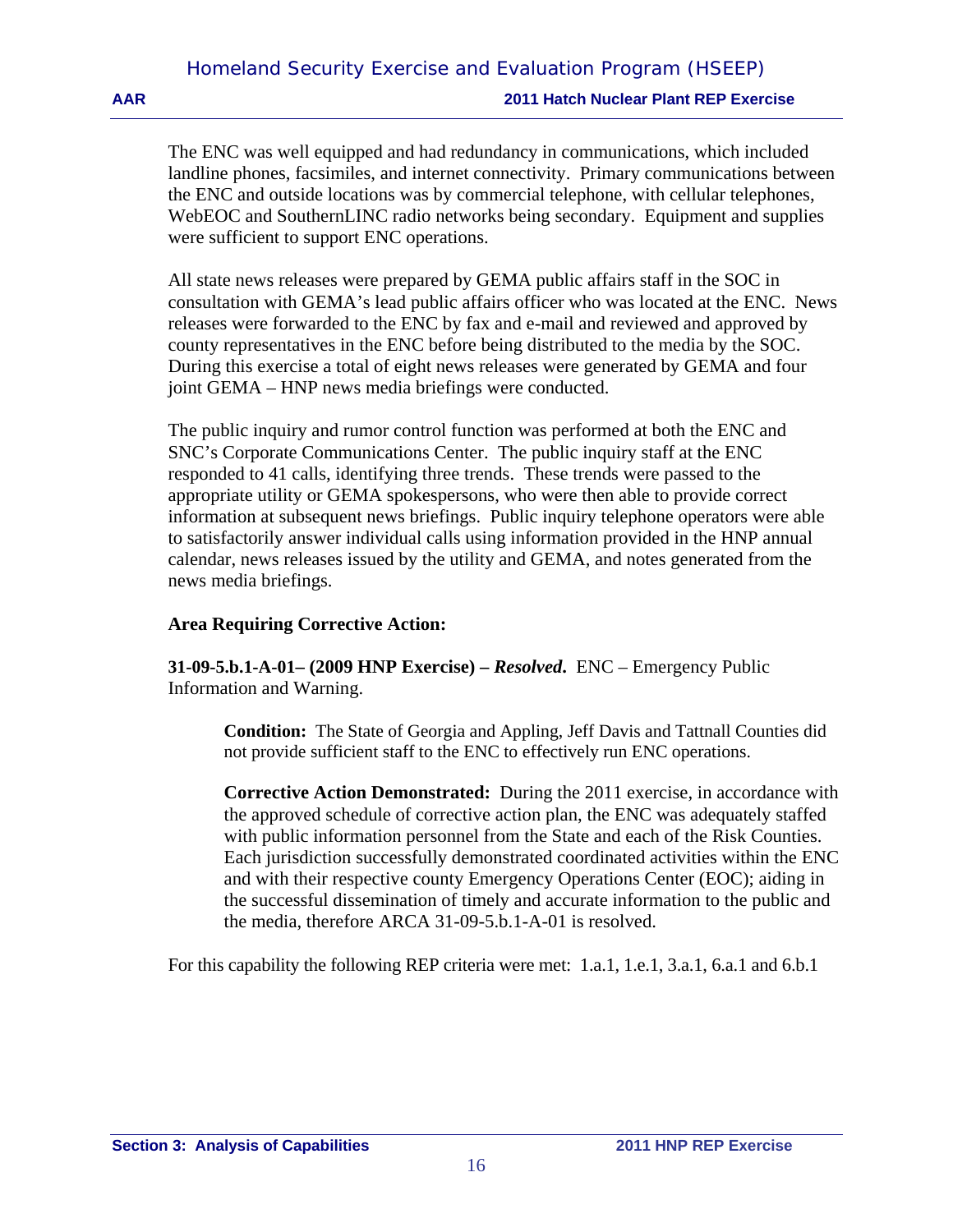The ENC was well equipped and had redundancy in communications, which included landline phones, facsimiles, and internet connectivity. Primary communications between the ENC and outside locations was by commercial telephone, with cellular telephones, WebEOC and SouthernLINC radio networks being secondary. Equipment and supplies were sufficient to support ENC operations.

All state news releases were prepared by GEMA public affairs staff in the SOC in consultation with GEMA's lead public affairs officer who was located at the ENC. News releases were forwarded to the ENC by fax and e-mail and reviewed and approved by county representatives in the ENC before being distributed to the media by the SOC. During this exercise a total of eight news releases were generated by GEMA and four joint GEMA – HNP news media briefings were conducted.

The public inquiry and rumor control function was performed at both the ENC and SNC's Corporate Communications Center. The public inquiry staff at the ENC responded to 41 calls, identifying three trends. These trends were passed to the appropriate utility or GEMA spokespersons, who were then able to provide correct information at subsequent news briefings. Public inquiry telephone operators were able to satisfactorily answer individual calls using information provided in the HNP annual calendar, news releases issued by the utility and GEMA, and notes generated from the news media briefings.

### **Area Requiring Corrective Action:**

**31-09-5.b.1-A-01– (2009 HNP Exercise) –** *Resolved***.** ENC – Emergency Public Information and Warning.

**Condition:** The State of Georgia and Appling, Jeff Davis and Tattnall Counties did not provide sufficient staff to the ENC to effectively run ENC operations.

**Corrective Action Demonstrated:** During the 2011 exercise, in accordance with the approved schedule of corrective action plan, the ENC was adequately staffed with public information personnel from the State and each of the Risk Counties. Each jurisdiction successfully demonstrated coordinated activities within the ENC and with their respective county Emergency Operations Center (EOC); aiding in the successful dissemination of timely and accurate information to the public and the media, therefore ARCA 31-09-5.b.1-A-01 is resolved.

For this capability the following REP criteria were met: 1.a.1, 1.e.1, 3.a.1, 6.a.1 and 6.b.1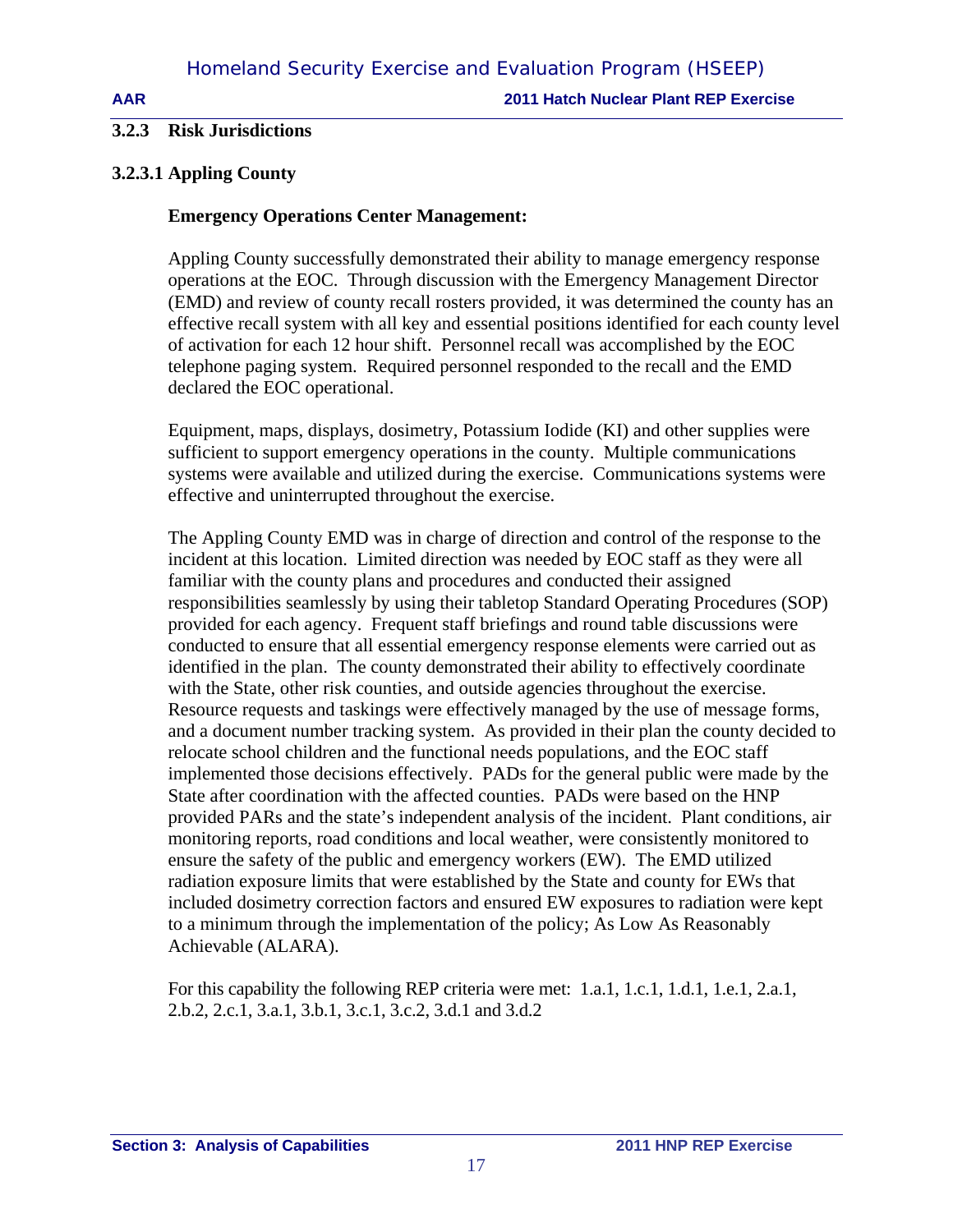### **3.2.3 Risk Jurisdictions**

### **3.2.3.1 Appling County**

### **Emergency Operations Center Management:**

Appling County successfully demonstrated their ability to manage emergency response operations at the EOC. Through discussion with the Emergency Management Director (EMD) and review of county recall rosters provided, it was determined the county has an effective recall system with all key and essential positions identified for each county level of activation for each 12 hour shift. Personnel recall was accomplished by the EOC telephone paging system. Required personnel responded to the recall and the EMD declared the EOC operational.

Equipment, maps, displays, dosimetry, Potassium Iodide (KI) and other supplies were sufficient to support emergency operations in the county. Multiple communications systems were available and utilized during the exercise. Communications systems were effective and uninterrupted throughout the exercise.

The Appling County EMD was in charge of direction and control of the response to the incident at this location. Limited direction was needed by EOC staff as they were all familiar with the county plans and procedures and conducted their assigned responsibilities seamlessly by using their tabletop Standard Operating Procedures (SOP) provided for each agency. Frequent staff briefings and round table discussions were conducted to ensure that all essential emergency response elements were carried out as identified in the plan. The county demonstrated their ability to effectively coordinate with the State, other risk counties, and outside agencies throughout the exercise. Resource requests and taskings were effectively managed by the use of message forms, and a document number tracking system. As provided in their plan the county decided to relocate school children and the functional needs populations, and the EOC staff implemented those decisions effectively. PADs for the general public were made by the State after coordination with the affected counties. PADs were based on the HNP provided PARs and the state's independent analysis of the incident. Plant conditions, air monitoring reports, road conditions and local weather, were consistently monitored to ensure the safety of the public and emergency workers (EW). The EMD utilized radiation exposure limits that were established by the State and county for EWs that included dosimetry correction factors and ensured EW exposures to radiation were kept to a minimum through the implementation of the policy; As Low As Reasonably Achievable (ALARA).

For this capability the following REP criteria were met: 1.a.1, 1.c.1, 1.d.1, 1.e.1, 2.a.1, 2.b.2, 2.c.1, 3.a.1, 3.b.1, 3.c.1, 3.c.2, 3.d.1 and 3.d.2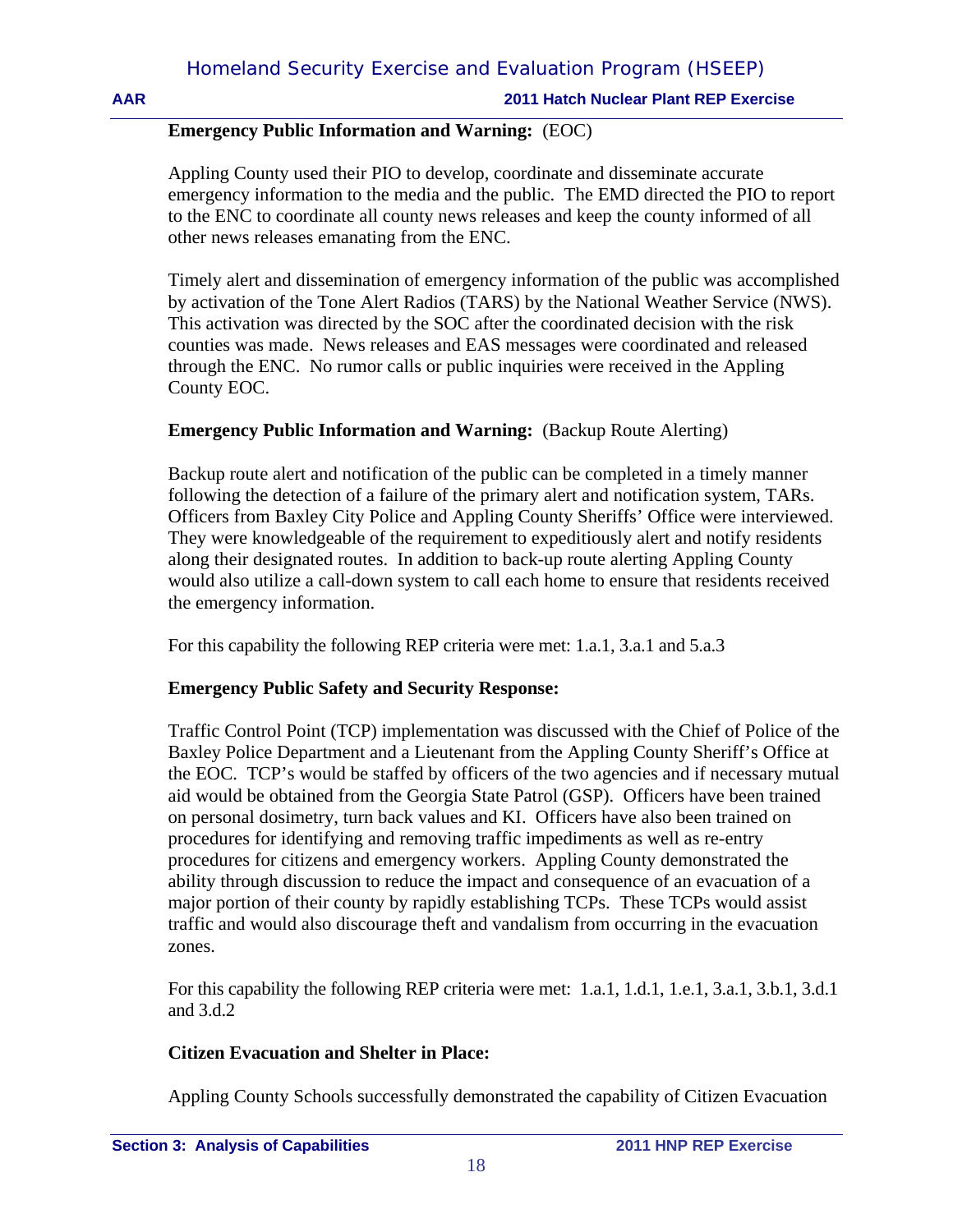### **Emergency Public Information and Warning:** (EOC)

Appling County used their PIO to develop, coordinate and disseminate accurate emergency information to the media and the public. The EMD directed the PIO to report to the ENC to coordinate all county news releases and keep the county informed of all other news releases emanating from the ENC.

Timely alert and dissemination of emergency information of the public was accomplished by activation of the Tone Alert Radios (TARS) by the National Weather Service (NWS). This activation was directed by the SOC after the coordinated decision with the risk counties was made. News releases and EAS messages were coordinated and released through the ENC. No rumor calls or public inquiries were received in the Appling County EOC.

### **Emergency Public Information and Warning:** (Backup Route Alerting)

Backup route alert and notification of the public can be completed in a timely manner following the detection of a failure of the primary alert and notification system, TARs. Officers from Baxley City Police and Appling County Sheriffs' Office were interviewed. They were knowledgeable of the requirement to expeditiously alert and notify residents along their designated routes. In addition to back-up route alerting Appling County would also utilize a call-down system to call each home to ensure that residents received the emergency information.

For this capability the following REP criteria were met: 1.a.1, 3.a.1 and 5.a.3

### **Emergency Public Safety and Security Response:**

Traffic Control Point (TCP) implementation was discussed with the Chief of Police of the Baxley Police Department and a Lieutenant from the Appling County Sheriff's Office at the EOC. TCP's would be staffed by officers of the two agencies and if necessary mutual aid would be obtained from the Georgia State Patrol (GSP). Officers have been trained on personal dosimetry, turn back values and KI. Officers have also been trained on procedures for identifying and removing traffic impediments as well as re-entry procedures for citizens and emergency workers. Appling County demonstrated the ability through discussion to reduce the impact and consequence of an evacuation of a major portion of their county by rapidly establishing TCPs. These TCPs would assist traffic and would also discourage theft and vandalism from occurring in the evacuation zones.

For this capability the following REP criteria were met: 1.a.1, 1.d.1, 1.e.1, 3.a.1, 3.b.1, 3.d.1 and 3.d.2

### **Citizen Evacuation and Shelter in Place:**

Appling County Schools successfully demonstrated the capability of Citizen Evacuation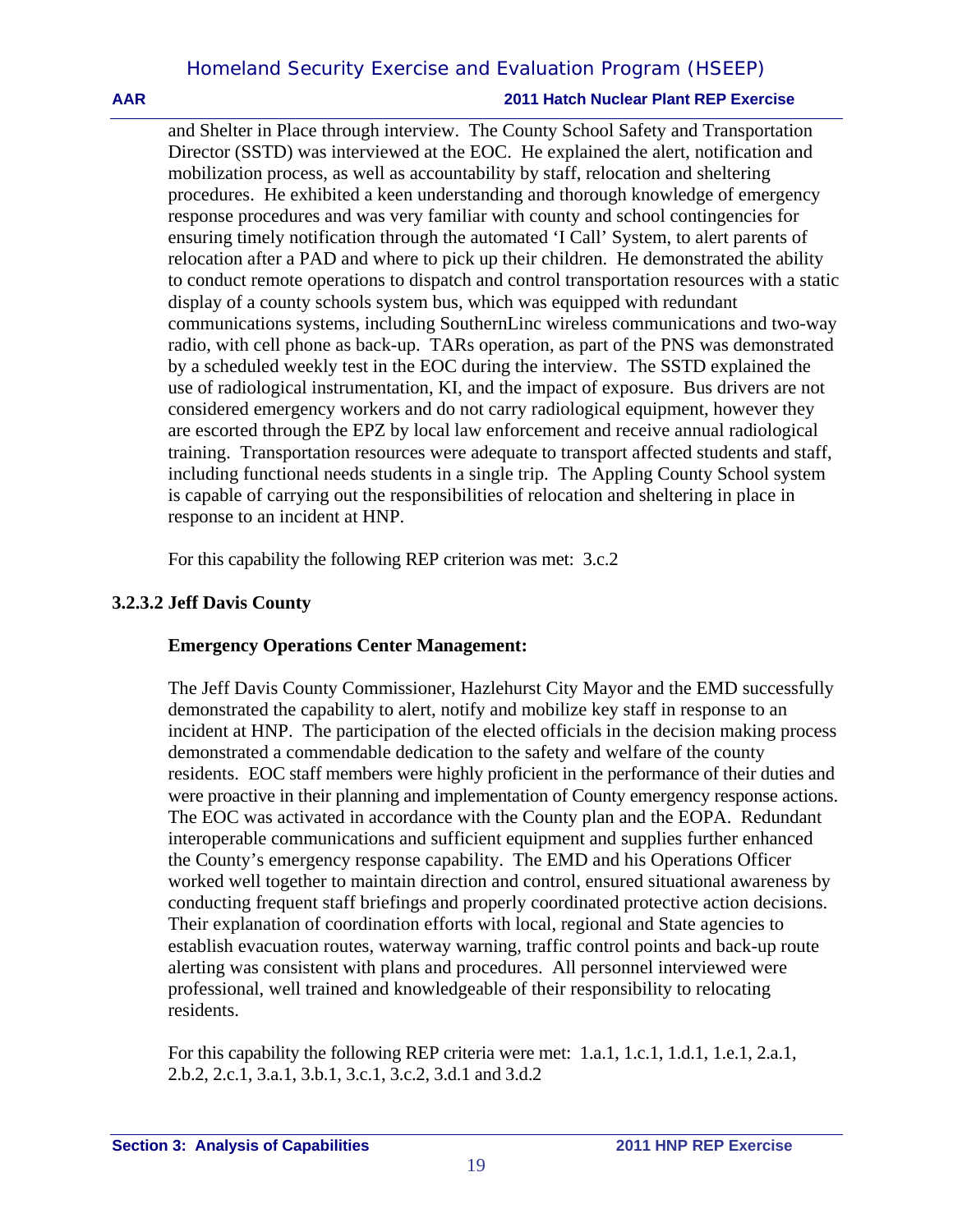### **AAR 2011 Hatch Nuclear Plant REP Exercise**

and Shelter in Place through interview. The County School Safety and Transportation Director (SSTD) was interviewed at the EOC. He explained the alert, notification and mobilization process, as well as accountability by staff, relocation and sheltering procedures. He exhibited a keen understanding and thorough knowledge of emergency response procedures and was very familiar with county and school contingencies for ensuring timely notification through the automated 'I Call' System, to alert parents of relocation after a PAD and where to pick up their children. He demonstrated the ability to conduct remote operations to dispatch and control transportation resources with a static display of a county schools system bus, which was equipped with redundant communications systems, including SouthernLinc wireless communications and two-way radio, with cell phone as back-up. TARs operation, as part of the PNS was demonstrated by a scheduled weekly test in the EOC during the interview. The SSTD explained the use of radiological instrumentation, KI, and the impact of exposure. Bus drivers are not considered emergency workers and do not carry radiological equipment, however they are escorted through the EPZ by local law enforcement and receive annual radiological training. Transportation resources were adequate to transport affected students and staff, including functional needs students in a single trip. The Appling County School system is capable of carrying out the responsibilities of relocation and sheltering in place in response to an incident at HNP.

For this capability the following REP criterion was met: 3.c.2

### **3.2.3.2 Jeff Davis County**

### **Emergency Operations Center Management:**

The Jeff Davis County Commissioner, Hazlehurst City Mayor and the EMD successfully demonstrated the capability to alert, notify and mobilize key staff in response to an incident at HNP. The participation of the elected officials in the decision making process demonstrated a commendable dedication to the safety and welfare of the county residents. EOC staff members were highly proficient in the performance of their duties and were proactive in their planning and implementation of County emergency response actions. The EOC was activated in accordance with the County plan and the EOPA. Redundant interoperable communications and sufficient equipment and supplies further enhanced the County's emergency response capability. The EMD and his Operations Officer worked well together to maintain direction and control, ensured situational awareness by conducting frequent staff briefings and properly coordinated protective action decisions. Their explanation of coordination efforts with local, regional and State agencies to establish evacuation routes, waterway warning, traffic control points and back-up route alerting was consistent with plans and procedures. All personnel interviewed were professional, well trained and knowledgeable of their responsibility to relocating residents.

For this capability the following REP criteria were met: 1.a.1, 1.c.1, 1.d.1, 1.e.1, 2.a.1, 2.b.2, 2.c.1, 3.a.1, 3.b.1, 3.c.1, 3.c.2, 3.d.1 and 3.d.2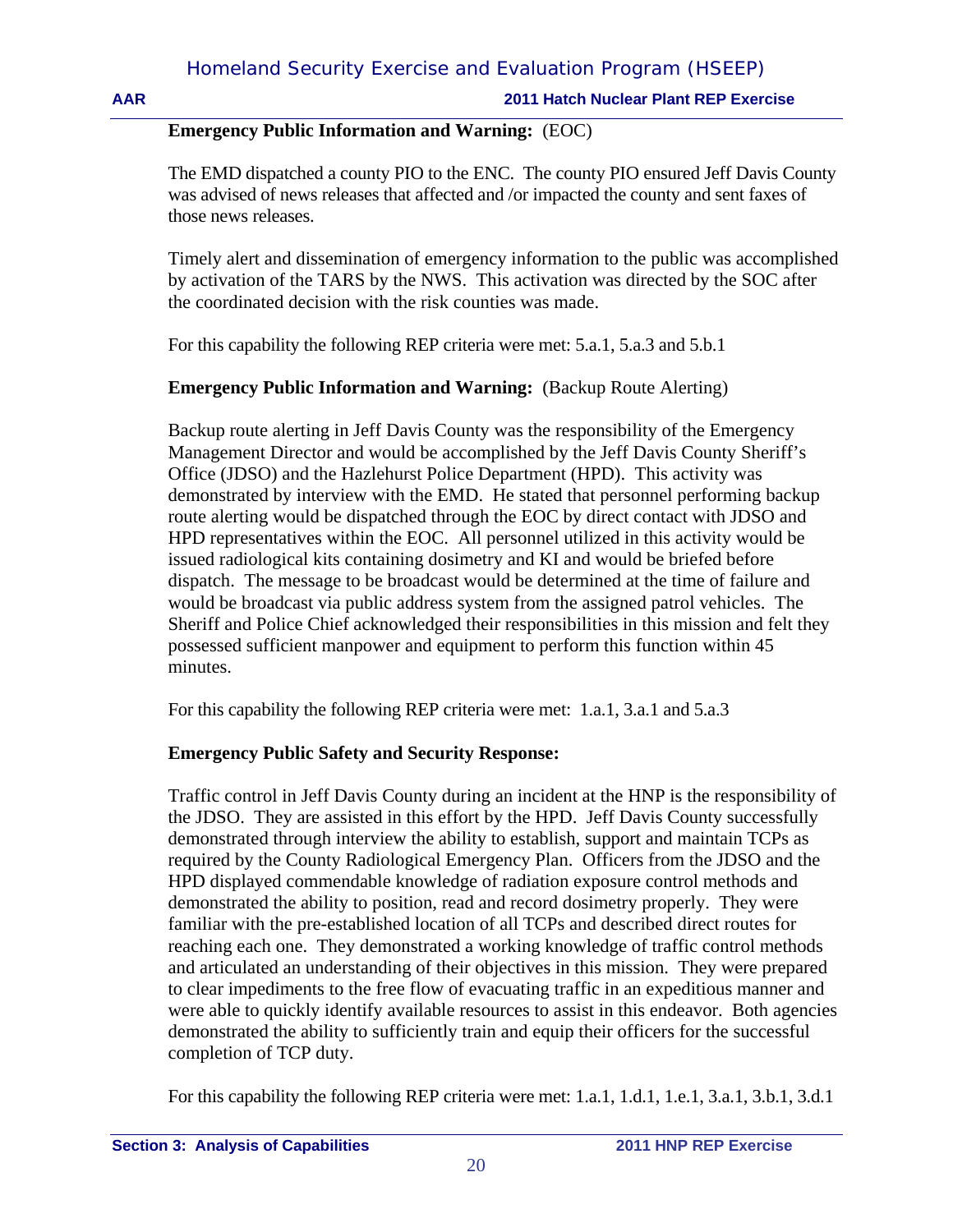### **Emergency Public Information and Warning:** (EOC)

The EMD dispatched a county PIO to the ENC. The county PIO ensured Jeff Davis County was advised of news releases that affected and /or impacted the county and sent faxes of those news releases.

Timely alert and dissemination of emergency information to the public was accomplished by activation of the TARS by the NWS. This activation was directed by the SOC after the coordinated decision with the risk counties was made.

For this capability the following REP criteria were met: 5.a.1, 5.a.3 and 5.b.1

### **Emergency Public Information and Warning: (Backup Route Alerting)**

Backup route alerting in Jeff Davis County was the responsibility of the Emergency Management Director and would be accomplished by the Jeff Davis County Sheriff's Office (JDSO) and the Hazlehurst Police Department (HPD). This activity was demonstrated by interview with the EMD. He stated that personnel performing backup route alerting would be dispatched through the EOC by direct contact with JDSO and HPD representatives within the EOC. All personnel utilized in this activity would be issued radiological kits containing dosimetry and KI and would be briefed before dispatch. The message to be broadcast would be determined at the time of failure and would be broadcast via public address system from the assigned patrol vehicles. The Sheriff and Police Chief acknowledged their responsibilities in this mission and felt they possessed sufficient manpower and equipment to perform this function within 45 minutes.

For this capability the following REP criteria were met: 1.a.1, 3.a.1 and 5.a.3

### **Emergency Public Safety and Security Response:**

Traffic control in Jeff Davis County during an incident at the HNP is the responsibility of the JDSO. They are assisted in this effort by the HPD. Jeff Davis County successfully demonstrated through interview the ability to establish, support and maintain TCPs as required by the County Radiological Emergency Plan. Officers from the JDSO and the HPD displayed commendable knowledge of radiation exposure control methods and demonstrated the ability to position, read and record dosimetry properly. They were familiar with the pre-established location of all TCPs and described direct routes for reaching each one. They demonstrated a working knowledge of traffic control methods and articulated an understanding of their objectives in this mission. They were prepared to clear impediments to the free flow of evacuating traffic in an expeditious manner and were able to quickly identify available resources to assist in this endeavor. Both agencies demonstrated the ability to sufficiently train and equip their officers for the successful completion of TCP duty.

For this capability the following REP criteria were met: 1.a.1, 1.d.1, 1.e.1, 3.a.1, 3.b.1, 3.d.1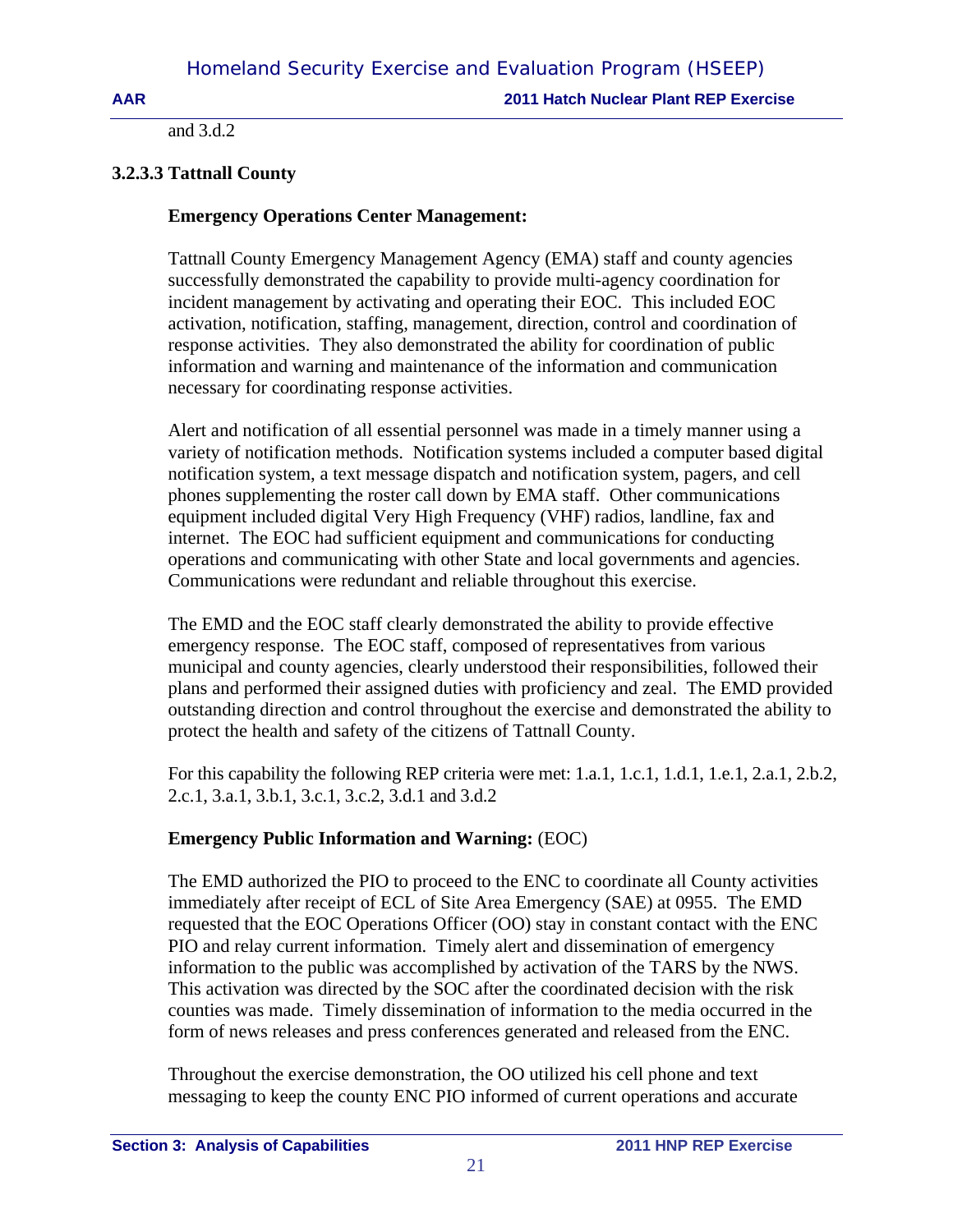and 3.d.2

### **3.2.3.3 Tattnall County**

### **Emergency Operations Center Management:**

Tattnall County Emergency Management Agency (EMA) staff and county agencies successfully demonstrated the capability to provide multi-agency coordination for incident management by activating and operating their EOC. This included EOC activation, notification, staffing, management, direction, control and coordination of response activities. They also demonstrated the ability for coordination of public information and warning and maintenance of the information and communication necessary for coordinating response activities.

Alert and notification of all essential personnel was made in a timely manner using a variety of notification methods. Notification systems included a computer based digital notification system, a text message dispatch and notification system, pagers, and cell phones supplementing the roster call down by EMA staff. Other communications equipment included digital Very High Frequency (VHF) radios, landline, fax and internet. The EOC had sufficient equipment and communications for conducting operations and communicating with other State and local governments and agencies. Communications were redundant and reliable throughout this exercise.

The EMD and the EOC staff clearly demonstrated the ability to provide effective emergency response. The EOC staff, composed of representatives from various municipal and county agencies, clearly understood their responsibilities, followed their plans and performed their assigned duties with proficiency and zeal. The EMD provided outstanding direction and control throughout the exercise and demonstrated the ability to protect the health and safety of the citizens of Tattnall County.

For this capability the following REP criteria were met: 1.a.1, 1.c.1, 1.d.1, 1.e.1, 2.a.1, 2.b.2, 2.c.1, 3.a.1, 3.b.1, 3.c.1, 3.c.2, 3.d.1 and 3.d.2

### **Emergency Public Information and Warning:** (EOC)

The EMD authorized the PIO to proceed to the ENC to coordinate all County activities immediately after receipt of ECL of Site Area Emergency (SAE) at 0955. The EMD requested that the EOC Operations Officer (OO) stay in constant contact with the ENC PIO and relay current information. Timely alert and dissemination of emergency information to the public was accomplished by activation of the TARS by the NWS. This activation was directed by the SOC after the coordinated decision with the risk counties was made. Timely dissemination of information to the media occurred in the form of news releases and press conferences generated and released from the ENC.

Throughout the exercise demonstration, the OO utilized his cell phone and text messaging to keep the county ENC PIO informed of current operations and accurate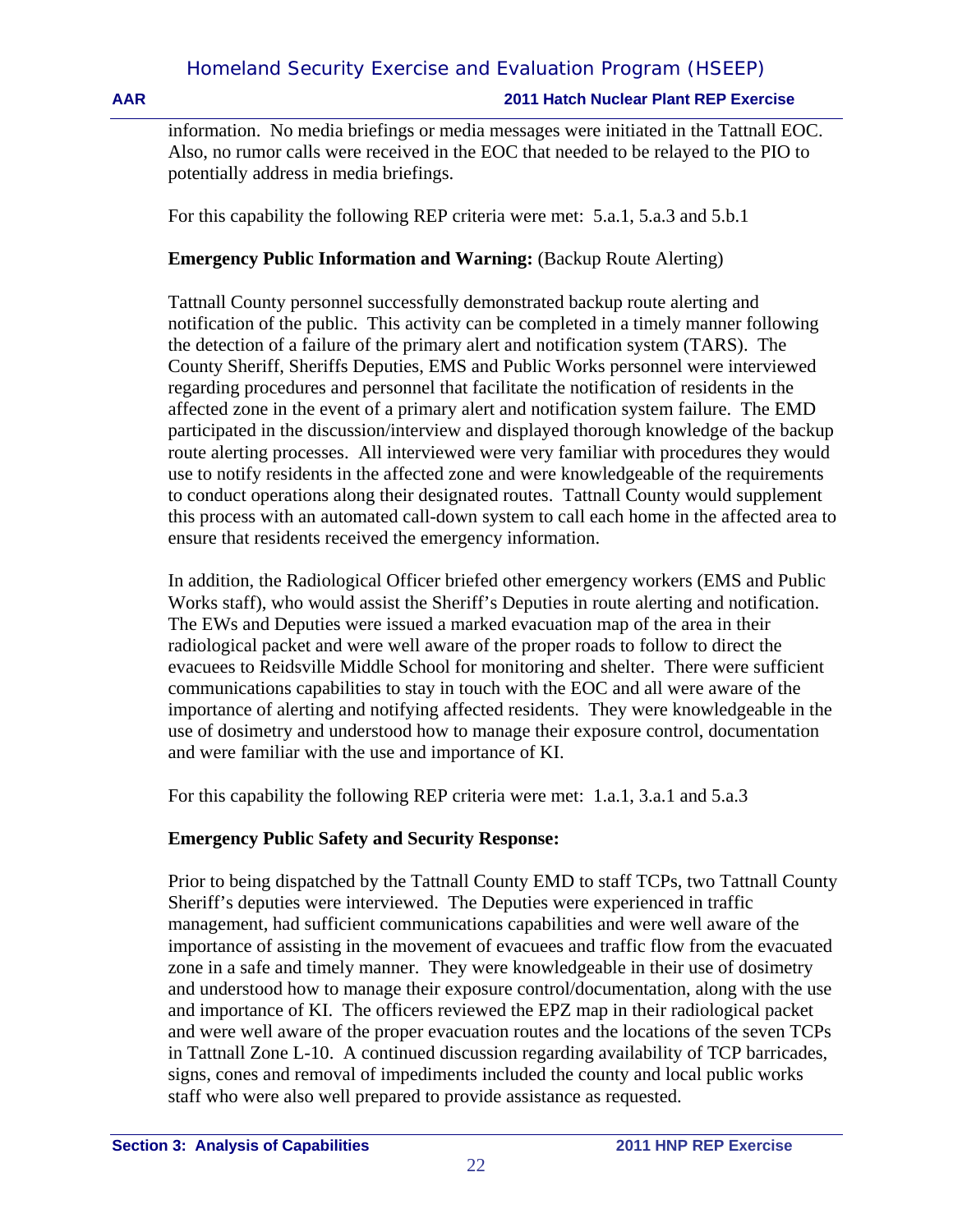### **AAR 2011 Hatch Nuclear Plant REP Exercise**

information. No media briefings or media messages were initiated in the Tattnall EOC. Also, no rumor calls were received in the EOC that needed to be relayed to the PIO to potentially address in media briefings.

For this capability the following REP criteria were met: 5.a.1, 5.a.3 and 5.b.1

### **Emergency Public Information and Warning:** (Backup Route Alerting)

Tattnall County personnel successfully demonstrated backup route alerting and notification of the public. This activity can be completed in a timely manner following the detection of a failure of the primary alert and notification system (TARS). The County Sheriff, Sheriffs Deputies, EMS and Public Works personnel were interviewed regarding procedures and personnel that facilitate the notification of residents in the affected zone in the event of a primary alert and notification system failure. The EMD participated in the discussion/interview and displayed thorough knowledge of the backup route alerting processes. All interviewed were very familiar with procedures they would use to notify residents in the affected zone and were knowledgeable of the requirements to conduct operations along their designated routes. Tattnall County would supplement this process with an automated call-down system to call each home in the affected area to ensure that residents received the emergency information.

In addition, the Radiological Officer briefed other emergency workers (EMS and Public Works staff), who would assist the Sheriff's Deputies in route alerting and notification. The EWs and Deputies were issued a marked evacuation map of the area in their radiological packet and were well aware of the proper roads to follow to direct the evacuees to Reidsville Middle School for monitoring and shelter. There were sufficient communications capabilities to stay in touch with the EOC and all were aware of the importance of alerting and notifying affected residents. They were knowledgeable in the use of dosimetry and understood how to manage their exposure control, documentation and were familiar with the use and importance of KI.

For this capability the following REP criteria were met: 1.a.1, 3.a.1 and 5.a.3

### **Emergency Public Safety and Security Response:**

Prior to being dispatched by the Tattnall County EMD to staff TCPs, two Tattnall County Sheriff's deputies were interviewed. The Deputies were experienced in traffic management, had sufficient communications capabilities and were well aware of the importance of assisting in the movement of evacuees and traffic flow from the evacuated zone in a safe and timely manner. They were knowledgeable in their use of dosimetry and understood how to manage their exposure control/documentation, along with the use and importance of KI. The officers reviewed the EPZ map in their radiological packet and were well aware of the proper evacuation routes and the locations of the seven TCPs in Tattnall Zone L-10. A continued discussion regarding availability of TCP barricades, signs, cones and removal of impediments included the county and local public works staff who were also well prepared to provide assistance as requested.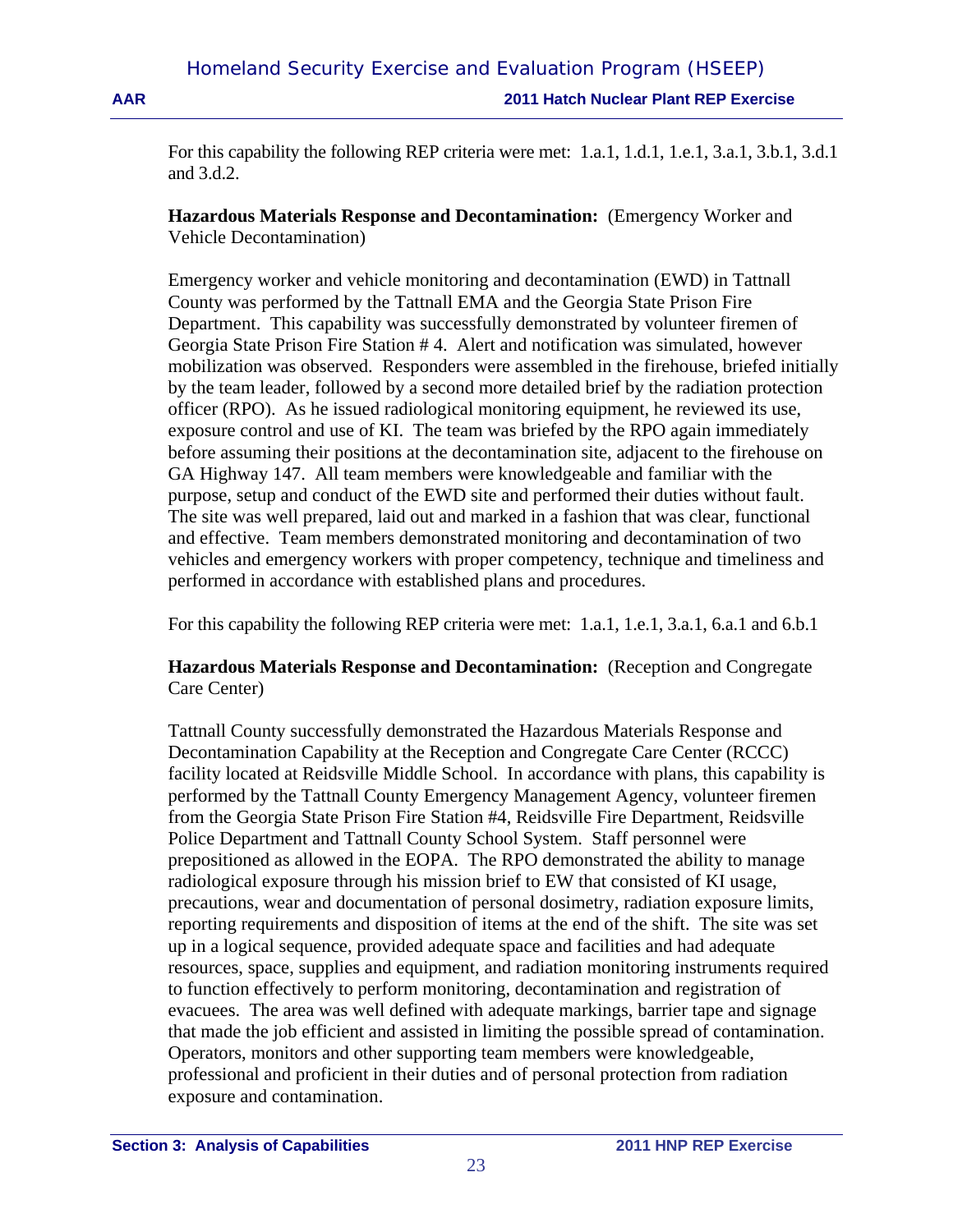For this capability the following REP criteria were met: 1.a.1, 1.d.1, 1.e.1, 3.a.1, 3.b.1, 3.d.1 and 3.d.2.

**Hazardous Materials Response and Decontamination:** (Emergency Worker and Vehicle Decontamination)

Emergency worker and vehicle monitoring and decontamination (EWD) in Tattnall County was performed by the Tattnall EMA and the Georgia State Prison Fire Department. This capability was successfully demonstrated by volunteer firemen of Georgia State Prison Fire Station # 4. Alert and notification was simulated, however mobilization was observed. Responders were assembled in the firehouse, briefed initially by the team leader, followed by a second more detailed brief by the radiation protection officer (RPO). As he issued radiological monitoring equipment, he reviewed its use, exposure control and use of KI. The team was briefed by the RPO again immediately before assuming their positions at the decontamination site, adjacent to the firehouse on GA Highway 147. All team members were knowledgeable and familiar with the purpose, setup and conduct of the EWD site and performed their duties without fault. The site was well prepared, laid out and marked in a fashion that was clear, functional and effective. Team members demonstrated monitoring and decontamination of two vehicles and emergency workers with proper competency, technique and timeliness and performed in accordance with established plans and procedures.

For this capability the following REP criteria were met: 1.a.1, 1.e.1, 3.a.1, 6.a.1 and 6.b.1

**Hazardous Materials Response and Decontamination:** (Reception and Congregate Care Center)

Tattnall County successfully demonstrated the Hazardous Materials Response and Decontamination Capability at the Reception and Congregate Care Center (RCCC) facility located at Reidsville Middle School. In accordance with plans, this capability is performed by the Tattnall County Emergency Management Agency, volunteer firemen from the Georgia State Prison Fire Station #4, Reidsville Fire Department, Reidsville Police Department and Tattnall County School System. Staff personnel were prepositioned as allowed in the EOPA. The RPO demonstrated the ability to manage radiological exposure through his mission brief to EW that consisted of KI usage, precautions, wear and documentation of personal dosimetry, radiation exposure limits, reporting requirements and disposition of items at the end of the shift. The site was set up in a logical sequence, provided adequate space and facilities and had adequate resources, space, supplies and equipment, and radiation monitoring instruments required to function effectively to perform monitoring, decontamination and registration of evacuees. The area was well defined with adequate markings, barrier tape and signage that made the job efficient and assisted in limiting the possible spread of contamination. Operators, monitors and other supporting team members were knowledgeable, professional and proficient in their duties and of personal protection from radiation exposure and contamination.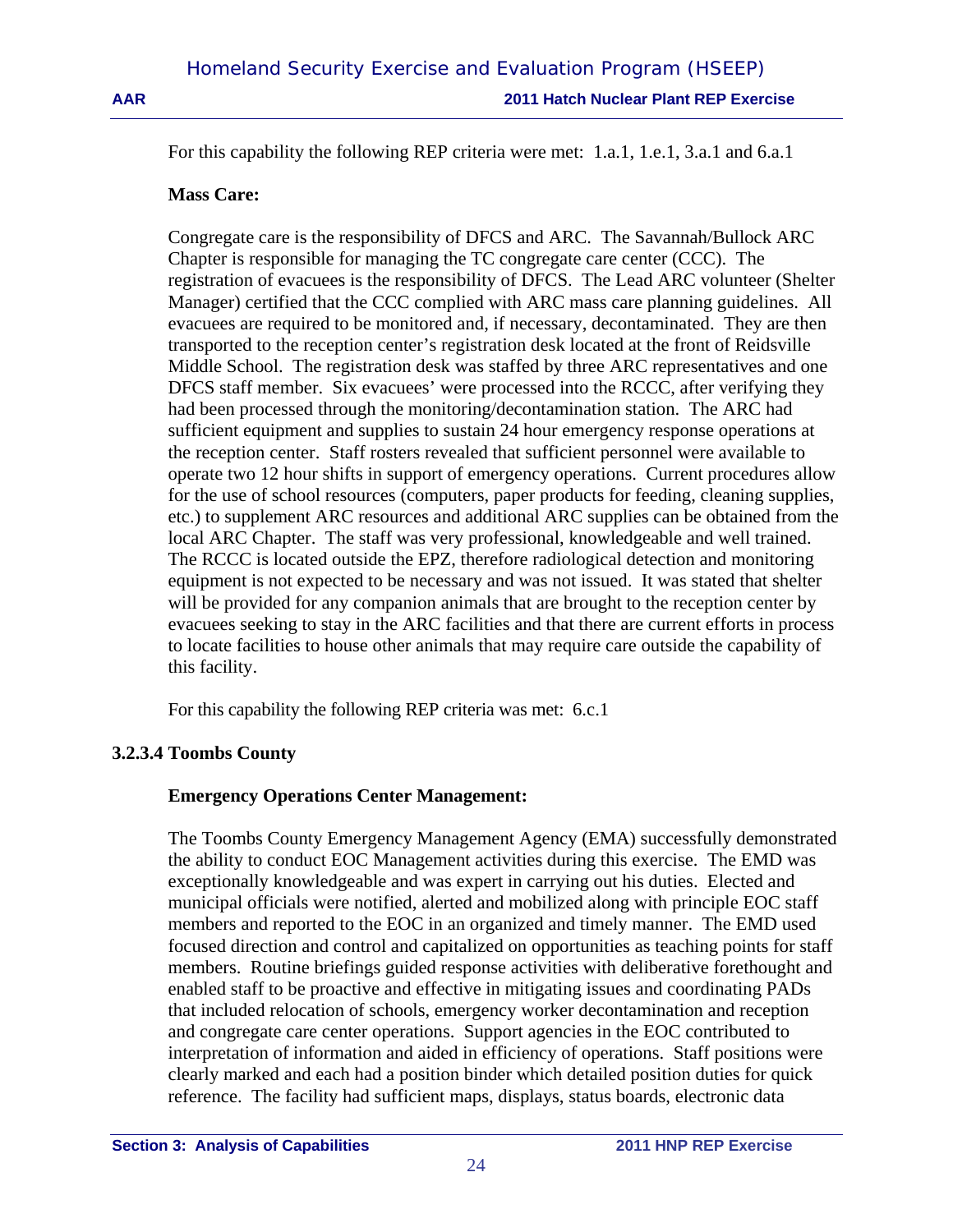For this capability the following REP criteria were met: 1.a.1, 1.e.1, 3.a.1 and 6.a.1

### **Mass Care:**

Congregate care is the responsibility of DFCS and ARC. The Savannah/Bullock ARC Chapter is responsible for managing the TC congregate care center (CCC). The registration of evacuees is the responsibility of DFCS. The Lead ARC volunteer (Shelter Manager) certified that the CCC complied with ARC mass care planning guidelines. All evacuees are required to be monitored and, if necessary, decontaminated. They are then transported to the reception center's registration desk located at the front of Reidsville Middle School. The registration desk was staffed by three ARC representatives and one DFCS staff member. Six evacuees' were processed into the RCCC, after verifying they had been processed through the monitoring/decontamination station. The ARC had sufficient equipment and supplies to sustain 24 hour emergency response operations at the reception center. Staff rosters revealed that sufficient personnel were available to operate two 12 hour shifts in support of emergency operations. Current procedures allow for the use of school resources (computers, paper products for feeding, cleaning supplies, etc.) to supplement ARC resources and additional ARC supplies can be obtained from the local ARC Chapter. The staff was very professional, knowledgeable and well trained. The RCCC is located outside the EPZ, therefore radiological detection and monitoring equipment is not expected to be necessary and was not issued. It was stated that shelter will be provided for any companion animals that are brought to the reception center by evacuees seeking to stay in the ARC facilities and that there are current efforts in process to locate facilities to house other animals that may require care outside the capability of this facility.

For this capability the following REP criteria was met: 6.c.1

### **3.2.3.4 Toombs County**

### **Emergency Operations Center Management:**

The Toombs County Emergency Management Agency (EMA) successfully demonstrated the ability to conduct EOC Management activities during this exercise. The EMD was exceptionally knowledgeable and was expert in carrying out his duties. Elected and municipal officials were notified, alerted and mobilized along with principle EOC staff members and reported to the EOC in an organized and timely manner. The EMD used focused direction and control and capitalized on opportunities as teaching points for staff members. Routine briefings guided response activities with deliberative forethought and enabled staff to be proactive and effective in mitigating issues and coordinating PADs that included relocation of schools, emergency worker decontamination and reception and congregate care center operations. Support agencies in the EOC contributed to interpretation of information and aided in efficiency of operations. Staff positions were clearly marked and each had a position binder which detailed position duties for quick reference. The facility had sufficient maps, displays, status boards, electronic data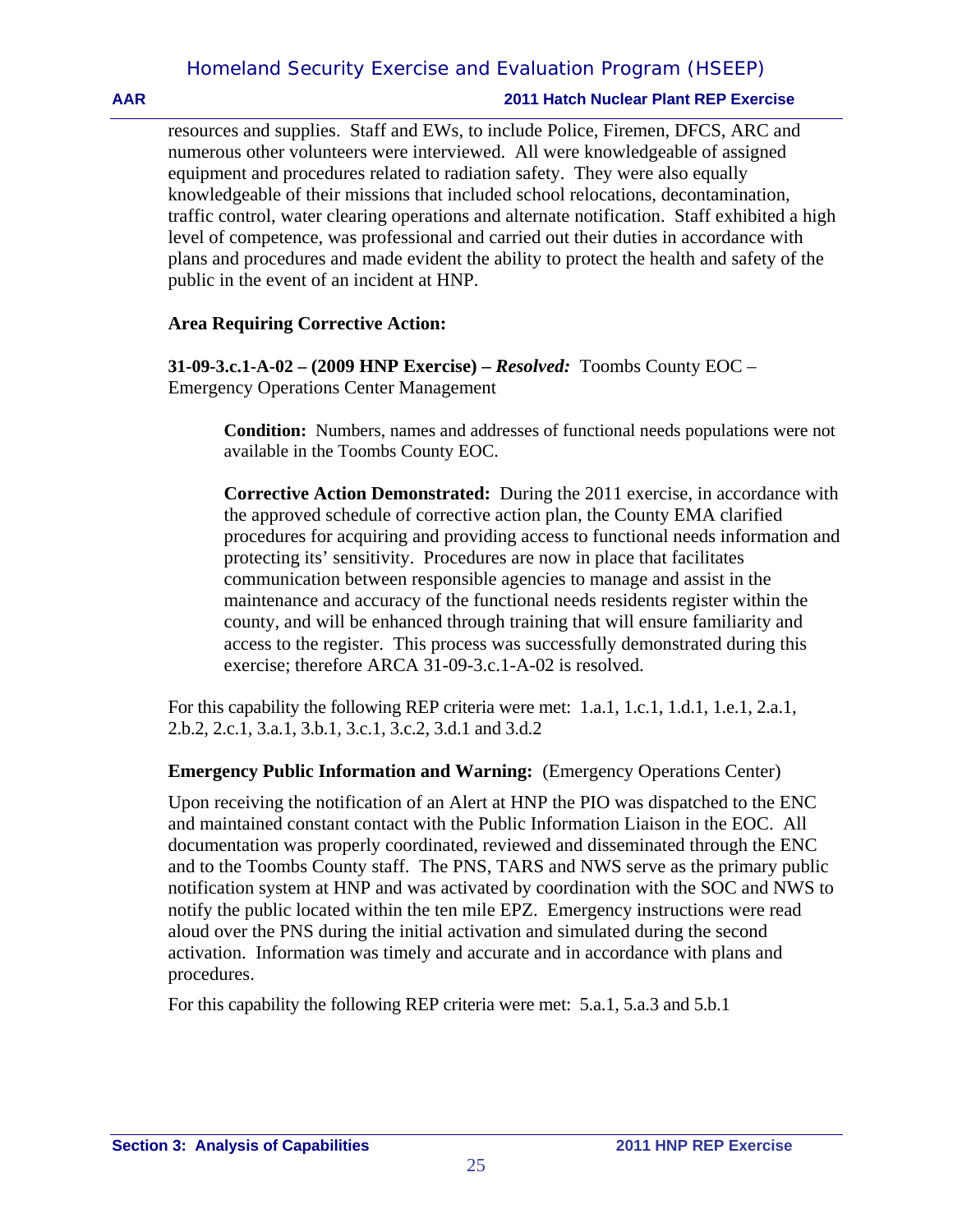### **AAR 2011 Hatch Nuclear Plant REP Exercise**

resources and supplies. Staff and EWs, to include Police, Firemen, DFCS, ARC and numerous other volunteers were interviewed. All were knowledgeable of assigned equipment and procedures related to radiation safety. They were also equally knowledgeable of their missions that included school relocations, decontamination, traffic control, water clearing operations and alternate notification. Staff exhibited a high level of competence, was professional and carried out their duties in accordance with plans and procedures and made evident the ability to protect the health and safety of the public in the event of an incident at HNP.

### **Area Requiring Corrective Action:**

**31-09-3.c.1-A-02 – (2009 HNP Exercise) –** *Resolved:* Toombs County EOC – Emergency Operations Center Management

**Condition:** Numbers, names and addresses of functional needs populations were not available in the Toombs County EOC.

**Corrective Action Demonstrated:** During the 2011 exercise, in accordance with the approved schedule of corrective action plan, the County EMA clarified procedures for acquiring and providing access to functional needs information and protecting its' sensitivity. Procedures are now in place that facilitates communication between responsible agencies to manage and assist in the maintenance and accuracy of the functional needs residents register within the county, and will be enhanced through training that will ensure familiarity and access to the register. This process was successfully demonstrated during this exercise; therefore ARCA 31-09-3.c.1-A-02 is resolved.

For this capability the following REP criteria were met: 1.a.1, 1.c.1, 1.d.1, 1.e.1, 2.a.1, 2.b.2, 2.c.1, 3.a.1, 3.b.1, 3.c.1, 3.c.2, 3.d.1 and 3.d.2

### **Emergency Public Information and Warning:** (Emergency Operations Center)

Upon receiving the notification of an Alert at HNP the PIO was dispatched to the ENC and maintained constant contact with the Public Information Liaison in the EOC. All documentation was properly coordinated, reviewed and disseminated through the ENC and to the Toombs County staff. The PNS, TARS and NWS serve as the primary public notification system at HNP and was activated by coordination with the SOC and NWS to notify the public located within the ten mile EPZ. Emergency instructions were read aloud over the PNS during the initial activation and simulated during the second activation. Information was timely and accurate and in accordance with plans and procedures.

For this capability the following REP criteria were met: 5.a.1, 5.a.3 and 5.b.1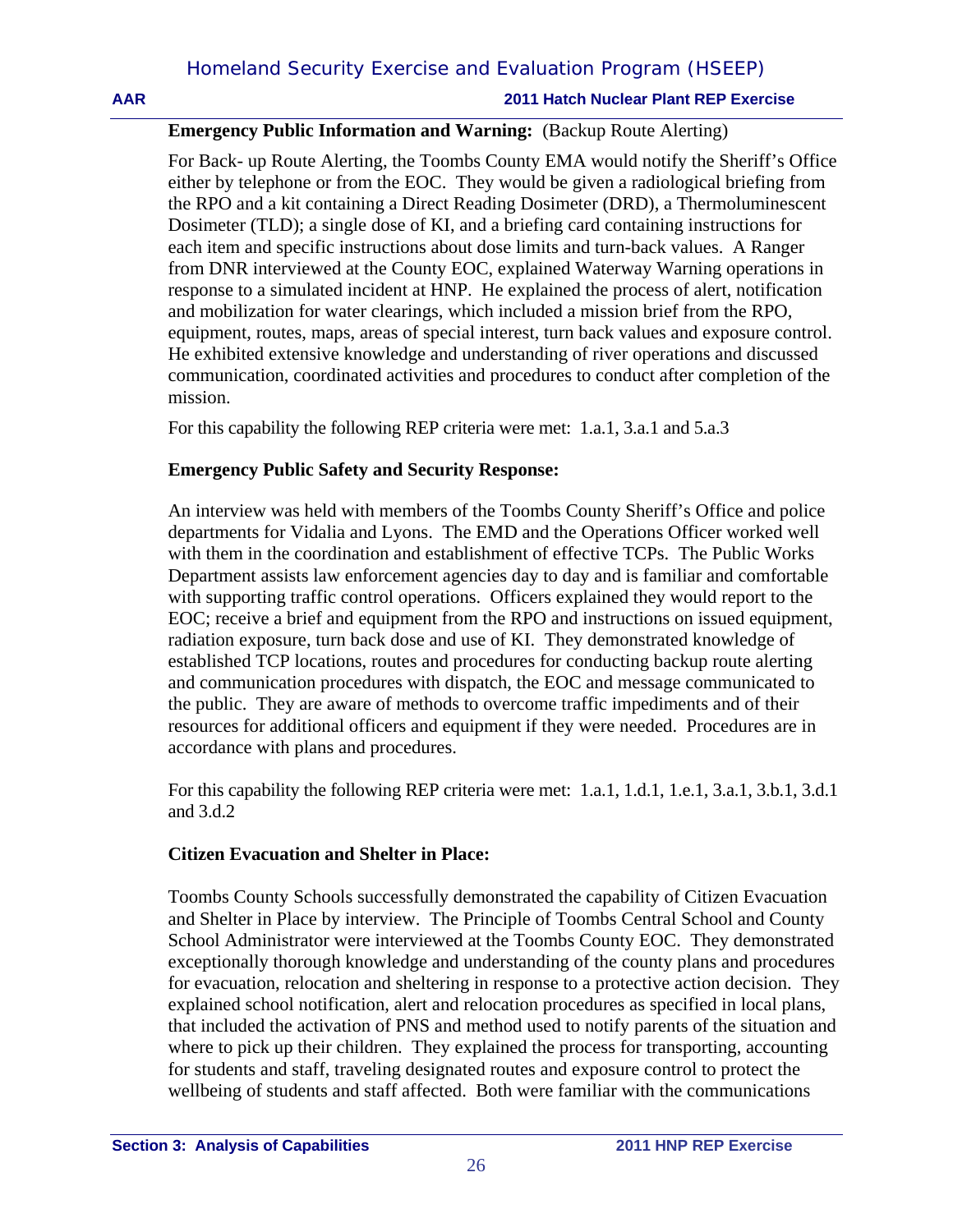### **Emergency Public Information and Warning:** (Backup Route Alerting)

For Back- up Route Alerting, the Toombs County EMA would notify the Sheriff's Office either by telephone or from the EOC. They would be given a radiological briefing from the RPO and a kit containing a Direct Reading Dosimeter (DRD), a Thermoluminescent Dosimeter (TLD); a single dose of KI, and a briefing card containing instructions for each item and specific instructions about dose limits and turn-back values. A Ranger from DNR interviewed at the County EOC, explained Waterway Warning operations in response to a simulated incident at HNP. He explained the process of alert, notification and mobilization for water clearings, which included a mission brief from the RPO, equipment, routes, maps, areas of special interest, turn back values and exposure control. He exhibited extensive knowledge and understanding of river operations and discussed communication, coordinated activities and procedures to conduct after completion of the mission.

For this capability the following REP criteria were met: 1.a.1, 3.a.1 and 5.a.3

### **Emergency Public Safety and Security Response:**

An interview was held with members of the Toombs County Sheriff's Office and police departments for Vidalia and Lyons. The EMD and the Operations Officer worked well with them in the coordination and establishment of effective TCPs. The Public Works Department assists law enforcement agencies day to day and is familiar and comfortable with supporting traffic control operations. Officers explained they would report to the EOC; receive a brief and equipment from the RPO and instructions on issued equipment, radiation exposure, turn back dose and use of KI. They demonstrated knowledge of established TCP locations, routes and procedures for conducting backup route alerting and communication procedures with dispatch, the EOC and message communicated to the public. They are aware of methods to overcome traffic impediments and of their resources for additional officers and equipment if they were needed. Procedures are in accordance with plans and procedures.

For this capability the following REP criteria were met: 1.a.1, 1.d.1, 1.e.1, 3.a.1, 3.b.1, 3.d.1 and 3.d.2

### **Citizen Evacuation and Shelter in Place:**

Toombs County Schools successfully demonstrated the capability of Citizen Evacuation and Shelter in Place by interview. The Principle of Toombs Central School and County School Administrator were interviewed at the Toombs County EOC. They demonstrated exceptionally thorough knowledge and understanding of the county plans and procedures for evacuation, relocation and sheltering in response to a protective action decision. They explained school notification, alert and relocation procedures as specified in local plans, that included the activation of PNS and method used to notify parents of the situation and where to pick up their children. They explained the process for transporting, accounting for students and staff, traveling designated routes and exposure control to protect the wellbeing of students and staff affected. Both were familiar with the communications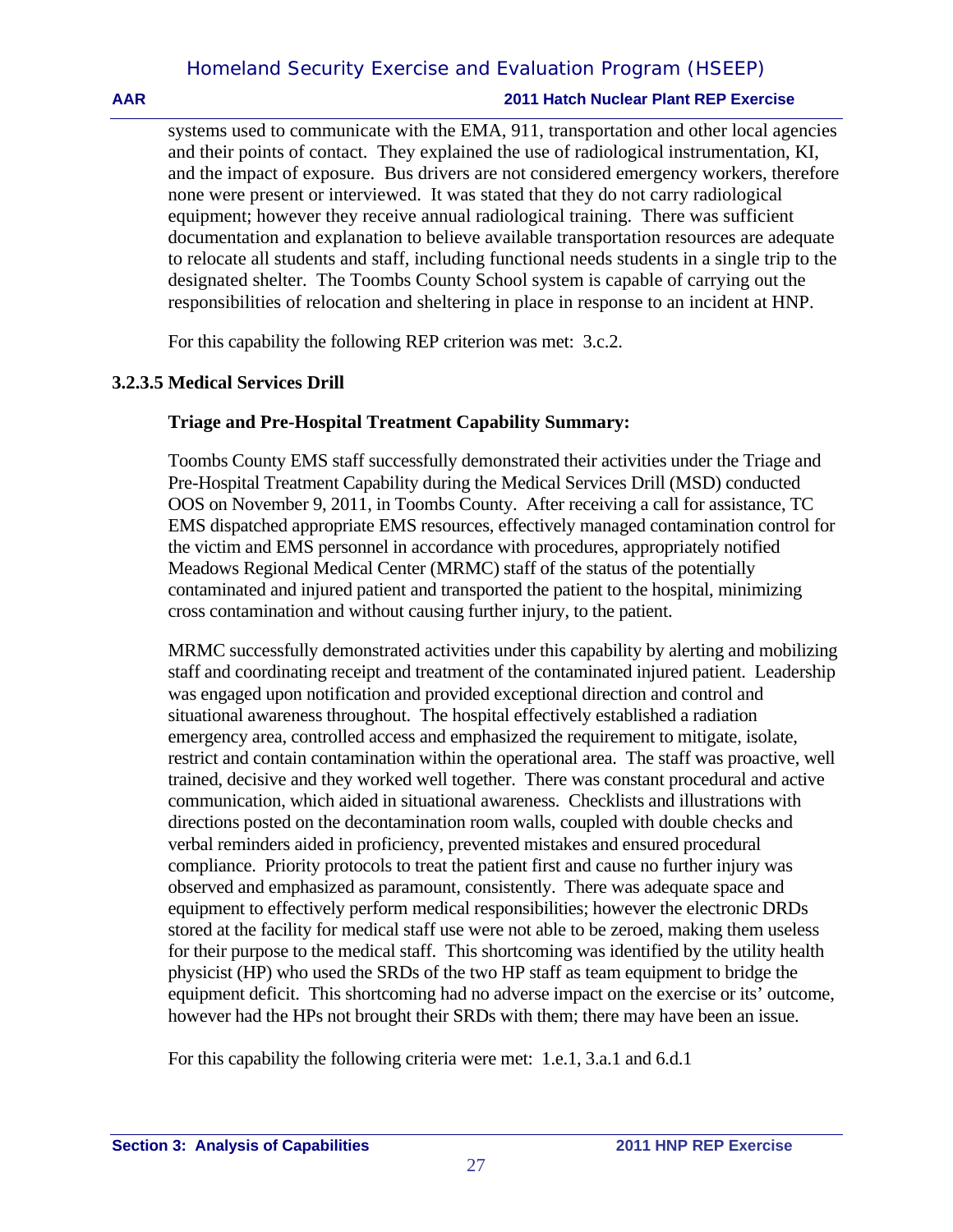### **AAR 2011 Hatch Nuclear Plant REP Exercise**

systems used to communicate with the EMA, 911, transportation and other local agencies and their points of contact. They explained the use of radiological instrumentation, KI, and the impact of exposure. Bus drivers are not considered emergency workers, therefore none were present or interviewed. It was stated that they do not carry radiological equipment; however they receive annual radiological training. There was sufficient documentation and explanation to believe available transportation resources are adequate to relocate all students and staff, including functional needs students in a single trip to the designated shelter. The Toombs County School system is capable of carrying out the responsibilities of relocation and sheltering in place in response to an incident at HNP.

For this capability the following REP criterion was met: 3.c.2.

### **3.2.3.5 Medical Services Drill**

### **Triage and Pre-Hospital Treatment Capability Summary:**

Toombs County EMS staff successfully demonstrated their activities under the Triage and Pre-Hospital Treatment Capability during the Medical Services Drill (MSD) conducted OOS on November 9, 2011, in Toombs County. After receiving a call for assistance, TC EMS dispatched appropriate EMS resources, effectively managed contamination control for the victim and EMS personnel in accordance with procedures, appropriately notified Meadows Regional Medical Center (MRMC) staff of the status of the potentially contaminated and injured patient and transported the patient to the hospital, minimizing cross contamination and without causing further injury, to the patient.

MRMC successfully demonstrated activities under this capability by alerting and mobilizing staff and coordinating receipt and treatment of the contaminated injured patient. Leadership was engaged upon notification and provided exceptional direction and control and situational awareness throughout. The hospital effectively established a radiation emergency area, controlled access and emphasized the requirement to mitigate, isolate, restrict and contain contamination within the operational area. The staff was proactive, well trained, decisive and they worked well together. There was constant procedural and active communication, which aided in situational awareness. Checklists and illustrations with directions posted on the decontamination room walls, coupled with double checks and verbal reminders aided in proficiency, prevented mistakes and ensured procedural compliance. Priority protocols to treat the patient first and cause no further injury was observed and emphasized as paramount, consistently. There was adequate space and equipment to effectively perform medical responsibilities; however the electronic DRDs stored at the facility for medical staff use were not able to be zeroed, making them useless for their purpose to the medical staff. This shortcoming was identified by the utility health physicist (HP) who used the SRDs of the two HP staff as team equipment to bridge the equipment deficit. This shortcoming had no adverse impact on the exercise or its' outcome, however had the HPs not brought their SRDs with them; there may have been an issue.

For this capability the following criteria were met: 1.e.1, 3.a.1 and 6.d.1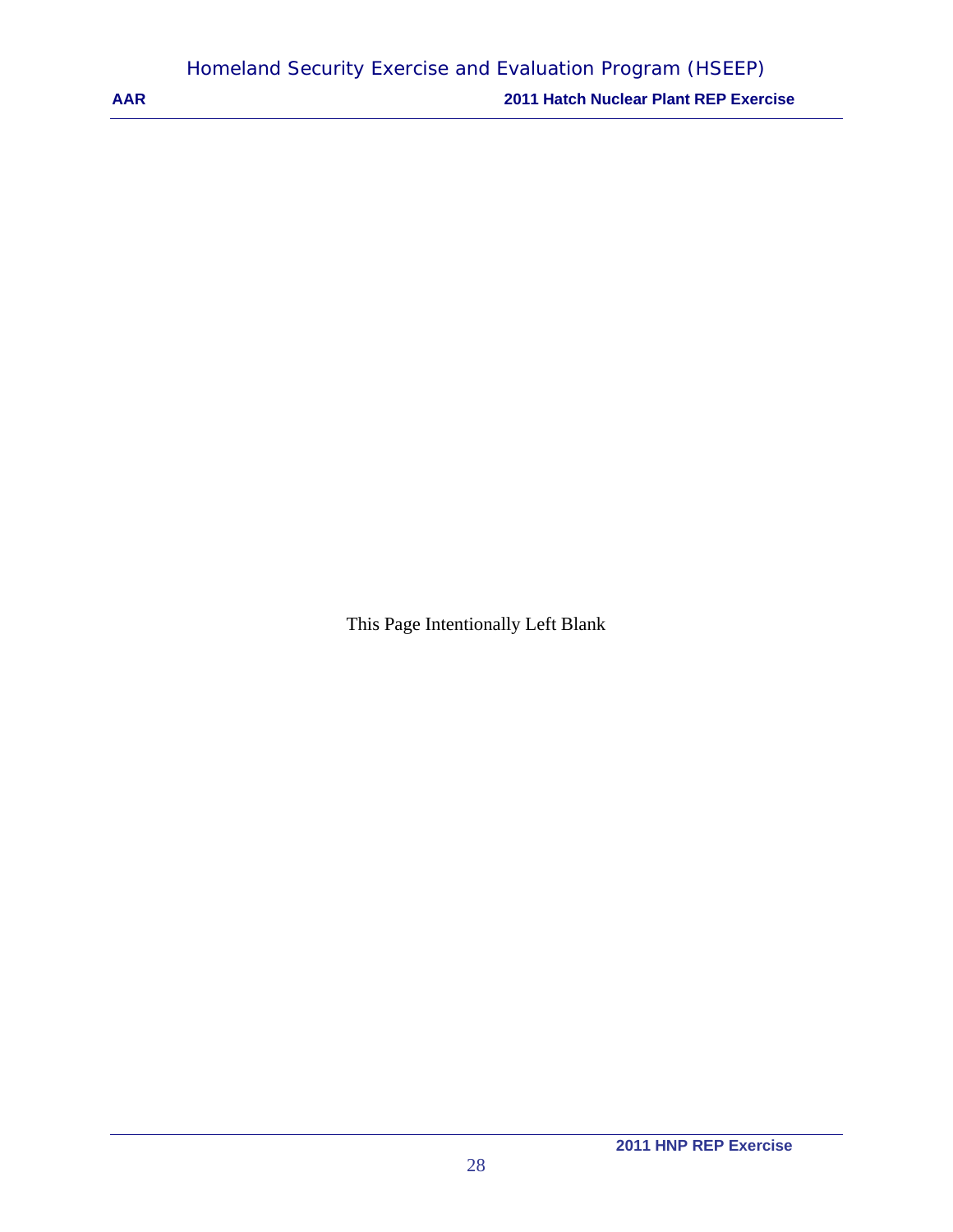This Page Intentionally Left Blank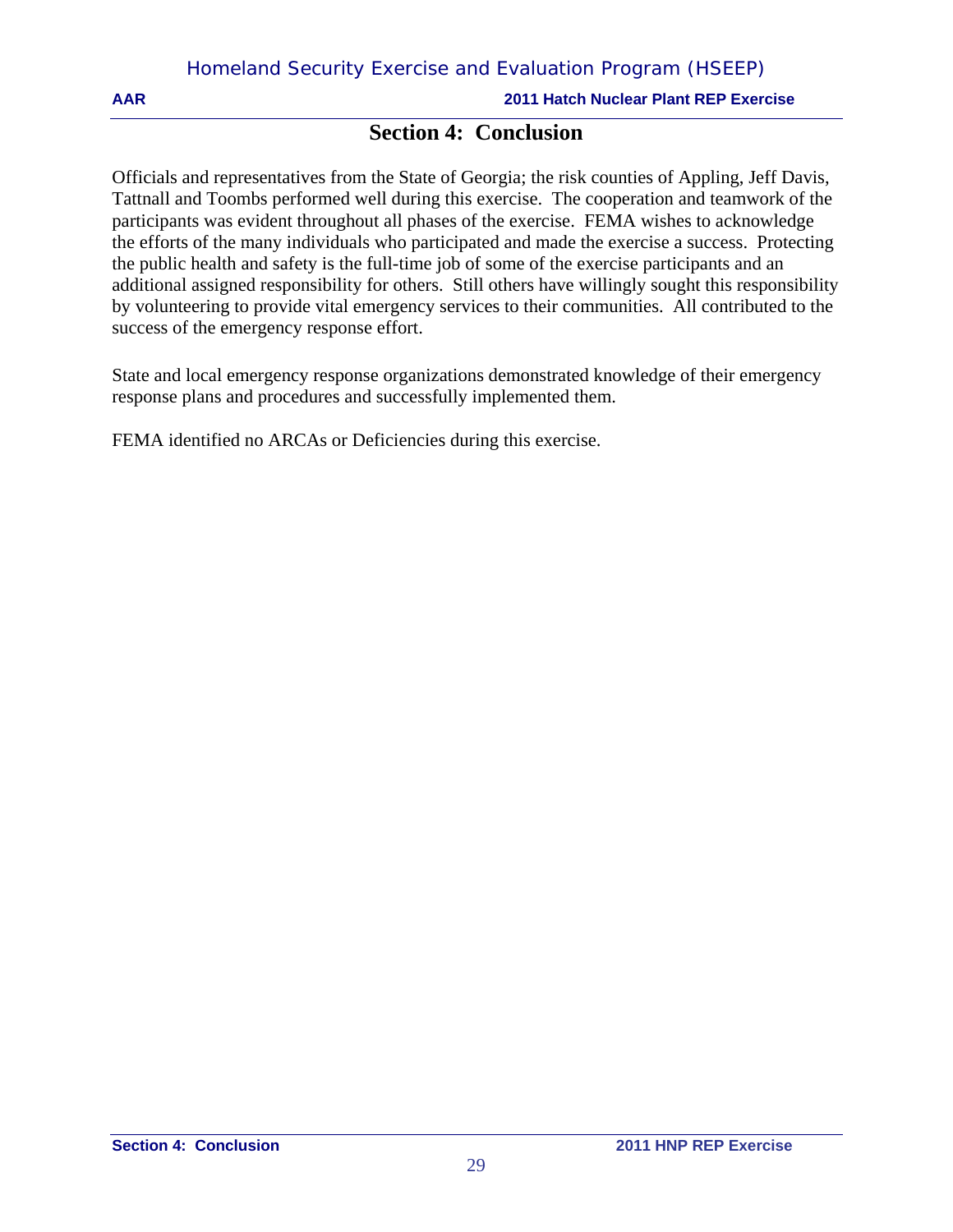### **Section 4: Conclusion**

Officials and representatives from the State of Georgia; the risk counties of Appling, Jeff Davis, Tattnall and Toombs performed well during this exercise. The cooperation and teamwork of the participants was evident throughout all phases of the exercise. FEMA wishes to acknowledge the efforts of the many individuals who participated and made the exercise a success. Protecting the public health and safety is the full-time job of some of the exercise participants and an additional assigned responsibility for others. Still others have willingly sought this responsibility by volunteering to provide vital emergency services to their communities. All contributed to the success of the emergency response effort.

State and local emergency response organizations demonstrated knowledge of their emergency response plans and procedures and successfully implemented them.

FEMA identified no ARCAs or Deficiencies during this exercise.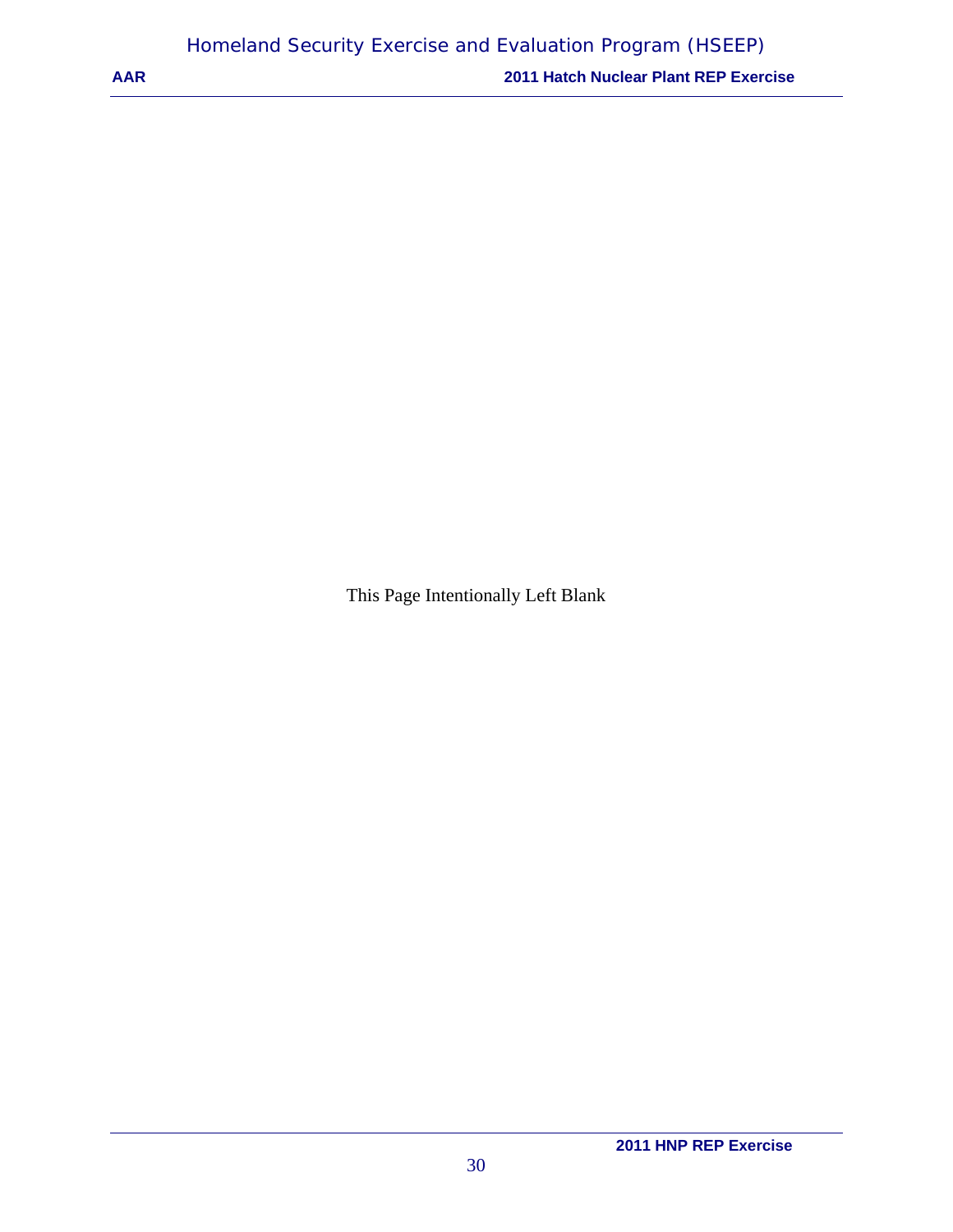This Page Intentionally Left Blank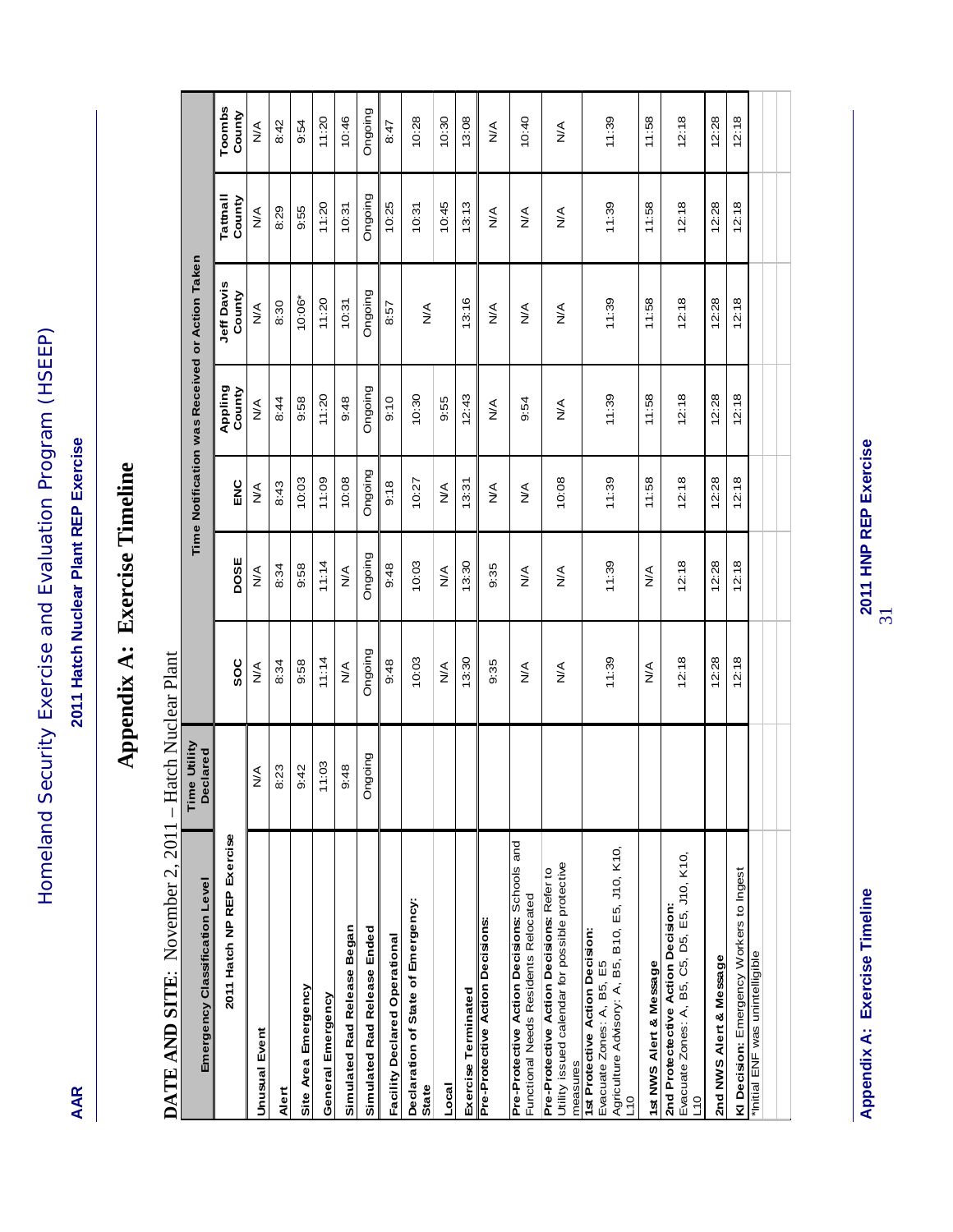Homeland Security Exercise and Evaluation Program (HSEEP) Homeland Security Exercise and Evaluation Program (HSEEP)

# 2011 Hatch Nuclear Plant REP Exercise **AAR 2011 Hatch Nuclear Plant REP Exercise**

# Appendix A: Exercise Timeline **Appendix A: Exercise Timeline**

# DATE AND SITE: November 2, 2011 - Hatch Nuclear Plant **DATE AND SITE**: November 2, 2011 – Hatch Nuclear Plant

| Emergency Classification Level                                                                                                   | Time Utility<br><b>Declared</b> |                         |                         |                         |                   | Time Notification was Received or Action Taken |                           |                  |
|----------------------------------------------------------------------------------------------------------------------------------|---------------------------------|-------------------------|-------------------------|-------------------------|-------------------|------------------------------------------------|---------------------------|------------------|
| 2011 Hatch NP REP Exercise                                                                                                       |                                 | SOC                     | DOSE                    | ENC                     | Appling<br>County | Jeff Davis<br>County                           | <b>Tattnall</b><br>County | roombs<br>County |
| <b>Unusual Event</b>                                                                                                             | $\frac{1}{2}$                   | ≸                       | ≸                       | $\frac{1}{2}$           | $\frac{1}{2}$     | $\frac{4}{2}$                                  | $\frac{4}{2}$             | $\frac{1}{2}$    |
| Alert                                                                                                                            | 8:23                            | 8:34                    | 8:34                    | 8:43                    | 8:44              | 8:30                                           | 8:29                      | 8:42             |
| Site Area Emergency                                                                                                              | 9:42                            | 9:58                    | 9:58                    | 10:03                   | 9:58              | $10:06*$                                       | 9:55                      | 9:54             |
| General Emergency                                                                                                                | 1:03<br>٣                       | 11:14                   | 11:14                   | 11:09                   | 11:20             | 11:20                                          | 11:20                     | 11:20            |
| Simulated Rad Release Began                                                                                                      | 9:48<br>O)                      | $\stackrel{\leq}{\geq}$ | $\frac{1}{2}$           | 10:08                   | 9:48              | 10:31                                          | 10:31                     | 10:46            |
| Simulated Rad Release Ended                                                                                                      | Ongoing                         | Ongoing                 | Ongoing                 | Ongoing                 | Ongoing           | Ongoing                                        | Ongoing                   | Ongoing          |
| Facility Declared Operational                                                                                                    |                                 | 9:48                    | 9:48                    | 9:18                    | 0:10              | 8:57                                           | 10:25                     | 8:47             |
| Declaration of State of Emergency:<br><b>State</b>                                                                               |                                 | 10:03                   | 10:03                   | 10:27                   | 10:30             | $\frac{1}{2}$                                  | 10:31                     | 10:28            |
| Local                                                                                                                            |                                 | $\frac{1}{2}$           | $\stackrel{\leq}{\geq}$ | $\stackrel{\leq}{\geq}$ | 9:55              |                                                | 10:45                     | 10:30            |
| Exercise Terminated                                                                                                              |                                 | 13:30                   | 13:30                   | 13:31                   | 12:43             | 13:16                                          | 13:13                     | 13:08            |
| <b>Pre-Protective Action Decisions:</b>                                                                                          |                                 | 9:35                    | 9:35                    | $\frac{1}{2}$           | $\frac{1}{2}$     | $\frac{4}{2}$                                  | $\frac{4}{2}$             | $\frac{4}{2}$    |
| Pre-Protective Action Decisions: Schools and<br>Functional Needs Residents Relocated                                             |                                 | $\frac{1}{2}$           | $\stackrel{\leq}{\geq}$ | $\frac{1}{2}$           | 9:54              | $\frac{1}{2}$                                  | $\frac{1}{2}$             | 10:40            |
| Utility issued calendar for possible protective<br>Pre-Protective Action Decisions: Refer to<br>measures                         |                                 | $\frac{1}{2}$           | $\frac{1}{2}$           | 10:08                   | $\frac{4}{2}$     | $\frac{1}{2}$                                  | $\frac{1}{2}$             | $\frac{1}{2}$    |
| Agriculture Advisory: A, B5, B10, E5, J10, K10,<br>1st Protective Action Decision:<br>Evacuate Zones: A, B5, E5<br>$\frac{0}{1}$ |                                 | 11:39                   | 11:39                   | 11:39                   | 11:39             | 11:39                                          | 11:39                     | 11:39            |
| 1st NWS Alert & Message                                                                                                          |                                 | $\frac{1}{2}$           | $\frac{1}{2}$           | 11:58                   | 11:58             | 11:58                                          | 11:58                     | 11:58            |
| Evacuate Zones: A, B5, C5, D5, E5, J10, K10,<br>2nd Protectective Action Decision:<br>$\frac{0}{1}$                              |                                 | 12:18                   | 12:18                   | 12:18                   | 12:18             | 12:18                                          | 12:18                     | 12:18            |
| 2nd NWS Alert & Message                                                                                                          |                                 | 12:28                   | 12:28                   | 12:28                   | 12:28             | 12:28                                          | 12:28                     | 12:28            |
| KI Decision: Emergency Workers to Ingest                                                                                         |                                 | 12:18                   | 12:18                   | 12:18                   | 12:18             | 12:18                                          | 12:18                     | 12:18            |
| *Initial ENF was unintelligible                                                                                                  |                                 |                         |                         |                         |                   |                                                |                           |                  |
|                                                                                                                                  |                                 |                         |                         |                         |                   |                                                |                           |                  |

**Appendix A: Exercise Timeline 2011 HNP REP Exercise**  Appendix A: Exercise Timeline

2011 HNP REP Exercise

AAR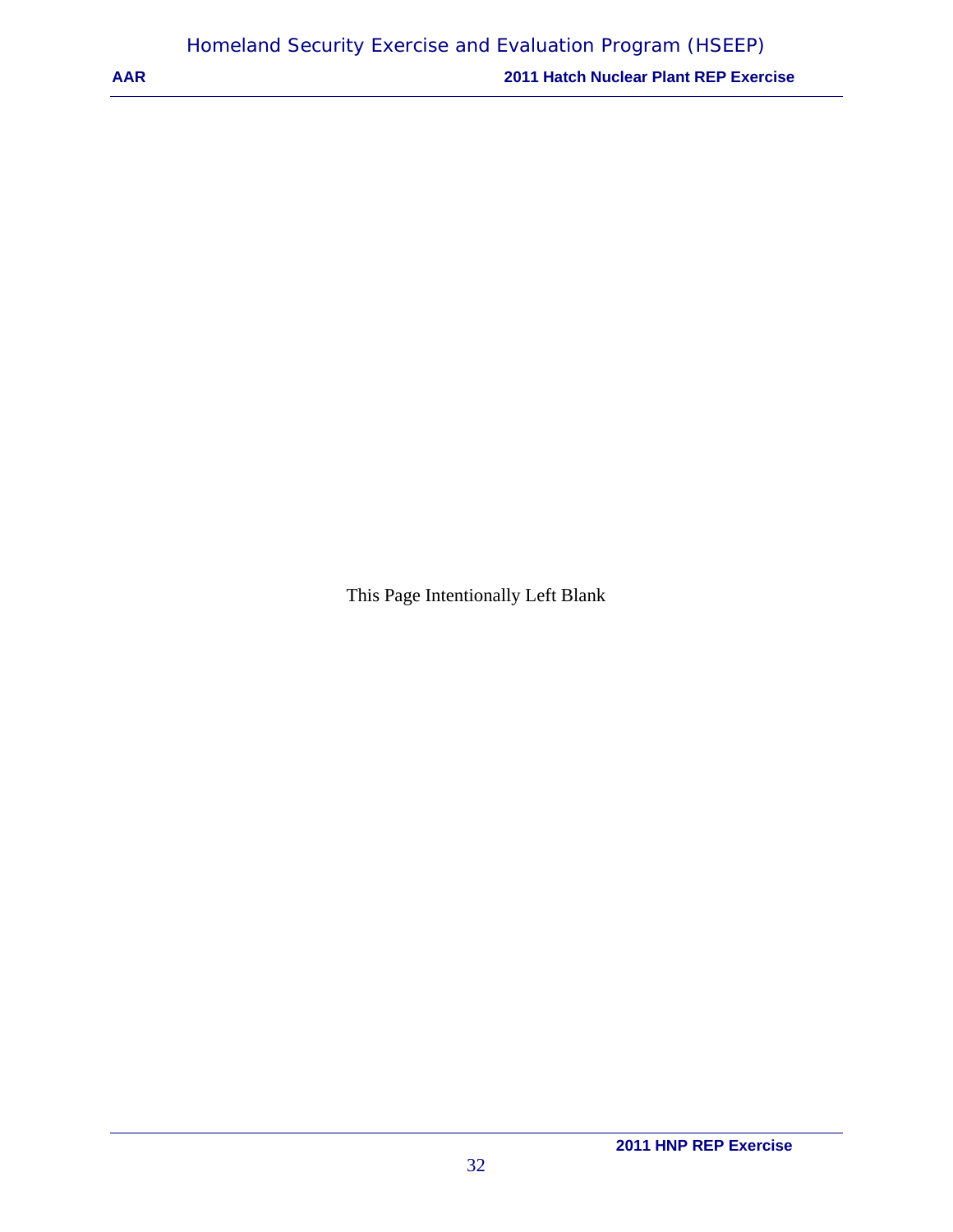This Page Intentionally Left Blank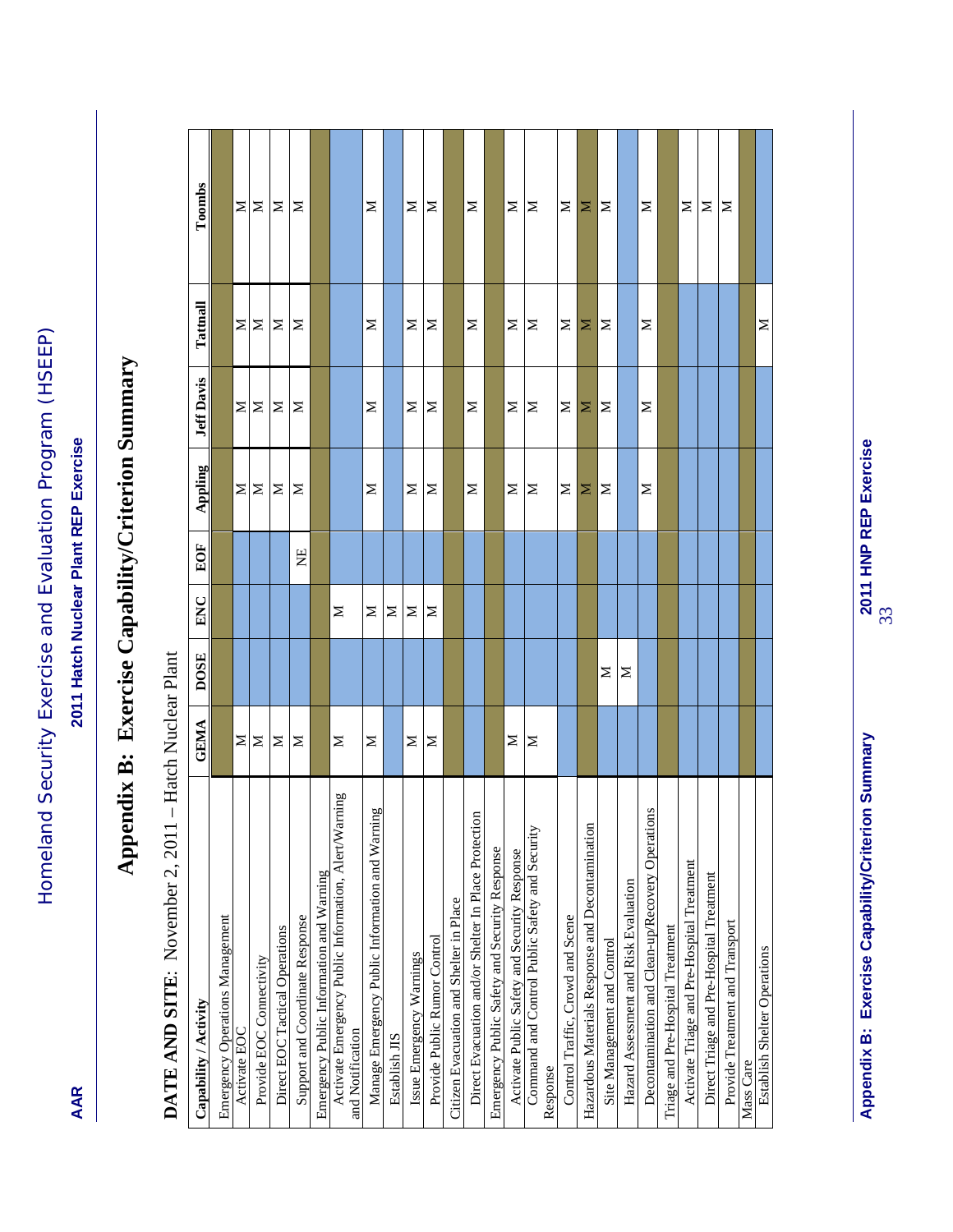Homeland Security Exercise and Evaluation Program (HSEEP) Homeland Security Exercise and Evaluation Program (HSEEP)

2011 Hatch Nuclear Plant REP Exercise **AAR 2011 Hatch Nuclear Plant REP Exercise**

# **Appendix B: Exercise Capability/Criterion Summary**  Appendix B: Exercise Capability/Criterion Summary

# DATE AND SITE: November 2, 2011 - Hatch Nuclear Plant **DATE AND SITE**: November 2, 2011 – Hatch Nuclear Plant

| Capability / Activity                                                    | <b>GEMIA</b> | <b>DOSE</b> | ENC | EOF | Appling | <b>Jeff Davis</b> | Tattnall     | Toombs |
|--------------------------------------------------------------------------|--------------|-------------|-----|-----|---------|-------------------|--------------|--------|
| Emergency Operations Management                                          |              |             |     |     |         |                   |              |        |
| Activate EOC                                                             | $\geq$       |             |     |     | $\geq$  | $\geq$            | Σ            | $\geq$ |
| Provide EOC Connectivity                                                 | Z            |             |     |     | Σ       | z                 | $\mathbb{Z}$ | Σ      |
| Direct EOC Tactical Operations                                           | Σ            |             |     |     | Σ       | $\geq$            | $\geq$       | Σ      |
| Support and Coordinate Response                                          | Σ            |             |     | Ë   | $\geq$  | z                 | Σ            | z      |
| Emergency Public Information and Warning                                 |              |             |     |     |         |                   |              |        |
| Activate Emergency Public Information, Alert/Warning<br>and Notification | Σ            |             | Σ   |     |         |                   |              |        |
| Manage Emergency Public Information and Warning                          | Z            |             | Z   |     | $\geq$  | Σ                 | Σ            | Σ      |
| Establish JIS                                                            |              |             | z   |     |         |                   |              |        |
| Issue Emergency Warnings                                                 | Σ            |             | Σ   |     | $\geq$  | Z                 | Σ            | Σ      |
| Provide Public Rumor Control                                             | Z            |             | ⊠   |     | Σ       | $\geq$            | Σ            | Z      |
| Citizen Evacuation and Shelter in Place                                  |              |             |     |     |         |                   |              |        |
| Direct Evacuation and/or Shelter In Place Protection                     |              |             |     |     | Σ       | Z                 | Z            | Z      |
| Emergency Public Safety and Security Response                            |              |             |     |     |         |                   |              |        |
| Activate Public Safety and Security Response                             | Σ            |             |     |     | Σ       | Σ                 | Σ            | Σ      |
| Command and Control Public Safety and Security                           | Σ            |             |     |     | Σ       | Σ                 | Σ            | Σ      |
| Response                                                                 |              |             |     |     |         |                   |              |        |
| Control Traffic, Crowd and Scene                                         |              |             |     |     | $\geq$  | $\geq$            | Σ            | $\geq$ |
| Hazardous Materials Response and Decontamination                         |              |             |     |     | $\geq$  | ⊠                 | ⊠            | Z      |
| Site Management and Control                                              |              | Σ           |     |     | Σ       | Z                 | Σ            | Σ      |
| Hazard Assessment and Risk Evaluation                                    |              | Σ           |     |     |         |                   |              |        |
| Decontamination and Clean-up/Recovery Operations                         |              |             |     |     | Σ       | Σ                 | Σ            | Σ      |
| Triage and Pre-Hospital Treatment                                        |              |             |     |     |         |                   |              |        |
| Activate Triage and Pre-Hospital Treatment                               |              |             |     |     |         |                   |              | Σ      |
| Direct Triage and Pre-Hospital Treatment                                 |              |             |     |     |         |                   |              | Σ      |
| Provide Treatment and Transport                                          |              |             |     |     |         |                   |              | z      |
| Mass Care                                                                |              |             |     |     |         |                   |              |        |
| Establish Shelter Operations                                             |              |             |     |     |         |                   | $\geq$       |        |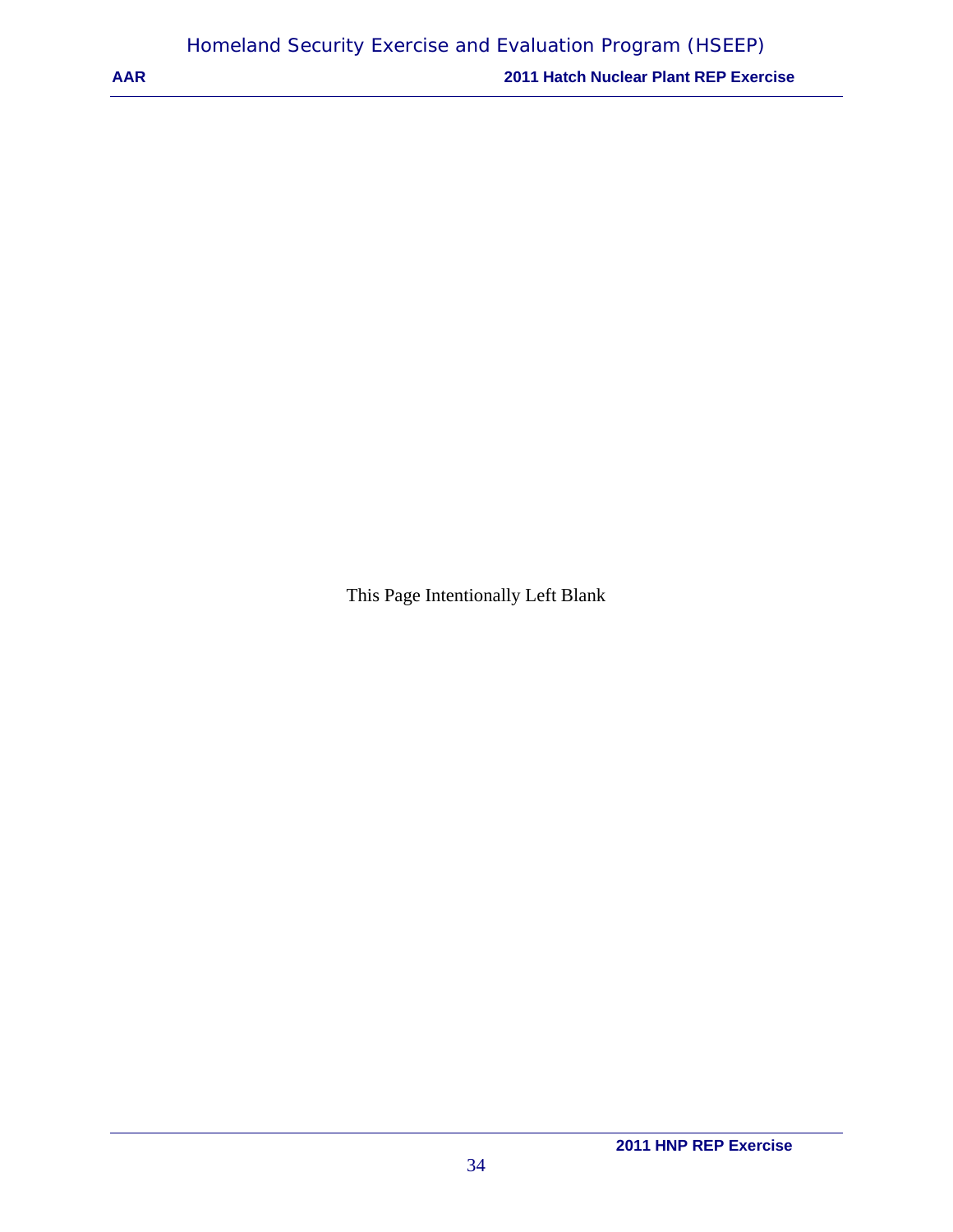This Page Intentionally Left Blank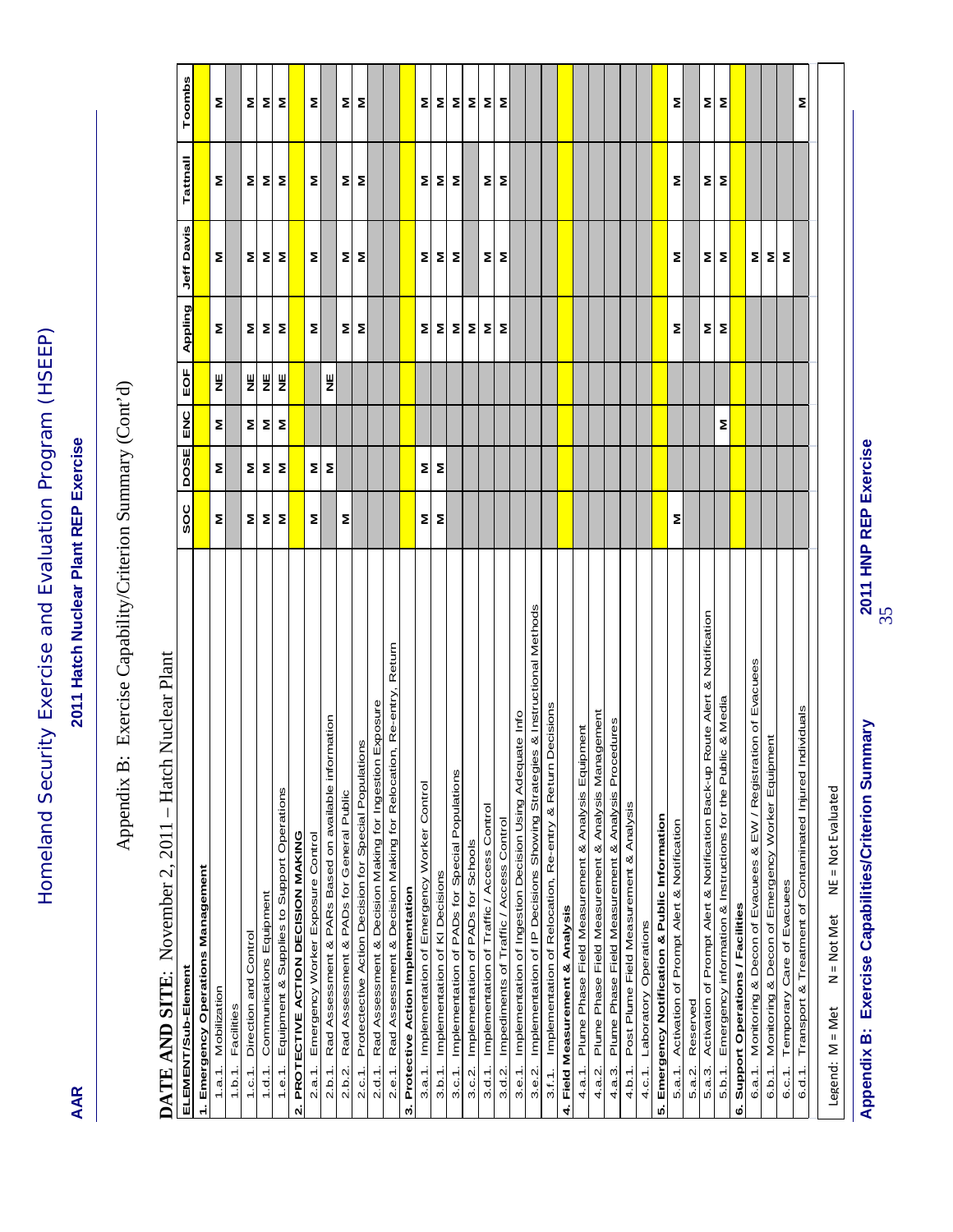Homeland Security Exercise and Evaluation Program (HSEEP) Homeland Security Exercise and Evaluation Program (HSEEP)

# 2011 Hatch Nuclear Plant REP Exercise **AAR 2011 Hatch Nuclear Plant REP Exercise**

# Appendix B: Exercise Capability/Criterion Summary (Cont'd) Appendix B: Exercise Capability/Criterion Summary (Cont'd)

# DATE AND SITE: November 2, 2011 – Hatch Nuclear Plant **DATE AND SITE**: November 2, 2011 – Hatch Nuclear Plant

| ELEMENT/Sub-Element                                                                          | SOC | DOSE | ENC | EOF    | Appling | <b>Jeff Davis</b> | Tattnall | Toombs |
|----------------------------------------------------------------------------------------------|-----|------|-----|--------|---------|-------------------|----------|--------|
| 1. Emergency Operations Management                                                           |     |      |     |        |         |                   |          |        |
| 1.a.1. Mobilization                                                                          | Σ   | Σ    | Σ   | ≝<br>Z | Σ       | Σ                 | Σ        | Σ      |
| Facilities<br>1.5.1.                                                                         |     |      |     |        |         |                   |          |        |
| Direction and Control<br>1.c.1.                                                              | 회   | 회    | 즤   | 삠      | 회       | ΣΙ                | ΣI       | Σ      |
| Communications Equipment<br>$1$ .d.1.                                                        | ΣΙ  | 즤    | 즤   | ٣      | ΣΙ      | ΣI                | ΣΙ       | ΣΙ     |
| Equipment & Supplies to Support Operations<br>1.e.1.                                         | Σ   | Σ    | Σ   | ٣      | Σ       | Σ                 | Σ        | Σ      |
| 2. PROTECTIVE ACTION DECISION MAKING                                                         |     |      |     |        |         |                   |          |        |
| Emergency Worker Exposure Control<br>2.a.1.                                                  | Σ   | Σ    |     |        | Σ       | Σ                 | Σ        | Σ      |
| Rad Assessment & PARs Based on available information<br>2.b.1.                               |     | Σ    |     | 삠      |         |                   |          |        |
| Rad Assessment & PADs for General Public<br>2.b.2.                                           | Σ   |      |     |        | Σ       | Σ                 | Σ        | Σ      |
| ons<br>2.c.1. Protectective Action Decision for Special Populati                             |     |      |     |        | Σ       | Σ                 | Σ        | Σ      |
| 2.d.1. Rad Assessment & Decision Making for Ingestion Exposure                               |     |      |     |        |         |                   |          |        |
| Return<br>Rad Assessment & Decision Making for Relocation, Re-entry<br>2.e.1.                |     |      |     |        |         |                   |          |        |
| Protective Action Implementation<br>ო                                                        |     |      |     |        |         |                   |          |        |
| 3.a.1. Implementation of Emergency Worker Control                                            | Σ   | Σ    |     |        | Σ       | Σ                 | Σ        | Σ      |
| 3.b.1. Implementation of KI Decisions                                                        | Σ   | Σ    |     |        | Σ       | Σ                 | Σ        | Σ      |
| Implementation of PADs for Special Populations<br>$3.c.1$ .                                  |     |      |     |        | Σ       | Σ                 | Σ        | Σ      |
| Implementation of PADs for Schools<br>3.c.2.                                                 |     |      |     |        | Σ       |                   |          | Σ      |
| 3.d.1. Implementation of Traffic / Access Control                                            |     |      |     |        | Σ       | Σ                 | Σ        | Σ      |
| 3.d.2. Impediments of Traffic / Access Control                                               |     |      |     |        | Σ       | Σ                 | Σ        | Σ      |
| 3.e.1. Implementation of Ingestion Decision Using Adequate Info                              |     |      |     |        |         |                   |          |        |
| Instructional Methods<br>3.e.2. Implementation of IP Decisions Showing Strategies &          |     |      |     |        |         |                   |          |        |
| Decisions<br>3.f.1. Implementation of Relocation, Re-entry & Return                          |     |      |     |        |         |                   |          |        |
| 4. Field Measurement & Analysis                                                              |     |      |     |        |         |                   |          |        |
| Plume Phase Field Measurement & Analysis Equipment<br>4.a.1.                                 |     |      |     |        |         |                   |          |        |
| Plume Phase Field Measurement & Analysis Management<br>4.a.2.                                |     |      |     |        |         |                   |          |        |
| Plume Phase Field Measurement & Analysis Procedures<br>4.a.3.                                |     |      |     |        |         |                   |          |        |
| 4.b.1. Post Plume Field Measurement & Analysis                                               |     |      |     |        |         |                   |          |        |
| 4.c.1. Laboratory Operations                                                                 |     |      |     |        |         |                   |          |        |
| 5. Emergency Notification & Public Information                                               |     |      |     |        |         |                   |          |        |
| Activation of Prompt Alert & Notification<br>5.a.1.                                          | Σ   |      |     |        | Σ       | Σ                 | Σ        | Σ      |
| Reserved<br>5.a.2.                                                                           |     |      |     |        |         |                   |          |        |
| & Notification<br>Route Alert<br>Activation of Prompt Alert & Notification Back-up<br>5.a.3. |     |      |     |        | Σ       | Σ                 | Σ        | Σ      |
| & Media<br>Emergency information & Instructions for the Public<br>5.b.1.                     |     |      | Σ   |        | Σ       | Σ                 | Σ        | Σ      |
| Support Operations / Facilities<br>ڧ                                                         |     |      |     |        |         |                   |          |        |
| Evacuees<br>6.a.1. Monitoring & Decon of Evacuees & EW / Registration of                     |     |      |     |        |         | Σ                 |          |        |
| 6.b.1. Monitoring & Decon of Emergency Worker Equipment                                      |     |      |     |        |         | Σ                 |          |        |
| Temporary Care of Evacuees<br>6.c.1.                                                         |     |      |     |        |         | Σ                 |          |        |
| ndividuals<br>Transport & Treatment of Contaminated Injured I<br>6.d.1.                      |     |      |     |        |         |                   |          | Σ      |
| NE = Not Evaluated<br>N = Not Met<br>Legend: $M = Met$                                       |     |      |     |        |         |                   |          |        |

**Appendix B: Exercise Capabilities/Criterion Summary 2011 HNP REP Exercise**  Appendix B: Exercise Capabilities/Criterion Summary

2011 HNP REP Exercise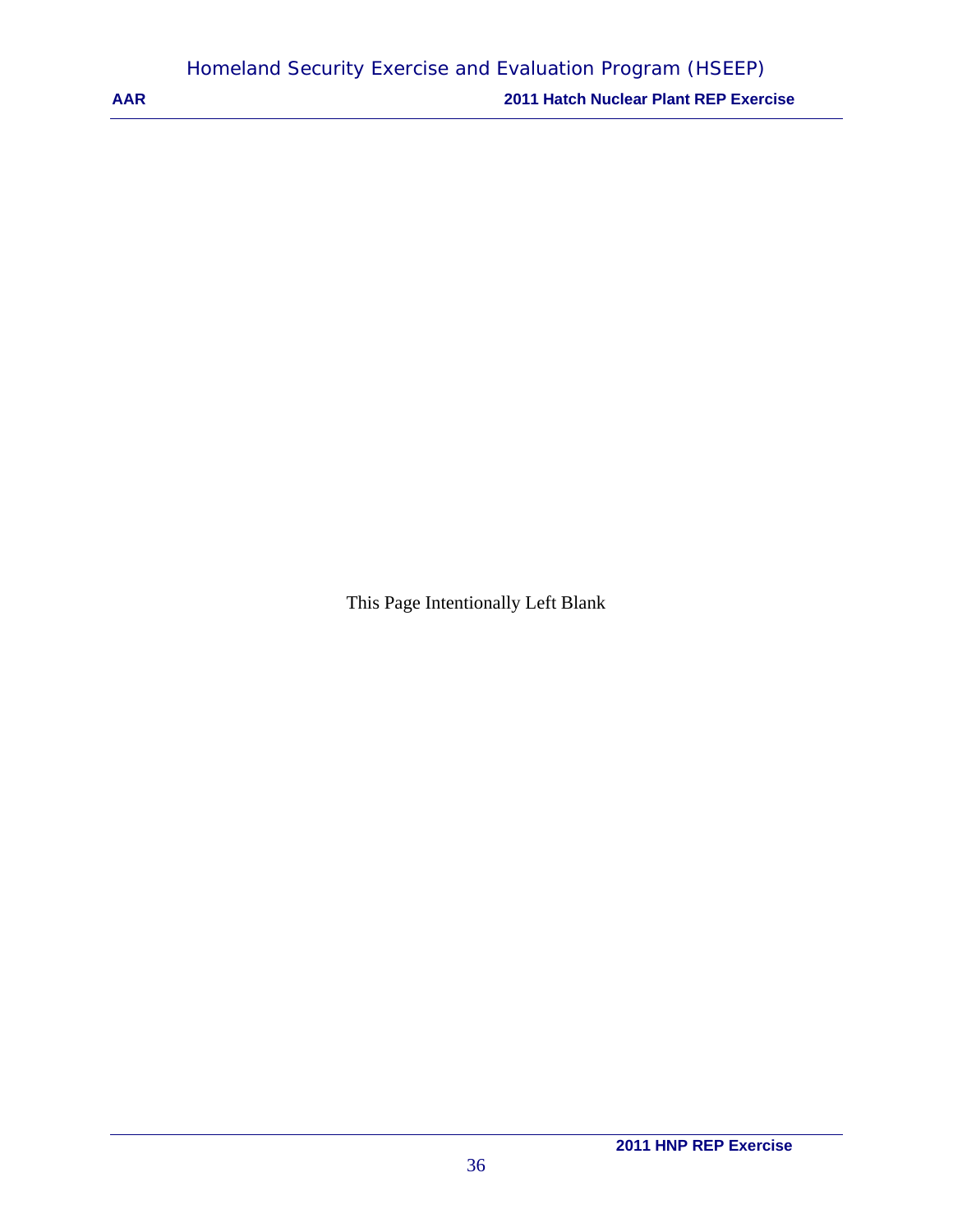This Page Intentionally Left Blank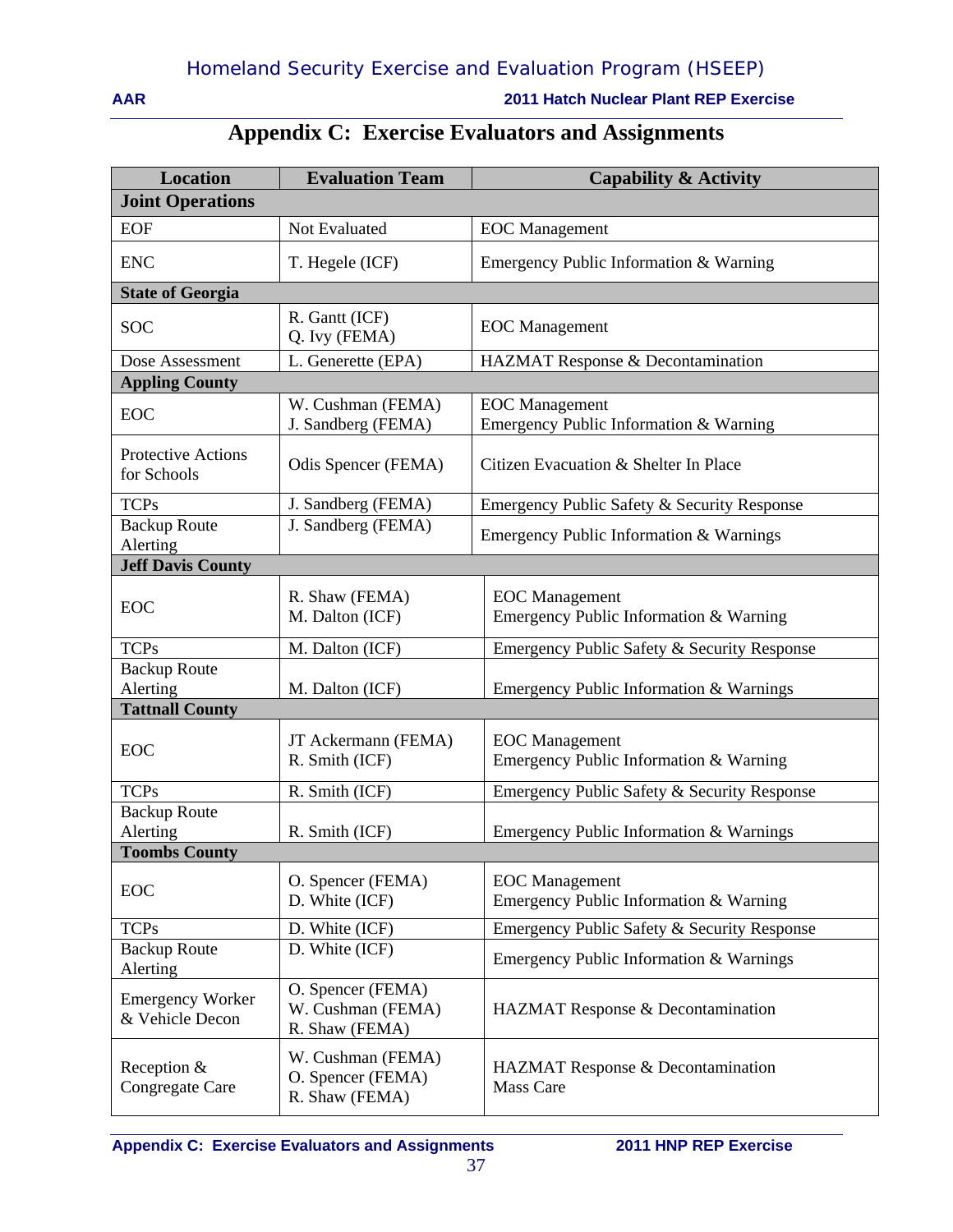# **Appendix C: Exercise Evaluators and Assignments**

| <b>Location</b>                            | <b>Evaluation Team</b>                                   | <b>Capability &amp; Activity</b>                                |  |  |  |
|--------------------------------------------|----------------------------------------------------------|-----------------------------------------------------------------|--|--|--|
| <b>Joint Operations</b>                    |                                                          |                                                                 |  |  |  |
| <b>EOF</b>                                 | Not Evaluated                                            | <b>EOC</b> Management                                           |  |  |  |
| <b>ENC</b>                                 | T. Hegele (ICF)                                          | Emergency Public Information & Warning                          |  |  |  |
| <b>State of Georgia</b>                    |                                                          |                                                                 |  |  |  |
| <b>SOC</b>                                 | R. Gantt (ICF)<br>Q. Ivy (FEMA)                          | <b>EOC</b> Management                                           |  |  |  |
| Dose Assessment                            | L. Generette (EPA)                                       | HAZMAT Response & Decontamination                               |  |  |  |
| <b>Appling County</b>                      |                                                          |                                                                 |  |  |  |
| <b>EOC</b>                                 | W. Cushman (FEMA)<br>J. Sandberg (FEMA)                  | <b>EOC</b> Management<br>Emergency Public Information & Warning |  |  |  |
| Protective Actions<br>for Schools          | Odis Spencer (FEMA)                                      | Citizen Evacuation & Shelter In Place                           |  |  |  |
| <b>TCPs</b>                                | J. Sandberg (FEMA)                                       | Emergency Public Safety & Security Response                     |  |  |  |
| <b>Backup Route</b><br>Alerting            | J. Sandberg (FEMA)                                       | Emergency Public Information & Warnings                         |  |  |  |
| <b>Jeff Davis County</b>                   |                                                          |                                                                 |  |  |  |
| <b>EOC</b>                                 | R. Shaw (FEMA)<br>M. Dalton (ICF)                        | <b>EOC</b> Management<br>Emergency Public Information & Warning |  |  |  |
| <b>TCPs</b>                                | M. Dalton (ICF)                                          | Emergency Public Safety & Security Response                     |  |  |  |
| <b>Backup Route</b>                        |                                                          |                                                                 |  |  |  |
| Alerting                                   | M. Dalton (ICF)                                          | Emergency Public Information & Warnings                         |  |  |  |
| <b>Tattnall County</b>                     |                                                          |                                                                 |  |  |  |
| EOC                                        | JT Ackermann (FEMA)<br>R. Smith (ICF)                    | <b>EOC</b> Management<br>Emergency Public Information & Warning |  |  |  |
| <b>TCPs</b>                                | R. Smith (ICF)                                           | Emergency Public Safety & Security Response                     |  |  |  |
| <b>Backup Route</b><br>Alerting            | R. Smith (ICF)                                           | Emergency Public Information & Warnings                         |  |  |  |
| <b>Toombs County</b>                       |                                                          |                                                                 |  |  |  |
| <b>EOC</b>                                 | O. Spencer (FEMA)<br>D. White (ICF)                      | <b>EOC</b> Management<br>Emergency Public Information & Warning |  |  |  |
| <b>TCPs</b>                                | D. White (ICF)                                           | Emergency Public Safety & Security Response                     |  |  |  |
| <b>Backup Route</b><br>Alerting            | D. White (ICF)                                           | Emergency Public Information & Warnings                         |  |  |  |
| <b>Emergency Worker</b><br>& Vehicle Decon | O. Spencer (FEMA)<br>W. Cushman (FEMA)<br>R. Shaw (FEMA) | <b>HAZMAT</b> Response & Decontamination                        |  |  |  |
| Reception &<br>Congregate Care             | W. Cushman (FEMA)<br>O. Spencer (FEMA)<br>R. Shaw (FEMA) | <b>HAZMAT</b> Response & Decontamination<br>Mass Care           |  |  |  |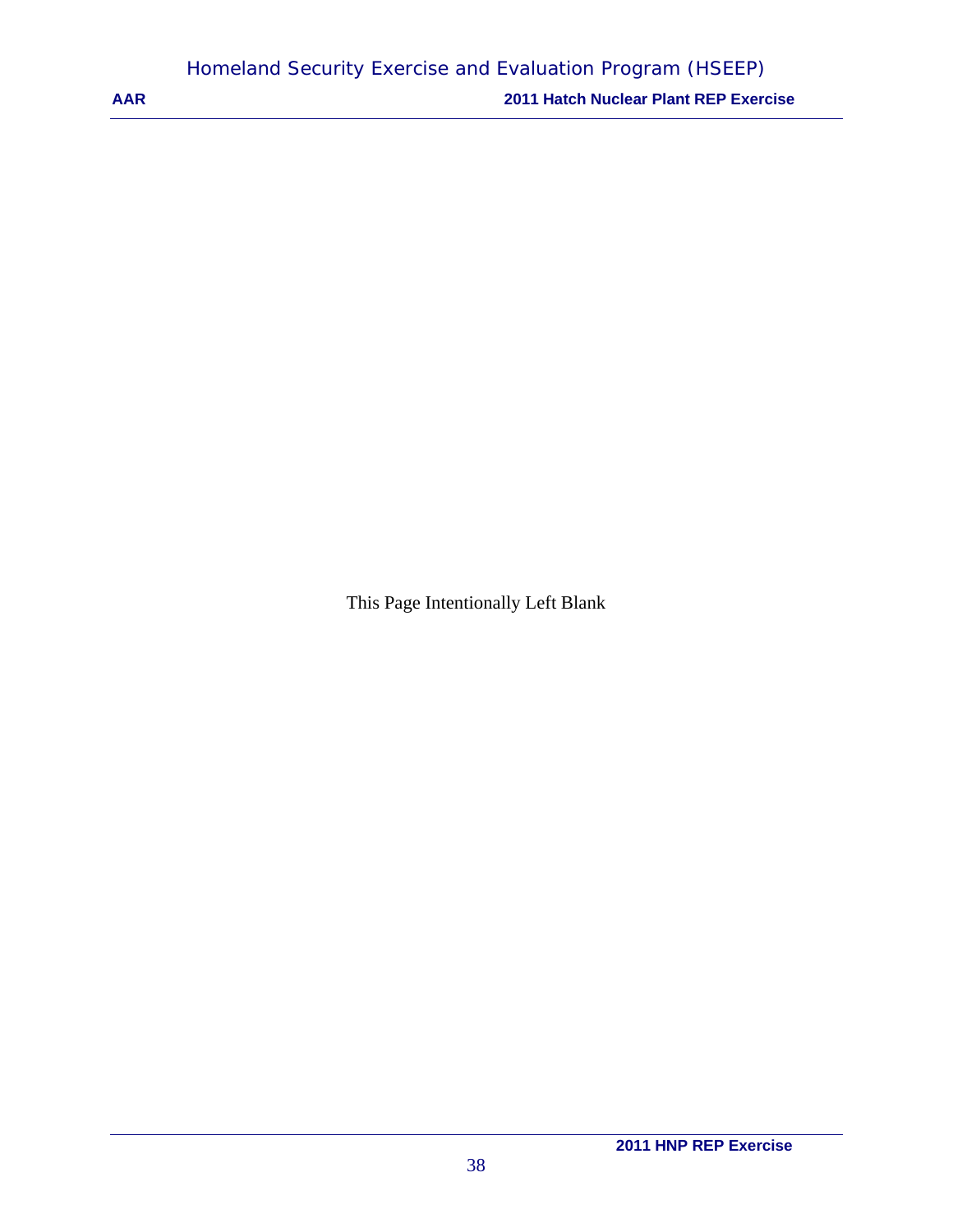This Page Intentionally Left Blank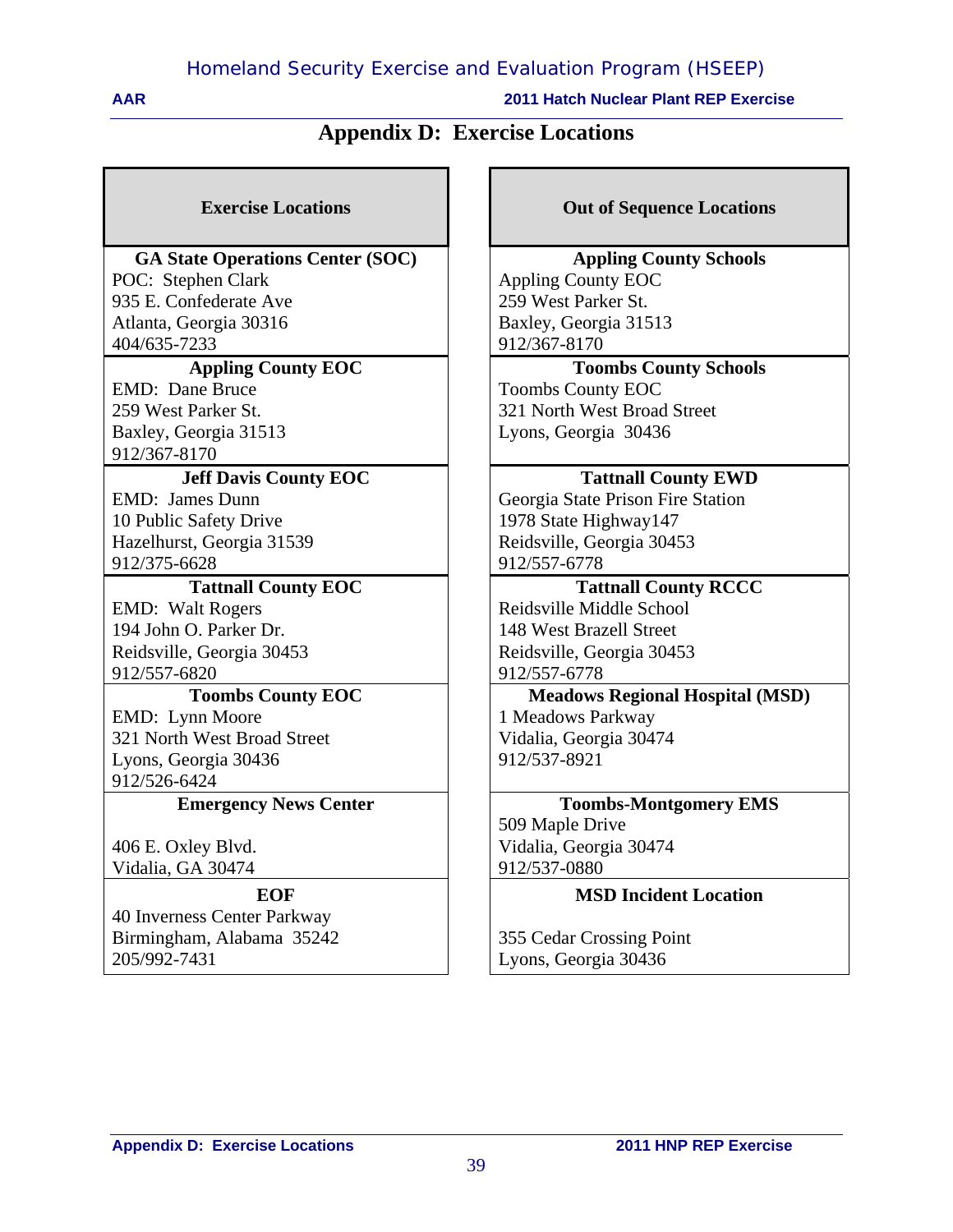## **Appendix D: Exercise Locations**

| <b>Exercise Locations</b>               |                  |
|-----------------------------------------|------------------|
| <b>GA State Operations Center (SOC)</b> |                  |
| POC: Stephen Clark                      | Appl             |
| 935 E. Confederate Ave                  | 259              |
| Atlanta, Georgia 30316                  | Baxl             |
| 404/635-7233                            | 912/3            |
| <b>Appling County EOC</b>               |                  |
| <b>EMD:</b> Dane Bruce                  | Toor             |
| 259 West Parker St.                     | 3211             |
| Baxley, Georgia 31513                   | Lyon             |
| 912/367-8170                            |                  |
| <b>Jeff Davis County EOC</b>            |                  |
| <b>EMD</b> : James Dunn                 | Geor             |
| 10 Public Safety Drive                  | 1978             |
| Hazelhurst, Georgia 31539               | Reid             |
| 912/375-6628                            | 912/             |
| <b>Tattnall County EOC</b>              |                  |
| <b>EMD:</b> Walt Rogers                 | Reid             |
| 194 John O. Parker Dr.                  | 148 <sup>1</sup> |
| Reidsville, Georgia 30453               | Reid             |
| 912/557-6820                            | 912/             |
| <b>Toombs County EOC</b>                | Ŋ                |
| EMD: Lynn Moore                         | 1 Me             |
| 321 North West Broad Street             | Vida             |
| Lyons, Georgia 30436                    | 912/             |
| 912/526-6424                            |                  |
| <b>Emergency News Center</b>            |                  |
|                                         | 509 I            |
| 406 E. Oxley Blvd.                      | Vida             |
| Vidalia, GA 30474                       | 912/             |
| <b>EOF</b>                              |                  |
| 40 Inverness Center Parkway             |                  |
| Birmingham, Alabama 35242               | 355 <sub>0</sub> |
| 205/992-7431                            | Lvon             |

**Out of Sequence Locations** 

**Appling County Schools**  ing County EOC West Parker St. ey, Georgia 31513 912/367-8170

**Toombs County Schools** nbs County EOC North West Broad Street s, Georgia 30436

### **Tattnall County EWD**  gia State Prison Fire Station State Highway147 sville, Georgia 30453 912/557-6778

**Tattnall County RCCC**  sville Middle School West Brazell Street sville, Georgia 30453 912/557-6778

**Meadows Regional Hospital (MSD)**  adows Parkway lia, Georgia 30474 912/537-8921

**Toombs-Montgomery EMS**  Maple Drive lia, Georgia 30474 537-0880

**MSD Incident Location** 

**255 Crossing Point** Lyons, Georgia 30436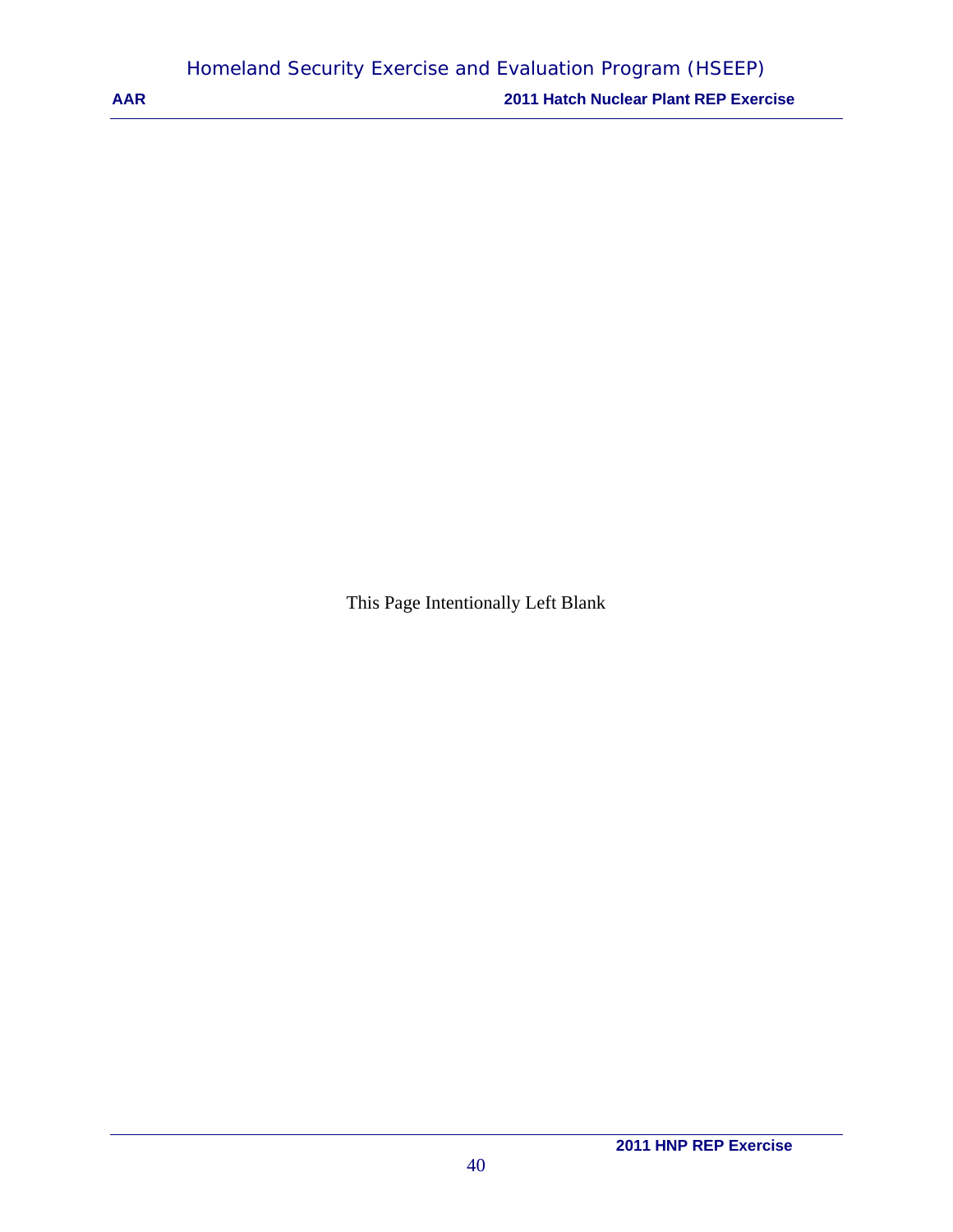This Page Intentionally Left Blank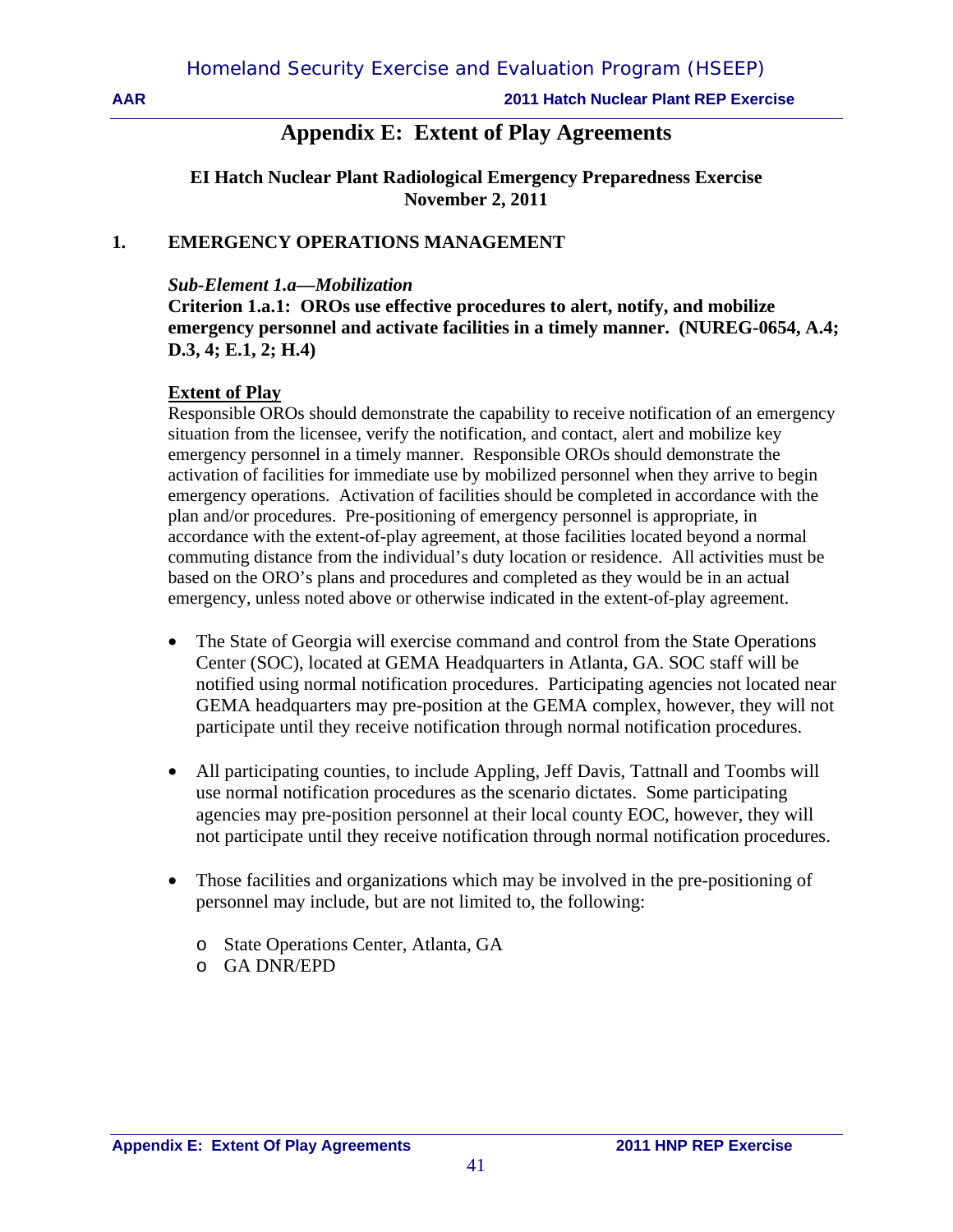## **Appendix E: Extent of Play Agreements**

**EI Hatch Nuclear Plant Radiological Emergency Preparedness Exercise November 2, 2011** 

### **1. EMERGENCY OPERATIONS MANAGEMENT**

### *Sub-Element 1.a—Mobilization*

**Criterion 1.a.1: OROs use effective procedures to alert, notify, and mobilize emergency personnel and activate facilities in a timely manner. (NUREG-0654, A.4; D.3, 4; E.1, 2; H.4)** 

### **Extent of Play**

Responsible OROs should demonstrate the capability to receive notification of an emergency situation from the licensee, verify the notification, and contact, alert and mobilize key emergency personnel in a timely manner. Responsible OROs should demonstrate the activation of facilities for immediate use by mobilized personnel when they arrive to begin emergency operations. Activation of facilities should be completed in accordance with the plan and/or procedures. Pre-positioning of emergency personnel is appropriate, in accordance with the extent-of-play agreement, at those facilities located beyond a normal commuting distance from the individual's duty location or residence. All activities must be based on the ORO's plans and procedures and completed as they would be in an actual emergency, unless noted above or otherwise indicated in the extent-of-play agreement.

- The State of Georgia will exercise command and control from the State Operations Center (SOC), located at GEMA Headquarters in Atlanta, GA. SOC staff will be notified using normal notification procedures. Participating agencies not located near GEMA headquarters may pre-position at the GEMA complex, however, they will not participate until they receive notification through normal notification procedures.
- All participating counties, to include Appling, Jeff Davis, Tattnall and Toombs will use normal notification procedures as the scenario dictates. Some participating agencies may pre-position personnel at their local county EOC, however, they will not participate until they receive notification through normal notification procedures.
- Those facilities and organizations which may be involved in the pre-positioning of personnel may include, but are not limited to, the following:
	- o State Operations Center, Atlanta, GA
	- o GA DNR/EPD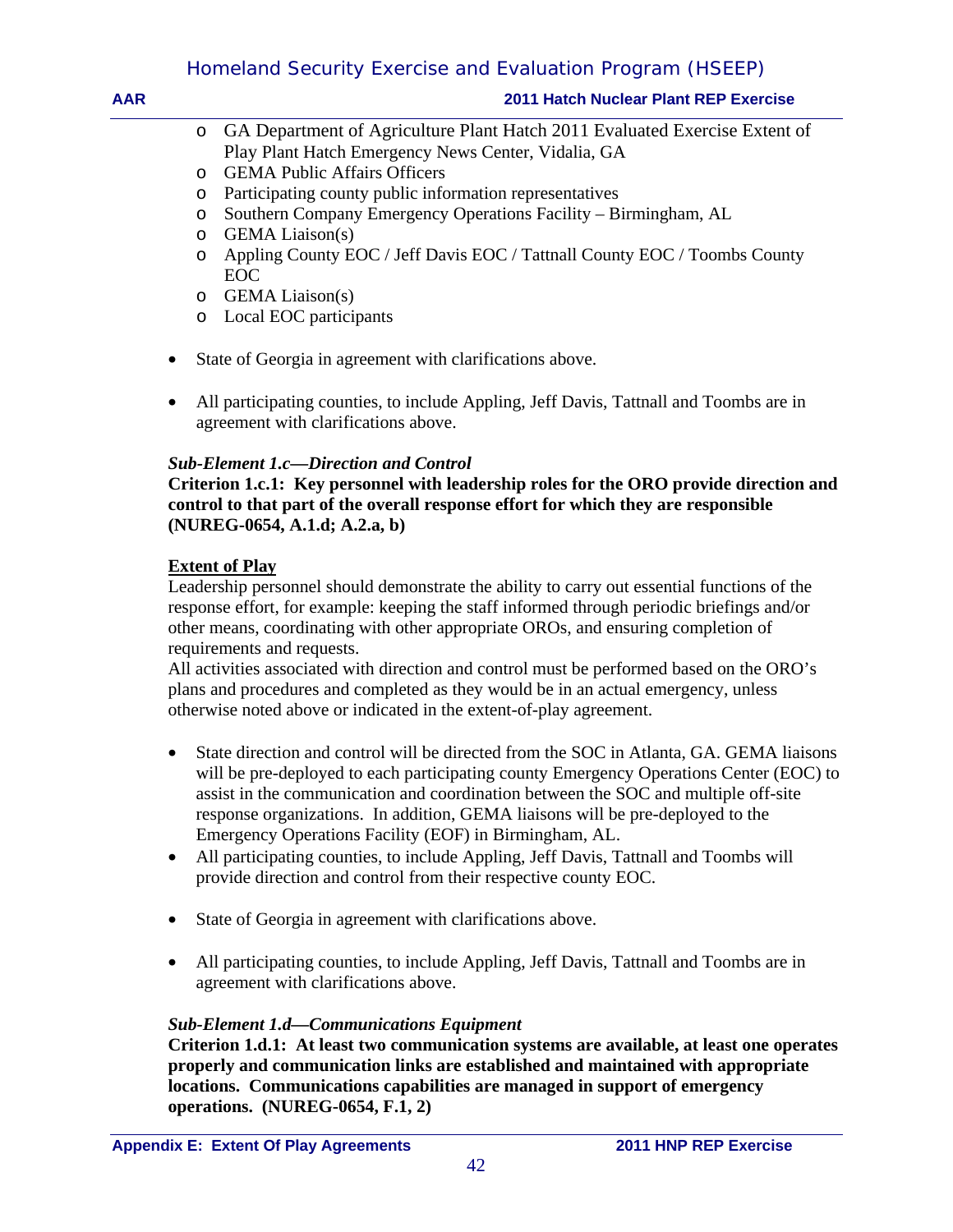| o GA Department of Agriculture Plant Hatch 2011 Evaluated Exercise Extent of |
|------------------------------------------------------------------------------|
| Play Plant Hatch Emergency News Center, Vidalia, GA                          |

- o GEMA Public Affairs Officers
- o Participating county public information representatives
- o Southern Company Emergency Operations Facility Birmingham, AL
- o GEMA Liaison(s)
- o Appling County EOC / Jeff Davis EOC / Tattnall County EOC / Toombs County EOC
- o GEMA Liaison(s)
- o Local EOC participants
- State of Georgia in agreement with clarifications above.
- All participating counties, to include Appling, Jeff Davis, Tattnall and Toombs are in agreement with clarifications above.

### *Sub-Element 1.c—Direction and Control*

### **Criterion 1.c.1: Key personnel with leadership roles for the ORO provide direction and control to that part of the overall response effort for which they are responsible (NUREG-0654, A.1.d; A.2.a, b)**

### **Extent of Play**

Leadership personnel should demonstrate the ability to carry out essential functions of the response effort, for example: keeping the staff informed through periodic briefings and/or other means, coordinating with other appropriate OROs, and ensuring completion of requirements and requests.

All activities associated with direction and control must be performed based on the ORO's plans and procedures and completed as they would be in an actual emergency, unless otherwise noted above or indicated in the extent-of-play agreement.

- State direction and control will be directed from the SOC in Atlanta, GA. GEMA liaisons will be pre-deployed to each participating county Emergency Operations Center (EOC) to assist in the communication and coordination between the SOC and multiple off-site response organizations. In addition, GEMA liaisons will be pre-deployed to the Emergency Operations Facility (EOF) in Birmingham, AL.
- All participating counties, to include Appling, Jeff Davis, Tattnall and Toombs will provide direction and control from their respective county EOC.
- State of Georgia in agreement with clarifications above.
- All participating counties, to include Appling, Jeff Davis, Tattnall and Toombs are in agreement with clarifications above.

### *Sub-Element 1.d—Communications Equipment*

**Criterion 1.d.1: At least two communication systems are available, at least one operates properly and communication links are established and maintained with appropriate locations. Communications capabilities are managed in support of emergency operations. (NUREG-0654, F.1, 2)**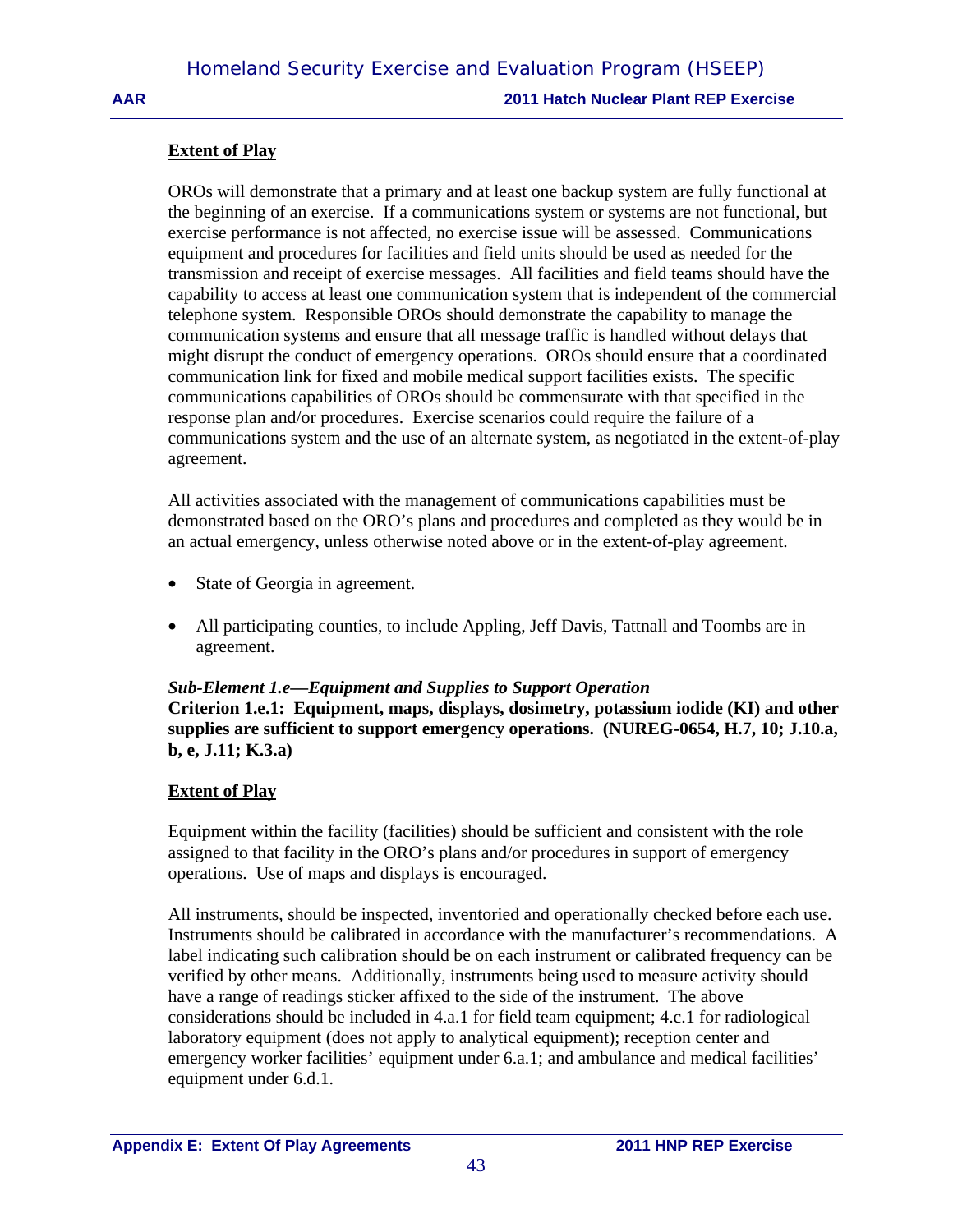### **Extent of Play**

OROs will demonstrate that a primary and at least one backup system are fully functional at the beginning of an exercise. If a communications system or systems are not functional, but exercise performance is not affected, no exercise issue will be assessed. Communications equipment and procedures for facilities and field units should be used as needed for the transmission and receipt of exercise messages. All facilities and field teams should have the capability to access at least one communication system that is independent of the commercial telephone system. Responsible OROs should demonstrate the capability to manage the communication systems and ensure that all message traffic is handled without delays that might disrupt the conduct of emergency operations. OROs should ensure that a coordinated communication link for fixed and mobile medical support facilities exists. The specific communications capabilities of OROs should be commensurate with that specified in the response plan and/or procedures. Exercise scenarios could require the failure of a communications system and the use of an alternate system, as negotiated in the extent-of-play agreement.

All activities associated with the management of communications capabilities must be demonstrated based on the ORO's plans and procedures and completed as they would be in an actual emergency, unless otherwise noted above or in the extent-of-play agreement.

- State of Georgia in agreement.
- All participating counties, to include Appling, Jeff Davis, Tattnall and Toombs are in agreement.

### *Sub-Element 1.e—Equipment and Supplies to Support Operation*  **Criterion 1.e.1: Equipment, maps, displays, dosimetry, potassium iodide (KI) and other supplies are sufficient to support emergency operations. (NUREG-0654, H.7, 10; J.10.a, b, e, J.11; K.3.a)**

### **Extent of Play**

Equipment within the facility (facilities) should be sufficient and consistent with the role assigned to that facility in the ORO's plans and/or procedures in support of emergency operations. Use of maps and displays is encouraged.

All instruments, should be inspected, inventoried and operationally checked before each use. Instruments should be calibrated in accordance with the manufacturer's recommendations. A label indicating such calibration should be on each instrument or calibrated frequency can be verified by other means. Additionally, instruments being used to measure activity should have a range of readings sticker affixed to the side of the instrument. The above considerations should be included in 4.a.1 for field team equipment; 4.c.1 for radiological laboratory equipment (does not apply to analytical equipment); reception center and emergency worker facilities' equipment under 6.a.1; and ambulance and medical facilities' equipment under 6.d.1.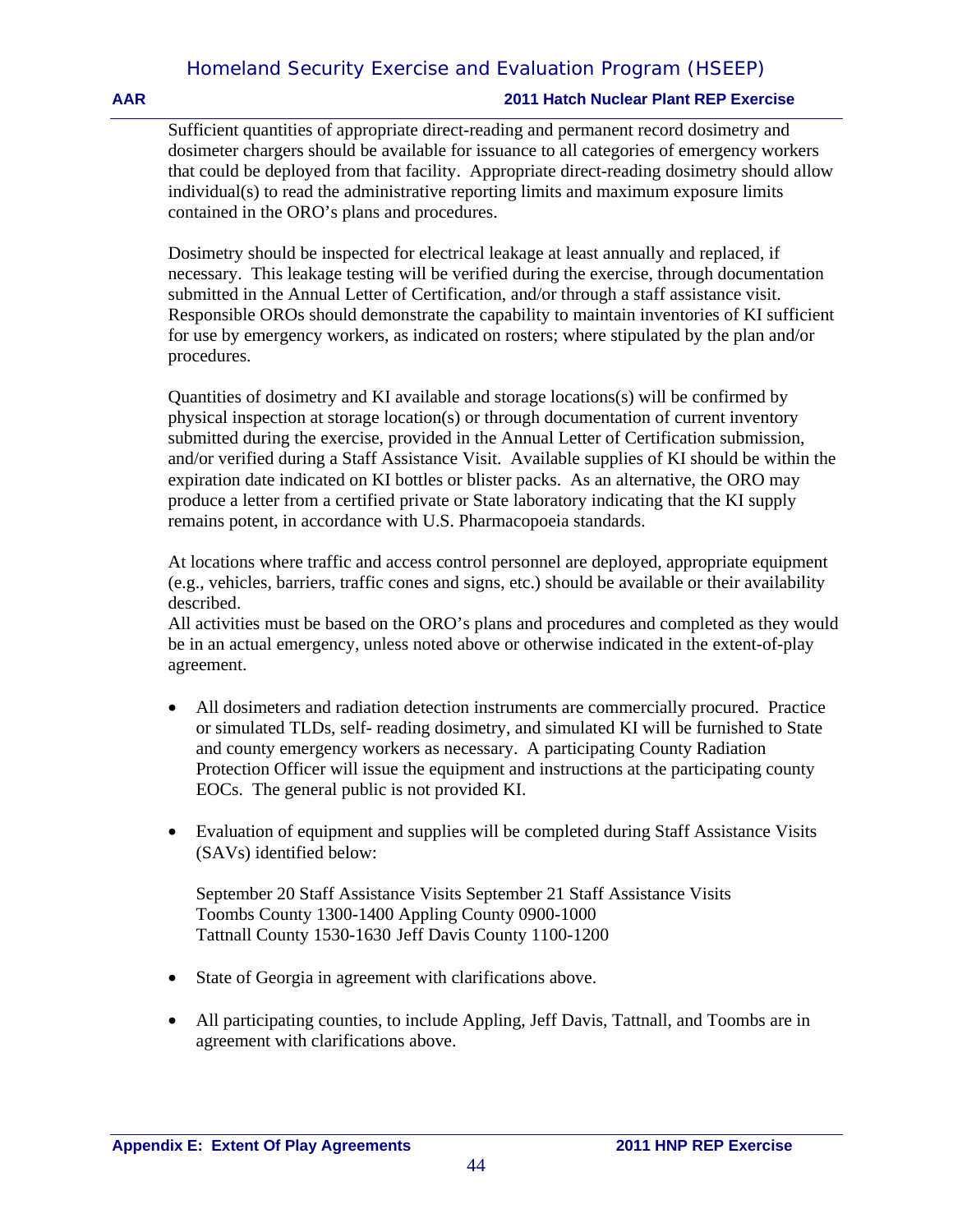### **AAR 2011 Hatch Nuclear Plant REP Exercise**

Sufficient quantities of appropriate direct-reading and permanent record dosimetry and dosimeter chargers should be available for issuance to all categories of emergency workers that could be deployed from that facility. Appropriate direct-reading dosimetry should allow individual(s) to read the administrative reporting limits and maximum exposure limits contained in the ORO's plans and procedures.

Dosimetry should be inspected for electrical leakage at least annually and replaced, if necessary. This leakage testing will be verified during the exercise, through documentation submitted in the Annual Letter of Certification, and/or through a staff assistance visit. Responsible OROs should demonstrate the capability to maintain inventories of KI sufficient for use by emergency workers, as indicated on rosters; where stipulated by the plan and/or procedures.

Quantities of dosimetry and KI available and storage locations(s) will be confirmed by physical inspection at storage location(s) or through documentation of current inventory submitted during the exercise, provided in the Annual Letter of Certification submission, and/or verified during a Staff Assistance Visit. Available supplies of KI should be within the expiration date indicated on KI bottles or blister packs. As an alternative, the ORO may produce a letter from a certified private or State laboratory indicating that the KI supply remains potent, in accordance with U.S. Pharmacopoeia standards.

At locations where traffic and access control personnel are deployed, appropriate equipment (e.g., vehicles, barriers, traffic cones and signs, etc.) should be available or their availability described.

All activities must be based on the ORO's plans and procedures and completed as they would be in an actual emergency, unless noted above or otherwise indicated in the extent-of-play agreement.

- All dosimeters and radiation detection instruments are commercially procured. Practice or simulated TLDs, self- reading dosimetry, and simulated KI will be furnished to State and county emergency workers as necessary. A participating County Radiation Protection Officer will issue the equipment and instructions at the participating county EOCs. The general public is not provided KI.
- Evaluation of equipment and supplies will be completed during Staff Assistance Visits (SAVs) identified below:

September 20 Staff Assistance Visits September 21 Staff Assistance Visits Toombs County 1300-1400 Appling County 0900-1000 Tattnall County 1530-1630 Jeff Davis County 1100-1200

- State of Georgia in agreement with clarifications above.
- All participating counties, to include Appling, Jeff Davis, Tattnall, and Toombs are in agreement with clarifications above.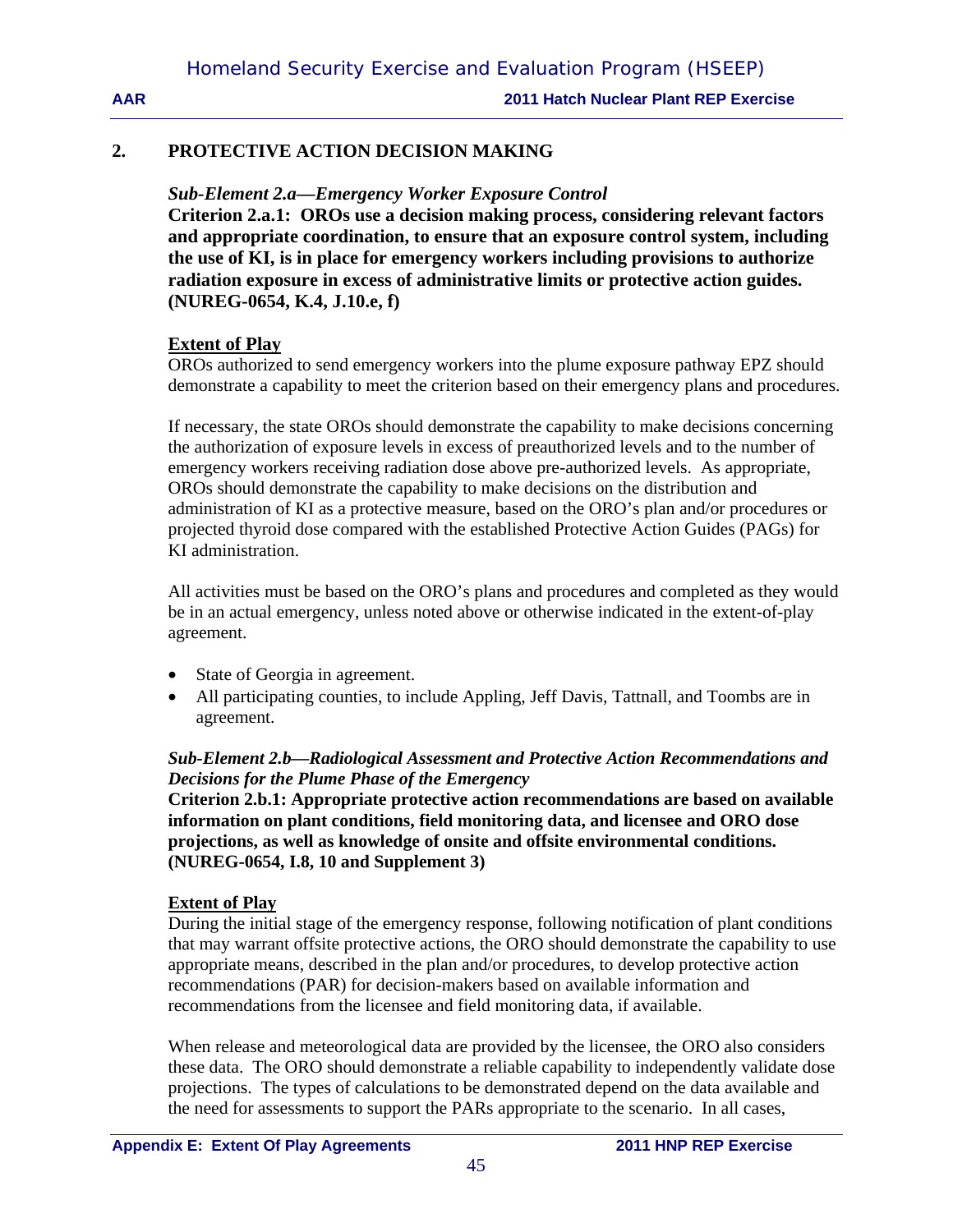### **2. PROTECTIVE ACTION DECISION MAKING**

### *Sub-Element 2.a—Emergency Worker Exposure Control*

**Criterion 2.a.1: OROs use a decision making process, considering relevant factors and appropriate coordination, to ensure that an exposure control system, including the use of KI, is in place for emergency workers including provisions to authorize radiation exposure in excess of administrative limits or protective action guides. (NUREG-0654, K.4, J.10.e, f)** 

### **Extent of Play**

OROs authorized to send emergency workers into the plume exposure pathway EPZ should demonstrate a capability to meet the criterion based on their emergency plans and procedures.

If necessary, the state OROs should demonstrate the capability to make decisions concerning the authorization of exposure levels in excess of preauthorized levels and to the number of emergency workers receiving radiation dose above pre-authorized levels. As appropriate, OROs should demonstrate the capability to make decisions on the distribution and administration of KI as a protective measure, based on the ORO's plan and/or procedures or projected thyroid dose compared with the established Protective Action Guides (PAGs) for KI administration.

All activities must be based on the ORO's plans and procedures and completed as they would be in an actual emergency, unless noted above or otherwise indicated in the extent-of-play agreement.

- State of Georgia in agreement.
- All participating counties, to include Appling, Jeff Davis, Tattnall, and Toombs are in agreement.

### *Sub-Element 2.b—Radiological Assessment and Protective Action Recommendations and Decisions for the Plume Phase of the Emergency*

**Criterion 2.b.1: Appropriate protective action recommendations are based on available information on plant conditions, field monitoring data, and licensee and ORO dose projections, as well as knowledge of onsite and offsite environmental conditions. (NUREG-0654, I.8, 10 and Supplement 3)** 

### **Extent of Play**

During the initial stage of the emergency response, following notification of plant conditions that may warrant offsite protective actions, the ORO should demonstrate the capability to use appropriate means, described in the plan and/or procedures, to develop protective action recommendations (PAR) for decision-makers based on available information and recommendations from the licensee and field monitoring data, if available.

When release and meteorological data are provided by the licensee, the ORO also considers these data. The ORO should demonstrate a reliable capability to independently validate dose projections. The types of calculations to be demonstrated depend on the data available and the need for assessments to support the PARs appropriate to the scenario. In all cases,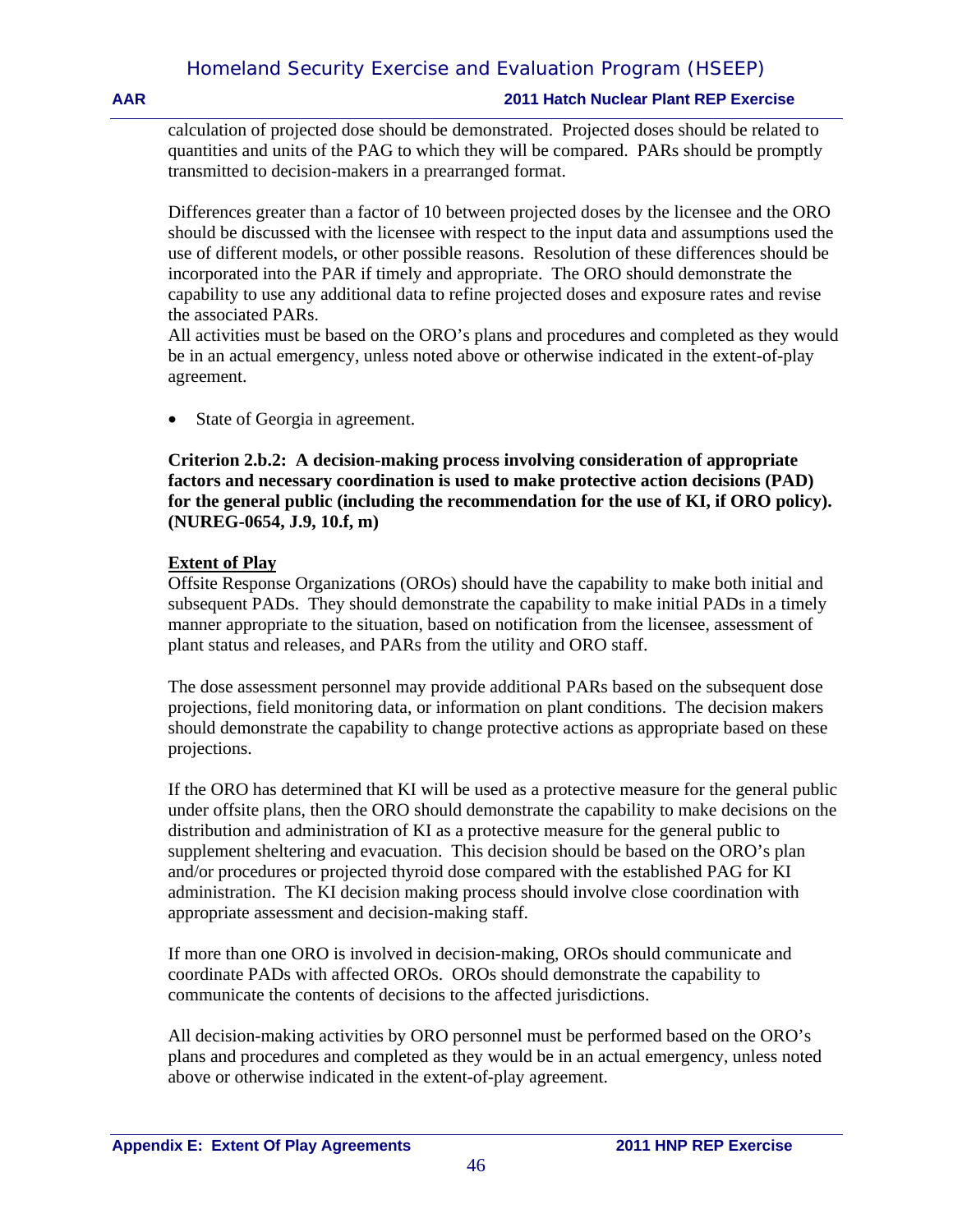### **AAR 2011 Hatch Nuclear Plant REP Exercise**

calculation of projected dose should be demonstrated. Projected doses should be related to quantities and units of the PAG to which they will be compared. PARs should be promptly transmitted to decision-makers in a prearranged format.

Differences greater than a factor of 10 between projected doses by the licensee and the ORO should be discussed with the licensee with respect to the input data and assumptions used the use of different models, or other possible reasons. Resolution of these differences should be incorporated into the PAR if timely and appropriate. The ORO should demonstrate the capability to use any additional data to refine projected doses and exposure rates and revise the associated PARs.

All activities must be based on the ORO's plans and procedures and completed as they would be in an actual emergency, unless noted above or otherwise indicated in the extent-of-play agreement.

• State of Georgia in agreement.

**Criterion 2.b.2: A decision-making process involving consideration of appropriate factors and necessary coordination is used to make protective action decisions (PAD) for the general public (including the recommendation for the use of KI, if ORO policy). (NUREG-0654, J.9, 10.f, m)** 

### **Extent of Play**

Offsite Response Organizations (OROs) should have the capability to make both initial and subsequent PADs. They should demonstrate the capability to make initial PADs in a timely manner appropriate to the situation, based on notification from the licensee, assessment of plant status and releases, and PARs from the utility and ORO staff.

The dose assessment personnel may provide additional PARs based on the subsequent dose projections, field monitoring data, or information on plant conditions. The decision makers should demonstrate the capability to change protective actions as appropriate based on these projections.

If the ORO has determined that KI will be used as a protective measure for the general public under offsite plans, then the ORO should demonstrate the capability to make decisions on the distribution and administration of KI as a protective measure for the general public to supplement sheltering and evacuation. This decision should be based on the ORO's plan and/or procedures or projected thyroid dose compared with the established PAG for KI administration. The KI decision making process should involve close coordination with appropriate assessment and decision-making staff.

If more than one ORO is involved in decision-making, OROs should communicate and coordinate PADs with affected OROs. OROs should demonstrate the capability to communicate the contents of decisions to the affected jurisdictions.

All decision-making activities by ORO personnel must be performed based on the ORO's plans and procedures and completed as they would be in an actual emergency, unless noted above or otherwise indicated in the extent-of-play agreement.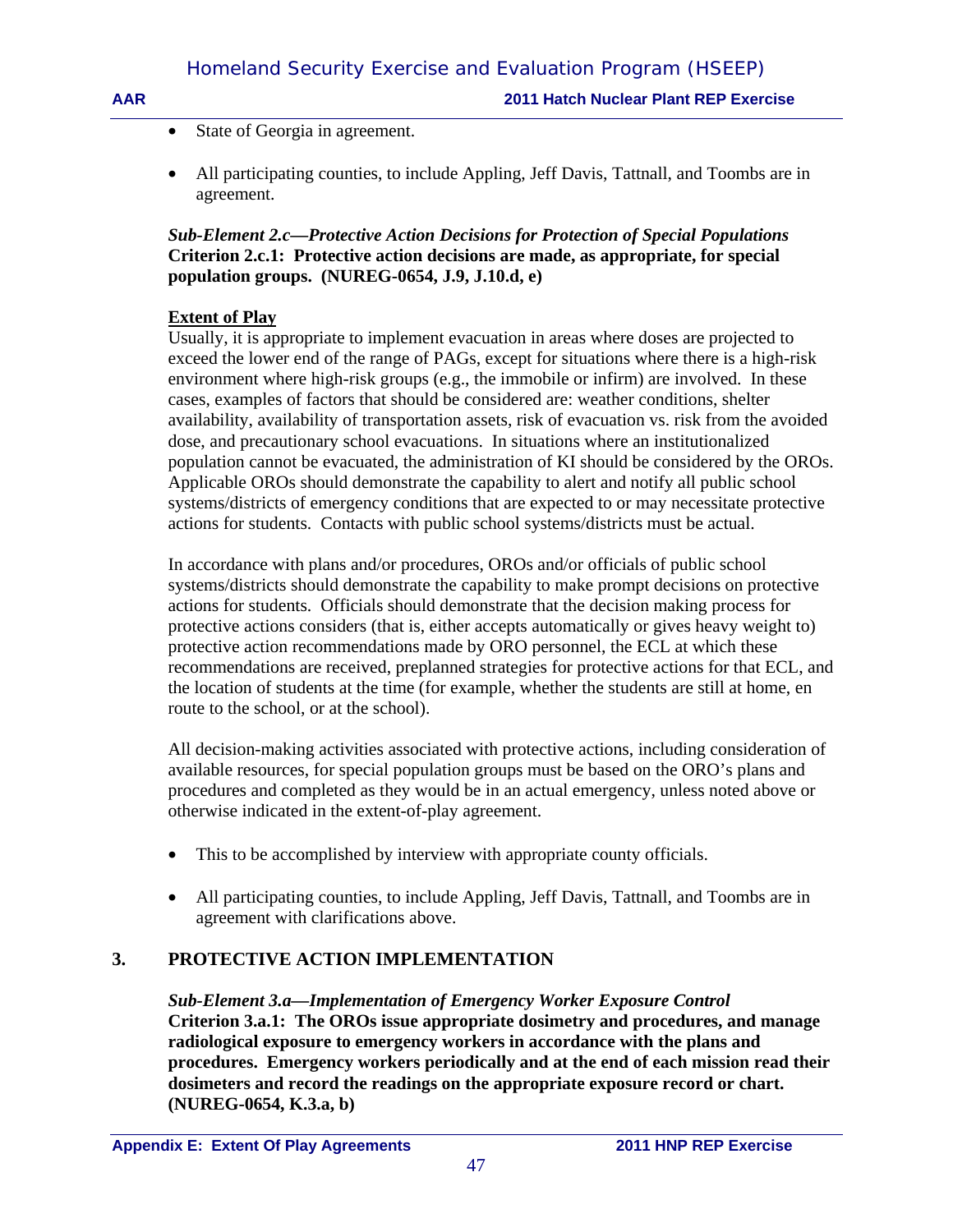### **2011 Hatch Nuclear Plant REP Exercise**

- State of Georgia in agreement.
- All participating counties, to include Appling, Jeff Davis, Tattnall, and Toombs are in agreement.

### *Sub-Element 2.c—Protective Action Decisions for Protection of Special Populations*  **Criterion 2.c.1: Protective action decisions are made, as appropriate, for special population groups. (NUREG-0654, J.9, J.10.d, e)**

### **Extent of Play**

Usually, it is appropriate to implement evacuation in areas where doses are projected to exceed the lower end of the range of PAGs, except for situations where there is a high-risk environment where high-risk groups (e.g., the immobile or infirm) are involved. In these cases, examples of factors that should be considered are: weather conditions, shelter availability, availability of transportation assets, risk of evacuation vs. risk from the avoided dose, and precautionary school evacuations. In situations where an institutionalized population cannot be evacuated, the administration of KI should be considered by the OROs. Applicable OROs should demonstrate the capability to alert and notify all public school systems/districts of emergency conditions that are expected to or may necessitate protective actions for students. Contacts with public school systems/districts must be actual.

In accordance with plans and/or procedures, OROs and/or officials of public school systems/districts should demonstrate the capability to make prompt decisions on protective actions for students. Officials should demonstrate that the decision making process for protective actions considers (that is, either accepts automatically or gives heavy weight to) protective action recommendations made by ORO personnel, the ECL at which these recommendations are received, preplanned strategies for protective actions for that ECL, and the location of students at the time (for example, whether the students are still at home, en route to the school, or at the school).

All decision-making activities associated with protective actions, including consideration of available resources, for special population groups must be based on the ORO's plans and procedures and completed as they would be in an actual emergency, unless noted above or otherwise indicated in the extent-of-play agreement.

- This to be accomplished by interview with appropriate county officials.
- All participating counties, to include Appling, Jeff Davis, Tattnall, and Toombs are in agreement with clarifications above.

### **3. PROTECTIVE ACTION IMPLEMENTATION**

*Sub-Element 3.a—Implementation of Emergency Worker Exposure Control*  **Criterion 3.a.1: The OROs issue appropriate dosimetry and procedures, and manage radiological exposure to emergency workers in accordance with the plans and procedures. Emergency workers periodically and at the end of each mission read their dosimeters and record the readings on the appropriate exposure record or chart. (NUREG-0654, K.3.a, b)**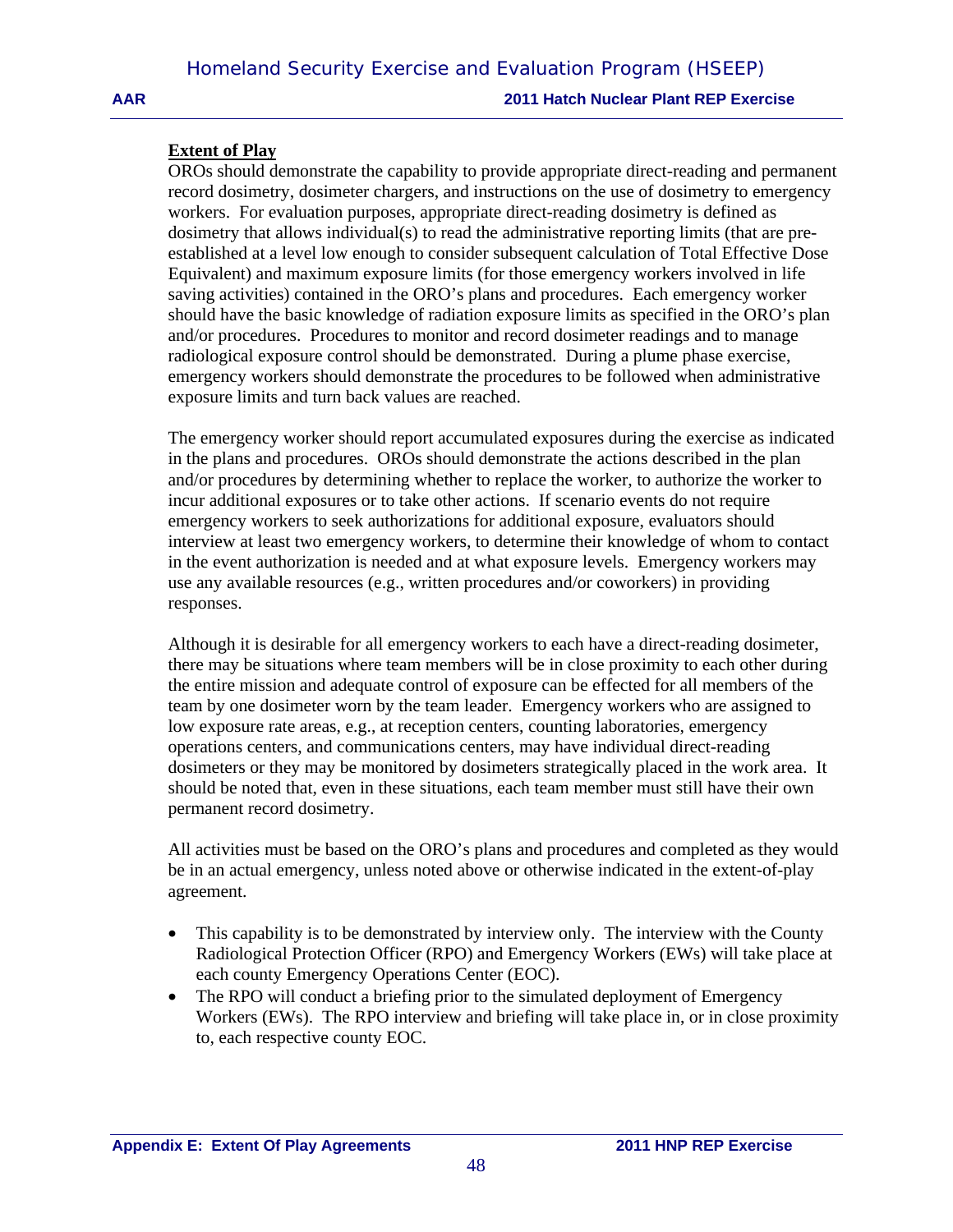### **Extent of Play**

OROs should demonstrate the capability to provide appropriate direct-reading and permanent record dosimetry, dosimeter chargers, and instructions on the use of dosimetry to emergency workers. For evaluation purposes, appropriate direct-reading dosimetry is defined as dosimetry that allows individual(s) to read the administrative reporting limits (that are preestablished at a level low enough to consider subsequent calculation of Total Effective Dose Equivalent) and maximum exposure limits (for those emergency workers involved in life saving activities) contained in the ORO's plans and procedures. Each emergency worker should have the basic knowledge of radiation exposure limits as specified in the ORO's plan and/or procedures. Procedures to monitor and record dosimeter readings and to manage radiological exposure control should be demonstrated. During a plume phase exercise, emergency workers should demonstrate the procedures to be followed when administrative exposure limits and turn back values are reached.

The emergency worker should report accumulated exposures during the exercise as indicated in the plans and procedures. OROs should demonstrate the actions described in the plan and/or procedures by determining whether to replace the worker, to authorize the worker to incur additional exposures or to take other actions. If scenario events do not require emergency workers to seek authorizations for additional exposure, evaluators should interview at least two emergency workers, to determine their knowledge of whom to contact in the event authorization is needed and at what exposure levels. Emergency workers may use any available resources (e.g., written procedures and/or coworkers) in providing responses.

Although it is desirable for all emergency workers to each have a direct-reading dosimeter, there may be situations where team members will be in close proximity to each other during the entire mission and adequate control of exposure can be effected for all members of the team by one dosimeter worn by the team leader. Emergency workers who are assigned to low exposure rate areas, e.g., at reception centers, counting laboratories, emergency operations centers, and communications centers, may have individual direct-reading dosimeters or they may be monitored by dosimeters strategically placed in the work area. It should be noted that, even in these situations, each team member must still have their own permanent record dosimetry.

All activities must be based on the ORO's plans and procedures and completed as they would be in an actual emergency, unless noted above or otherwise indicated in the extent-of-play agreement.

- This capability is to be demonstrated by interview only. The interview with the County Radiological Protection Officer (RPO) and Emergency Workers (EWs) will take place at each county Emergency Operations Center (EOC).
- The RPO will conduct a briefing prior to the simulated deployment of Emergency Workers (EWs). The RPO interview and briefing will take place in, or in close proximity to, each respective county EOC.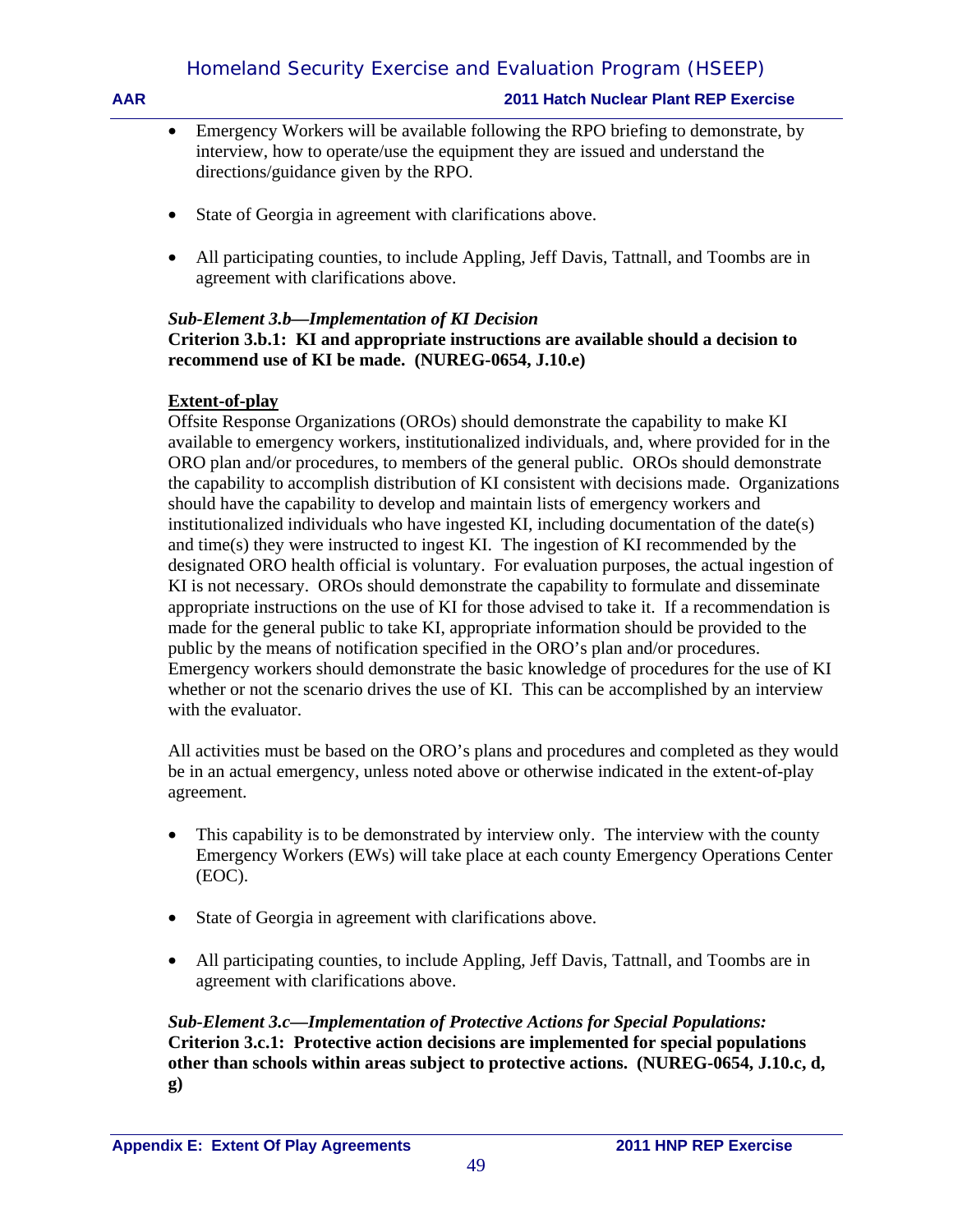| AR |  |  |  |
|----|--|--|--|
|    |  |  |  |

- Emergency Workers will be available following the RPO briefing to demonstrate, by interview, how to operate/use the equipment they are issued and understand the directions/guidance given by the RPO.
- State of Georgia in agreement with clarifications above.
- All participating counties, to include Appling, Jeff Davis, Tattnall, and Toombs are in agreement with clarifications above.

### *Sub-Element 3.b—Implementation of KI Decision*  **Criterion 3.b.1: KI and appropriate instructions are available should a decision to recommend use of KI be made. (NUREG-0654, J.10.e)**

### **Extent-of-play**

Offsite Response Organizations (OROs) should demonstrate the capability to make KI available to emergency workers, institutionalized individuals, and, where provided for in the ORO plan and/or procedures, to members of the general public. OROs should demonstrate the capability to accomplish distribution of KI consistent with decisions made. Organizations should have the capability to develop and maintain lists of emergency workers and institutionalized individuals who have ingested KI, including documentation of the date(s) and time(s) they were instructed to ingest KI. The ingestion of KI recommended by the designated ORO health official is voluntary. For evaluation purposes, the actual ingestion of KI is not necessary. OROs should demonstrate the capability to formulate and disseminate appropriate instructions on the use of KI for those advised to take it. If a recommendation is made for the general public to take KI, appropriate information should be provided to the public by the means of notification specified in the ORO's plan and/or procedures. Emergency workers should demonstrate the basic knowledge of procedures for the use of KI whether or not the scenario drives the use of KI. This can be accomplished by an interview with the evaluator.

All activities must be based on the ORO's plans and procedures and completed as they would be in an actual emergency, unless noted above or otherwise indicated in the extent-of-play agreement.

- This capability is to be demonstrated by interview only. The interview with the county Emergency Workers (EWs) will take place at each county Emergency Operations Center (EOC).
- State of Georgia in agreement with clarifications above.
- All participating counties, to include Appling, Jeff Davis, Tattnall, and Toombs are in agreement with clarifications above.

*Sub-Element 3.c—Implementation of Protective Actions for Special Populations:*  **Criterion 3.c.1: Protective action decisions are implemented for special populations other than schools within areas subject to protective actions. (NUREG-0654, J.10.c, d, g)**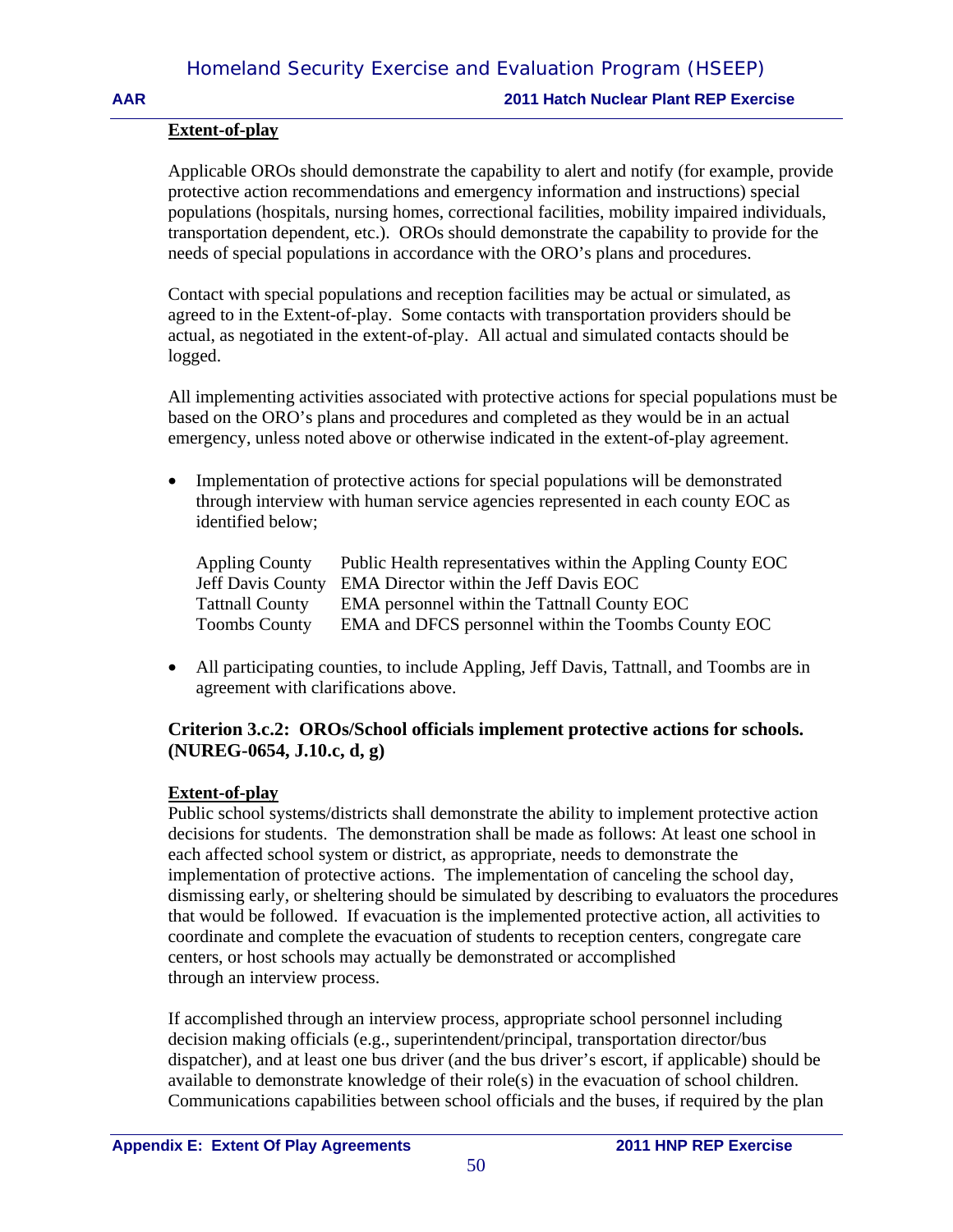### **Extent-of-play**

Applicable OROs should demonstrate the capability to alert and notify (for example, provide protective action recommendations and emergency information and instructions) special populations (hospitals, nursing homes, correctional facilities, mobility impaired individuals, transportation dependent, etc.). OROs should demonstrate the capability to provide for the needs of special populations in accordance with the ORO's plans and procedures.

Contact with special populations and reception facilities may be actual or simulated, as agreed to in the Extent-of-play. Some contacts with transportation providers should be actual, as negotiated in the extent-of-play. All actual and simulated contacts should be logged.

All implementing activities associated with protective actions for special populations must be based on the ORO's plans and procedures and completed as they would be in an actual emergency, unless noted above or otherwise indicated in the extent-of-play agreement.

• Implementation of protective actions for special populations will be demonstrated through interview with human service agencies represented in each county EOC as identified below;

| <b>Appling County</b>  | Public Health representatives within the Appling County EOC |
|------------------------|-------------------------------------------------------------|
|                        | Jeff Davis County EMA Director within the Jeff Davis EOC    |
| <b>Tattnall County</b> | EMA personnel within the Tattnall County EOC                |
| <b>Toombs County</b>   | EMA and DFCS personnel within the Toombs County EOC         |

• All participating counties, to include Appling, Jeff Davis, Tattnall, and Toombs are in agreement with clarifications above.

### **Criterion 3.c.2: OROs/School officials implement protective actions for schools. (NUREG-0654, J.10.c, d, g)**

### **Extent-of-play**

Public school systems/districts shall demonstrate the ability to implement protective action decisions for students. The demonstration shall be made as follows: At least one school in each affected school system or district, as appropriate, needs to demonstrate the implementation of protective actions. The implementation of canceling the school day, dismissing early, or sheltering should be simulated by describing to evaluators the procedures that would be followed. If evacuation is the implemented protective action, all activities to coordinate and complete the evacuation of students to reception centers, congregate care centers, or host schools may actually be demonstrated or accomplished through an interview process.

If accomplished through an interview process, appropriate school personnel including decision making officials (e.g., superintendent/principal, transportation director/bus dispatcher), and at least one bus driver (and the bus driver's escort, if applicable) should be available to demonstrate knowledge of their role(s) in the evacuation of school children. Communications capabilities between school officials and the buses, if required by the plan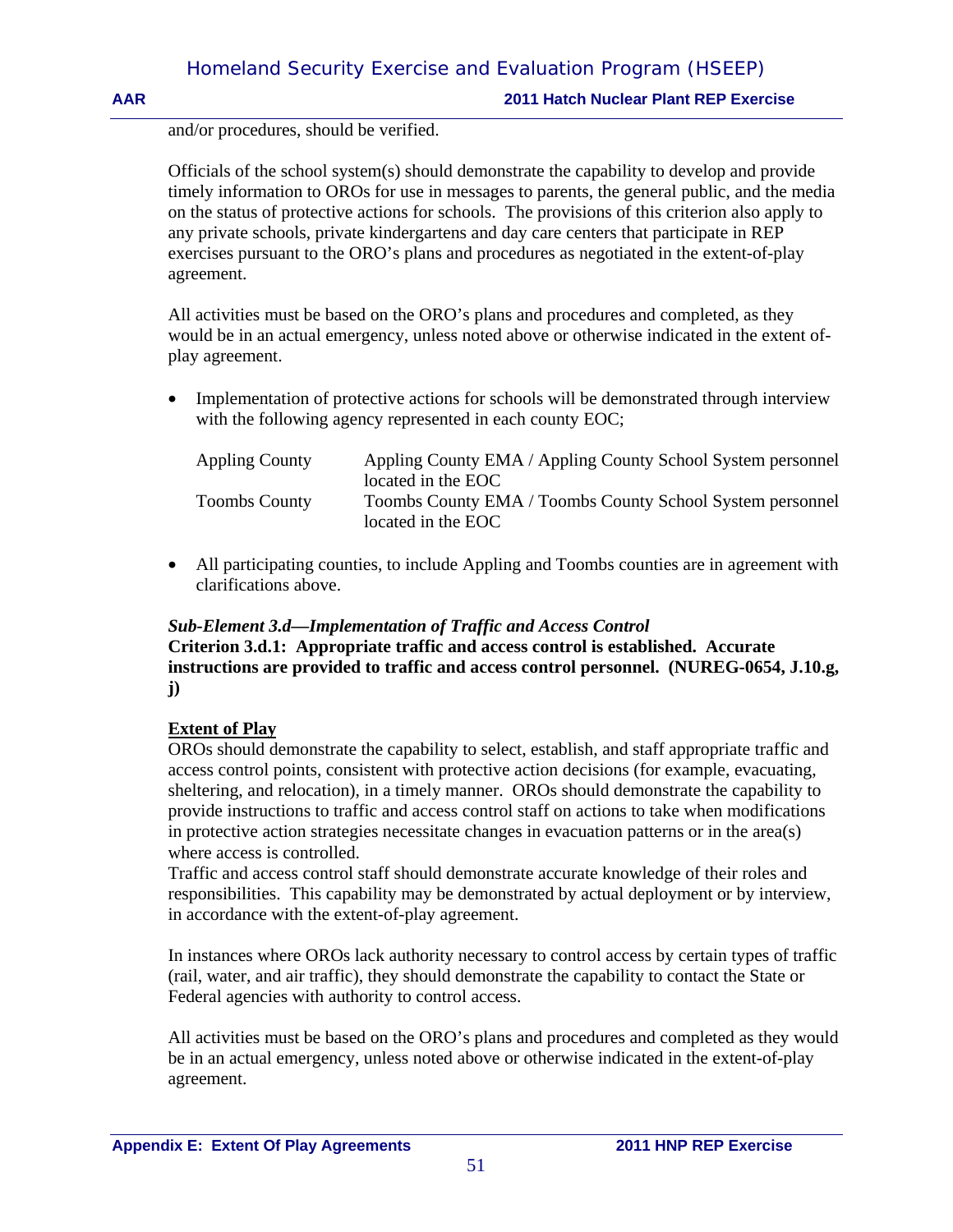and/or procedures, should be verified.

Officials of the school system(s) should demonstrate the capability to develop and provide timely information to OROs for use in messages to parents, the general public, and the media on the status of protective actions for schools. The provisions of this criterion also apply to any private schools, private kindergartens and day care centers that participate in REP exercises pursuant to the ORO's plans and procedures as negotiated in the extent-of-play agreement.

All activities must be based on the ORO's plans and procedures and completed, as they would be in an actual emergency, unless noted above or otherwise indicated in the extent ofplay agreement.

• Implementation of protective actions for schools will be demonstrated through interview with the following agency represented in each county EOC;

| <b>Appling County</b> | Appling County EMA / Appling County School System personnel<br>located in the EOC |
|-----------------------|-----------------------------------------------------------------------------------|
| <b>Toombs County</b>  | Toombs County EMA / Toombs County School System personnel<br>located in the EOC   |

• All participating counties, to include Appling and Toombs counties are in agreement with clarifications above.

### *Sub-Element 3.d—Implementation of Traffic and Access Control*  **Criterion 3.d.1: Appropriate traffic and access control is established. Accurate instructions are provided to traffic and access control personnel. (NUREG-0654, J.10.g, j)**

### **Extent of Play**

OROs should demonstrate the capability to select, establish, and staff appropriate traffic and access control points, consistent with protective action decisions (for example, evacuating, sheltering, and relocation), in a timely manner. OROs should demonstrate the capability to provide instructions to traffic and access control staff on actions to take when modifications in protective action strategies necessitate changes in evacuation patterns or in the area(s) where access is controlled.

Traffic and access control staff should demonstrate accurate knowledge of their roles and responsibilities. This capability may be demonstrated by actual deployment or by interview, in accordance with the extent-of-play agreement.

In instances where OROs lack authority necessary to control access by certain types of traffic (rail, water, and air traffic), they should demonstrate the capability to contact the State or Federal agencies with authority to control access.

All activities must be based on the ORO's plans and procedures and completed as they would be in an actual emergency, unless noted above or otherwise indicated in the extent-of-play agreement.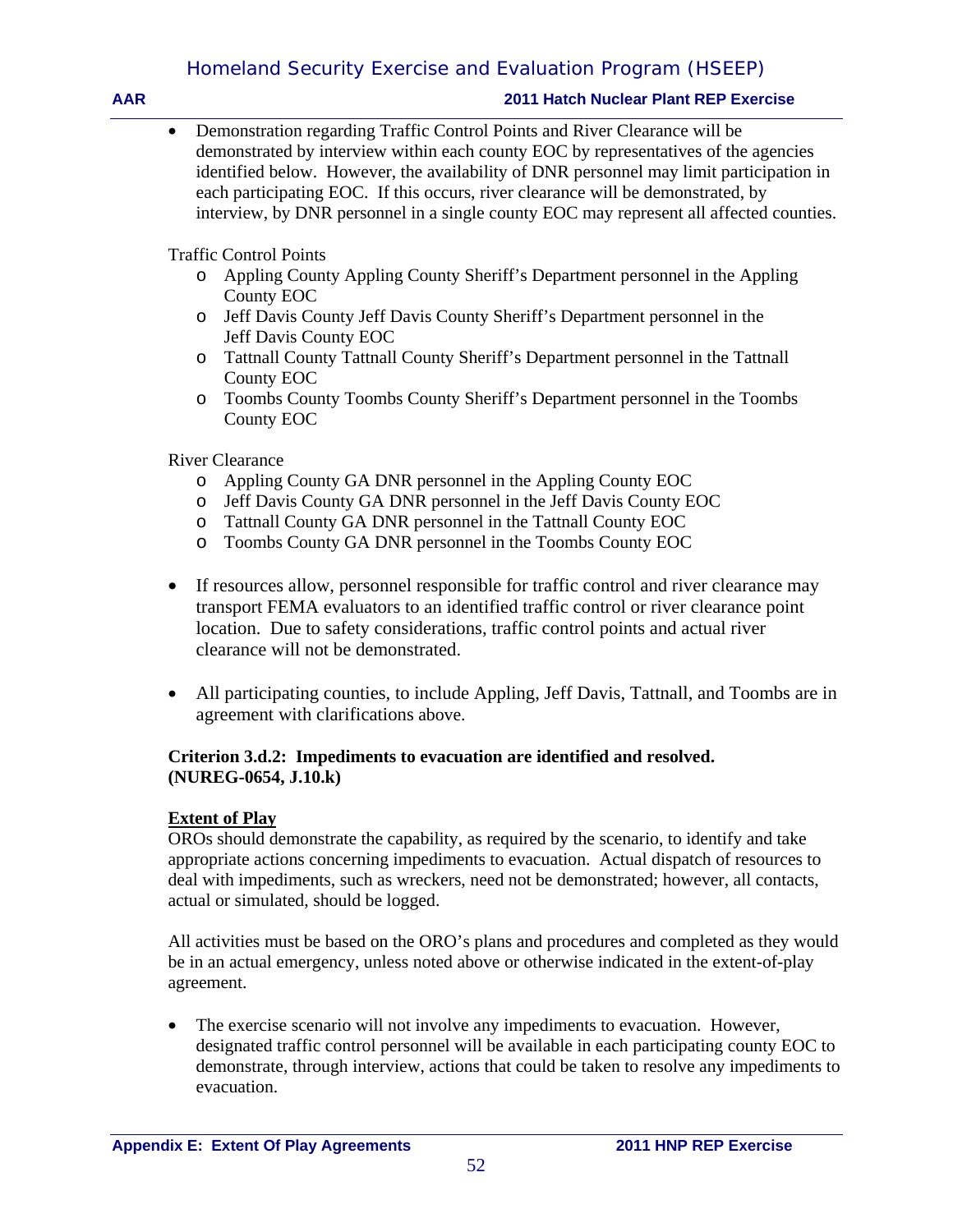### **AAR 2011 Hatch Nuclear Plant REP Exercise**

• Demonstration regarding Traffic Control Points and River Clearance will be demonstrated by interview within each county EOC by representatives of the agencies identified below. However, the availability of DNR personnel may limit participation in each participating EOC. If this occurs, river clearance will be demonstrated, by interview, by DNR personnel in a single county EOC may represent all affected counties.

Traffic Control Points

- o Appling County Appling County Sheriff's Department personnel in the Appling County EOC
- o Jeff Davis County Jeff Davis County Sheriff's Department personnel in the Jeff Davis County EOC
- o Tattnall County Tattnall County Sheriff's Department personnel in the Tattnall County EOC
- o Toombs County Toombs County Sheriff's Department personnel in the Toombs County EOC

### River Clearance

- o Appling County GA DNR personnel in the Appling County EOC
- o Jeff Davis County GA DNR personnel in the Jeff Davis County EOC
- o Tattnall County GA DNR personnel in the Tattnall County EOC
- o Toombs County GA DNR personnel in the Toombs County EOC
- If resources allow, personnel responsible for traffic control and river clearance may transport FEMA evaluators to an identified traffic control or river clearance point location. Due to safety considerations, traffic control points and actual river clearance will not be demonstrated.
- All participating counties, to include Appling, Jeff Davis, Tattnall, and Toombs are in agreement with clarifications above.

### **Criterion 3.d.2: Impediments to evacuation are identified and resolved. (NUREG-0654, J.10.k)**

### **Extent of Play**

OROs should demonstrate the capability, as required by the scenario, to identify and take appropriate actions concerning impediments to evacuation. Actual dispatch of resources to deal with impediments, such as wreckers, need not be demonstrated; however, all contacts, actual or simulated, should be logged.

All activities must be based on the ORO's plans and procedures and completed as they would be in an actual emergency, unless noted above or otherwise indicated in the extent-of-play agreement.

• The exercise scenario will not involve any impediments to evacuation. However, designated traffic control personnel will be available in each participating county EOC to demonstrate, through interview, actions that could be taken to resolve any impediments to evacuation.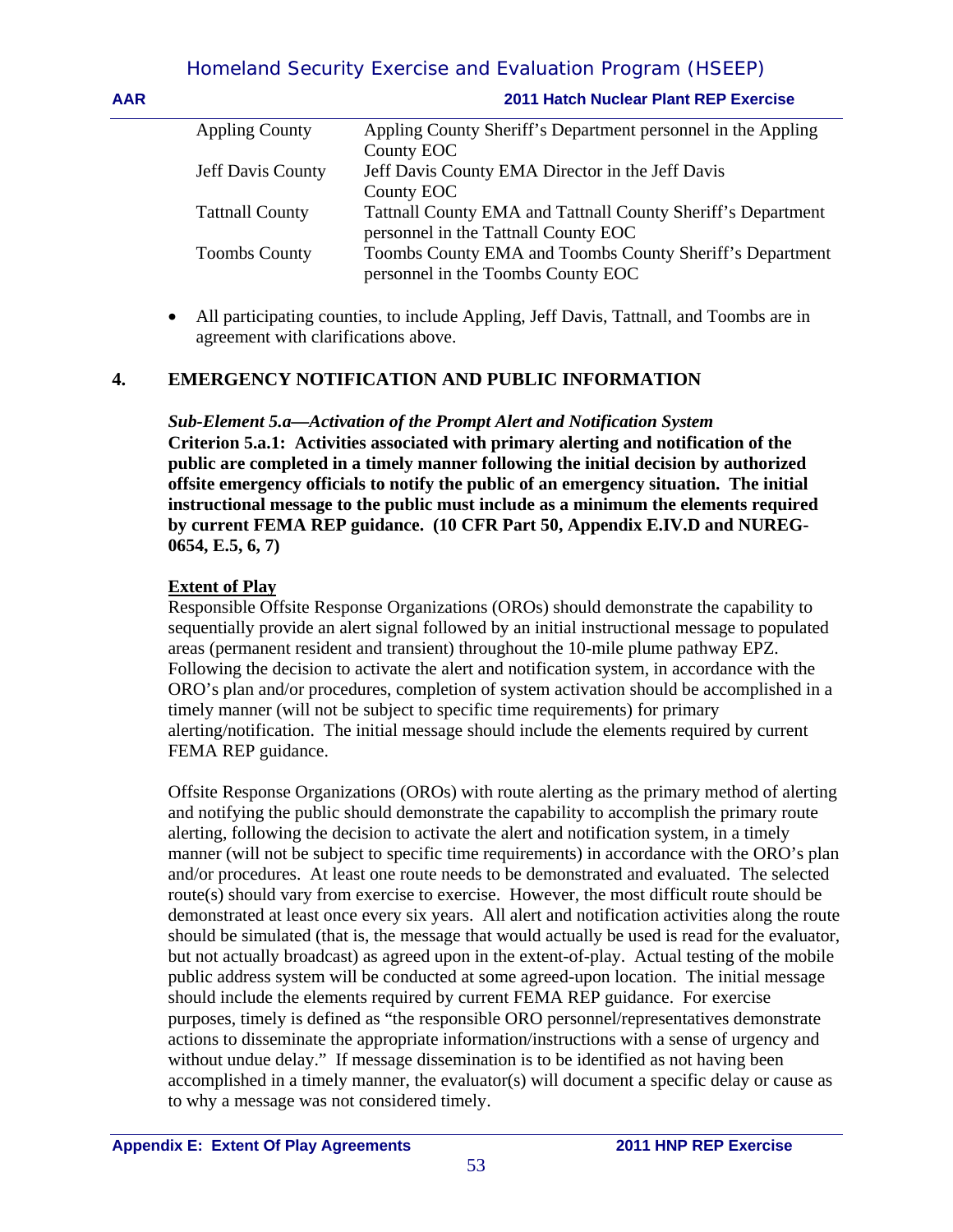| <b>AAR</b> |                          | 2011 Hatch Nuclear Plant REP Exercise                                                          |
|------------|--------------------------|------------------------------------------------------------------------------------------------|
|            | <b>Appling County</b>    | Appling County Sheriff's Department personnel in the Appling                                   |
|            |                          | County EOC                                                                                     |
|            | <b>Jeff Davis County</b> | Jeff Davis County EMA Director in the Jeff Davis                                               |
|            |                          | County EOC                                                                                     |
|            | <b>Tattnall County</b>   | Tattnall County EMA and Tattnall County Sheriff's Department                                   |
|            |                          | personnel in the Tattnall County EOC                                                           |
|            | <b>Toombs County</b>     | Toombs County EMA and Toombs County Sheriff's Department<br>personnel in the Toombs County EOC |
|            |                          |                                                                                                |

• All participating counties, to include Appling, Jeff Davis, Tattnall, and Toombs are in agreement with clarifications above.

### **4. EMERGENCY NOTIFICATION AND PUBLIC INFORMATION**

*Sub-Element 5.a—Activation of the Prompt Alert and Notification System*  **Criterion 5.a.1: Activities associated with primary alerting and notification of the public are completed in a timely manner following the initial decision by authorized offsite emergency officials to notify the public of an emergency situation. The initial instructional message to the public must include as a minimum the elements required by current FEMA REP guidance. (10 CFR Part 50, Appendix E.IV.D and NUREG-0654, E.5, 6, 7)** 

### **Extent of Play**

Responsible Offsite Response Organizations (OROs) should demonstrate the capability to sequentially provide an alert signal followed by an initial instructional message to populated areas (permanent resident and transient) throughout the 10-mile plume pathway EPZ. Following the decision to activate the alert and notification system, in accordance with the ORO's plan and/or procedures, completion of system activation should be accomplished in a timely manner (will not be subject to specific time requirements) for primary alerting/notification. The initial message should include the elements required by current FEMA REP guidance.

Offsite Response Organizations (OROs) with route alerting as the primary method of alerting and notifying the public should demonstrate the capability to accomplish the primary route alerting, following the decision to activate the alert and notification system, in a timely manner (will not be subject to specific time requirements) in accordance with the ORO's plan and/or procedures. At least one route needs to be demonstrated and evaluated. The selected route(s) should vary from exercise to exercise. However, the most difficult route should be demonstrated at least once every six years. All alert and notification activities along the route should be simulated (that is, the message that would actually be used is read for the evaluator, but not actually broadcast) as agreed upon in the extent-of-play. Actual testing of the mobile public address system will be conducted at some agreed-upon location. The initial message should include the elements required by current FEMA REP guidance. For exercise purposes, timely is defined as "the responsible ORO personnel/representatives demonstrate actions to disseminate the appropriate information/instructions with a sense of urgency and without undue delay." If message dissemination is to be identified as not having been accomplished in a timely manner, the evaluator(s) will document a specific delay or cause as to why a message was not considered timely.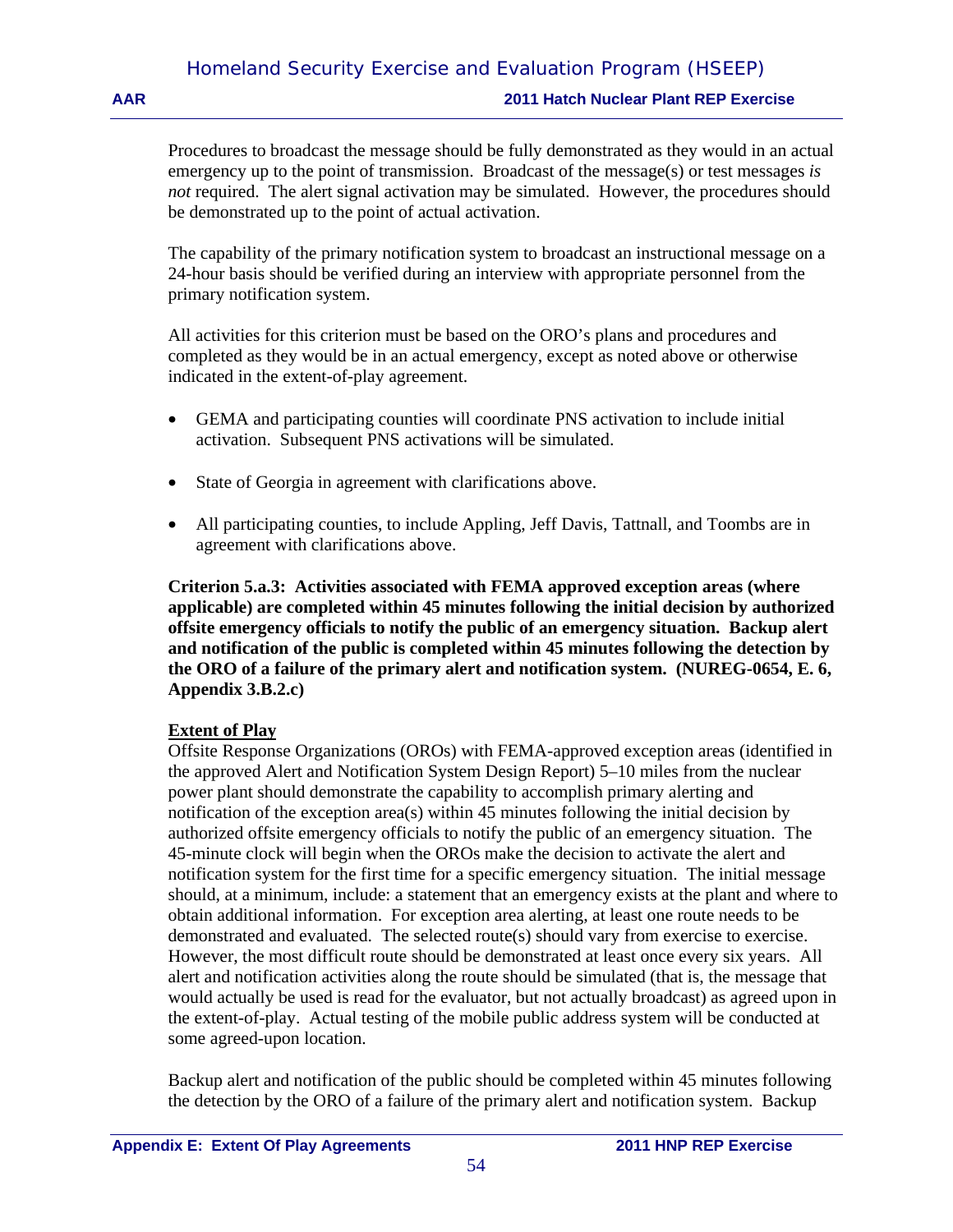Procedures to broadcast the message should be fully demonstrated as they would in an actual emergency up to the point of transmission. Broadcast of the message(s) or test messages *is not* required. The alert signal activation may be simulated. However, the procedures should be demonstrated up to the point of actual activation.

The capability of the primary notification system to broadcast an instructional message on a 24-hour basis should be verified during an interview with appropriate personnel from the primary notification system.

All activities for this criterion must be based on the ORO's plans and procedures and completed as they would be in an actual emergency, except as noted above or otherwise indicated in the extent-of-play agreement.

- GEMA and participating counties will coordinate PNS activation to include initial activation. Subsequent PNS activations will be simulated.
- State of Georgia in agreement with clarifications above.
- All participating counties, to include Appling, Jeff Davis, Tattnall, and Toombs are in agreement with clarifications above.

**Criterion 5.a.3: Activities associated with FEMA approved exception areas (where applicable) are completed within 45 minutes following the initial decision by authorized offsite emergency officials to notify the public of an emergency situation. Backup alert and notification of the public is completed within 45 minutes following the detection by the ORO of a failure of the primary alert and notification system. (NUREG-0654, E. 6, Appendix 3.B.2.c)** 

### **Extent of Play**

Offsite Response Organizations (OROs) with FEMA-approved exception areas (identified in the approved Alert and Notification System Design Report) 5–10 miles from the nuclear power plant should demonstrate the capability to accomplish primary alerting and notification of the exception area(s) within 45 minutes following the initial decision by authorized offsite emergency officials to notify the public of an emergency situation. The 45-minute clock will begin when the OROs make the decision to activate the alert and notification system for the first time for a specific emergency situation. The initial message should, at a minimum, include: a statement that an emergency exists at the plant and where to obtain additional information. For exception area alerting, at least one route needs to be demonstrated and evaluated. The selected route(s) should vary from exercise to exercise. However, the most difficult route should be demonstrated at least once every six years. All alert and notification activities along the route should be simulated (that is, the message that would actually be used is read for the evaluator, but not actually broadcast) as agreed upon in the extent-of-play. Actual testing of the mobile public address system will be conducted at some agreed-upon location.

Backup alert and notification of the public should be completed within 45 minutes following the detection by the ORO of a failure of the primary alert and notification system. Backup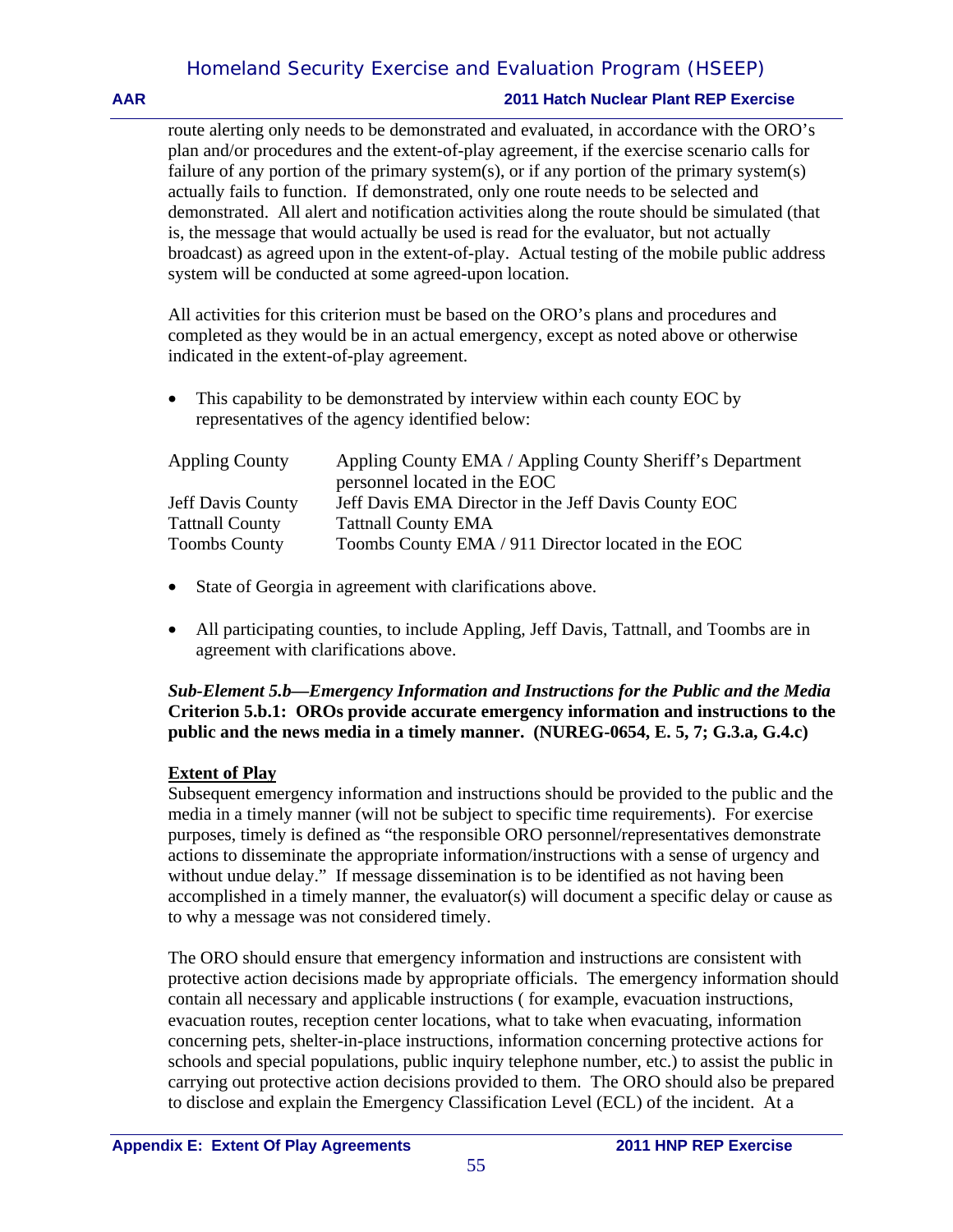### **AAR 2011 Hatch Nuclear Plant REP Exercise**

route alerting only needs to be demonstrated and evaluated, in accordance with the ORO's plan and/or procedures and the extent-of-play agreement, if the exercise scenario calls for failure of any portion of the primary system(s), or if any portion of the primary system(s) actually fails to function. If demonstrated, only one route needs to be selected and demonstrated. All alert and notification activities along the route should be simulated (that is, the message that would actually be used is read for the evaluator, but not actually broadcast) as agreed upon in the extent-of-play. Actual testing of the mobile public address system will be conducted at some agreed-upon location.

All activities for this criterion must be based on the ORO's plans and procedures and completed as they would be in an actual emergency, except as noted above or otherwise indicated in the extent-of-play agreement.

• This capability to be demonstrated by interview within each county EOC by representatives of the agency identified below:

| <b>Appling County</b>    | Appling County EMA / Appling County Sheriff's Department |
|--------------------------|----------------------------------------------------------|
|                          | personnel located in the EOC                             |
| <b>Jeff Davis County</b> | Jeff Davis EMA Director in the Jeff Davis County EOC     |
| <b>Tattnall County</b>   | <b>Tattnall County EMA</b>                               |
| <b>Toombs County</b>     | Toombs County EMA / 911 Director located in the EOC      |

- State of Georgia in agreement with clarifications above.
- All participating counties, to include Appling, Jeff Davis, Tattnall, and Toombs are in agreement with clarifications above.

### *Sub-Element 5.b—Emergency Information and Instructions for the Public and the Media*  **Criterion 5.b.1: OROs provide accurate emergency information and instructions to the public and the news media in a timely manner. (NUREG-0654, E. 5, 7; G.3.a, G.4.c)**

### **Extent of Play**

Subsequent emergency information and instructions should be provided to the public and the media in a timely manner (will not be subject to specific time requirements). For exercise purposes, timely is defined as "the responsible ORO personnel/representatives demonstrate actions to disseminate the appropriate information/instructions with a sense of urgency and without undue delay." If message dissemination is to be identified as not having been accomplished in a timely manner, the evaluator(s) will document a specific delay or cause as to why a message was not considered timely.

The ORO should ensure that emergency information and instructions are consistent with protective action decisions made by appropriate officials. The emergency information should contain all necessary and applicable instructions ( for example, evacuation instructions, evacuation routes, reception center locations, what to take when evacuating, information concerning pets, shelter-in-place instructions, information concerning protective actions for schools and special populations, public inquiry telephone number, etc.) to assist the public in carrying out protective action decisions provided to them. The ORO should also be prepared to disclose and explain the Emergency Classification Level (ECL) of the incident. At a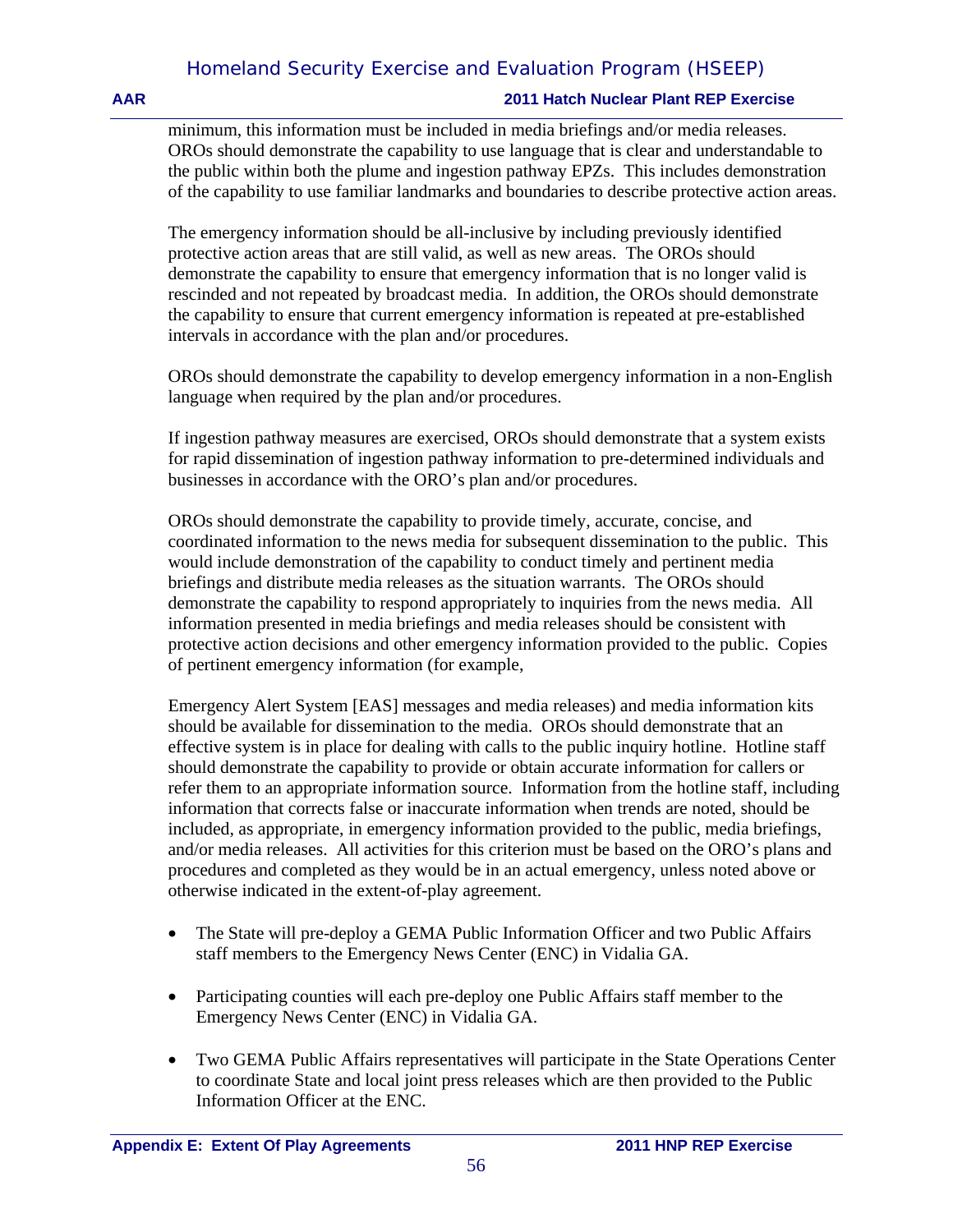### **AAR 2011 Hatch Nuclear Plant REP Exercise**

minimum, this information must be included in media briefings and/or media releases. OROs should demonstrate the capability to use language that is clear and understandable to the public within both the plume and ingestion pathway EPZs. This includes demonstration of the capability to use familiar landmarks and boundaries to describe protective action areas.

The emergency information should be all-inclusive by including previously identified protective action areas that are still valid, as well as new areas. The OROs should demonstrate the capability to ensure that emergency information that is no longer valid is rescinded and not repeated by broadcast media. In addition, the OROs should demonstrate the capability to ensure that current emergency information is repeated at pre-established intervals in accordance with the plan and/or procedures.

OROs should demonstrate the capability to develop emergency information in a non-English language when required by the plan and/or procedures.

If ingestion pathway measures are exercised, OROs should demonstrate that a system exists for rapid dissemination of ingestion pathway information to pre-determined individuals and businesses in accordance with the ORO's plan and/or procedures.

OROs should demonstrate the capability to provide timely, accurate, concise, and coordinated information to the news media for subsequent dissemination to the public. This would include demonstration of the capability to conduct timely and pertinent media briefings and distribute media releases as the situation warrants. The OROs should demonstrate the capability to respond appropriately to inquiries from the news media. All information presented in media briefings and media releases should be consistent with protective action decisions and other emergency information provided to the public. Copies of pertinent emergency information (for example,

Emergency Alert System [EAS] messages and media releases) and media information kits should be available for dissemination to the media. OROs should demonstrate that an effective system is in place for dealing with calls to the public inquiry hotline. Hotline staff should demonstrate the capability to provide or obtain accurate information for callers or refer them to an appropriate information source. Information from the hotline staff, including information that corrects false or inaccurate information when trends are noted, should be included, as appropriate, in emergency information provided to the public, media briefings, and/or media releases. All activities for this criterion must be based on the ORO's plans and procedures and completed as they would be in an actual emergency, unless noted above or otherwise indicated in the extent-of-play agreement.

- The State will pre-deploy a GEMA Public Information Officer and two Public Affairs staff members to the Emergency News Center (ENC) in Vidalia GA.
- Participating counties will each pre-deploy one Public Affairs staff member to the Emergency News Center (ENC) in Vidalia GA.
- Two GEMA Public Affairs representatives will participate in the State Operations Center to coordinate State and local joint press releases which are then provided to the Public Information Officer at the ENC.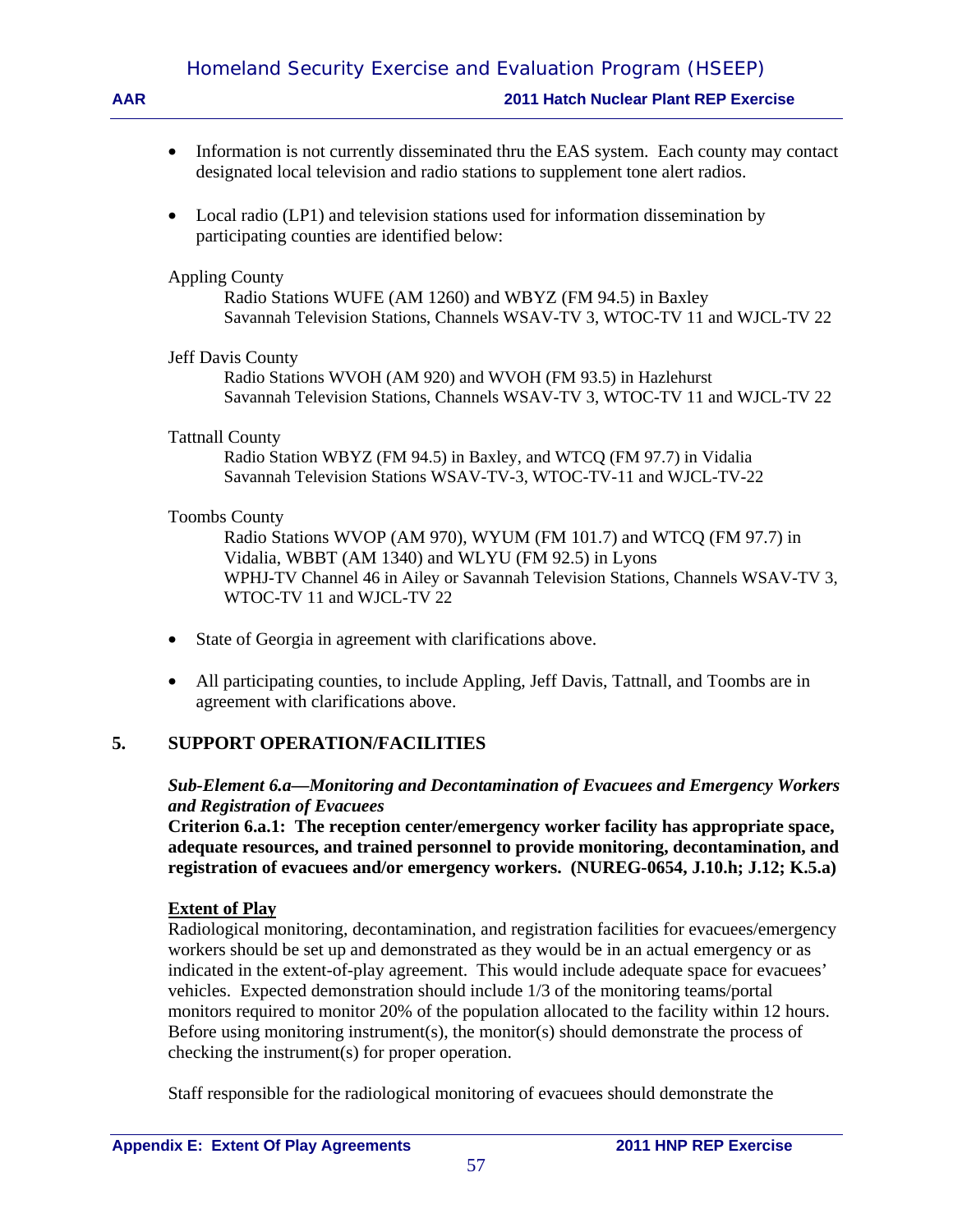- Information is not currently disseminated thru the EAS system. Each county may contact designated local television and radio stations to supplement tone alert radios.
- Local radio (LP1) and television stations used for information dissemination by participating counties are identified below:

### Appling County

Radio Stations WUFE (AM 1260) and WBYZ (FM 94.5) in Baxley Savannah Television Stations, Channels WSAV-TV 3, WTOC-TV 11 and WJCL-TV 22

### Jeff Davis County

Radio Stations WVOH (AM 920) and WVOH (FM 93.5) in Hazlehurst Savannah Television Stations, Channels WSAV-TV 3, WTOC-TV 11 and WJCL-TV 22

### Tattnall County

Radio Station WBYZ (FM 94.5) in Baxley, and WTCQ (FM 97.7) in Vidalia Savannah Television Stations WSAV-TV-3, WTOC-TV-11 and WJCL-TV-22

### Toombs County

Radio Stations WVOP (AM 970), WYUM (FM 101.7) and WTCQ (FM 97.7) in Vidalia, WBBT (AM 1340) and WLYU (FM 92.5) in Lyons WPHJ-TV Channel 46 in Ailey or Savannah Television Stations, Channels WSAV-TV 3, WTOC-TV 11 and WJCL-TV 22

- State of Georgia in agreement with clarifications above.
- All participating counties, to include Appling, Jeff Davis, Tattnall, and Toombs are in agreement with clarifications above.

### **5. SUPPORT OPERATION/FACILITIES**

### *Sub-Element 6.a—Monitoring and Decontamination of Evacuees and Emergency Workers and Registration of Evacuees*

**Criterion 6.a.1: The reception center/emergency worker facility has appropriate space, adequate resources, and trained personnel to provide monitoring, decontamination, and registration of evacuees and/or emergency workers. (NUREG-0654, J.10.h; J.12; K.5.a)** 

### **Extent of Play**

Radiological monitoring, decontamination, and registration facilities for evacuees/emergency workers should be set up and demonstrated as they would be in an actual emergency or as indicated in the extent-of-play agreement. This would include adequate space for evacuees' vehicles. Expected demonstration should include 1/3 of the monitoring teams/portal monitors required to monitor 20% of the population allocated to the facility within 12 hours. Before using monitoring instrument(s), the monitor(s) should demonstrate the process of checking the instrument(s) for proper operation.

Staff responsible for the radiological monitoring of evacuees should demonstrate the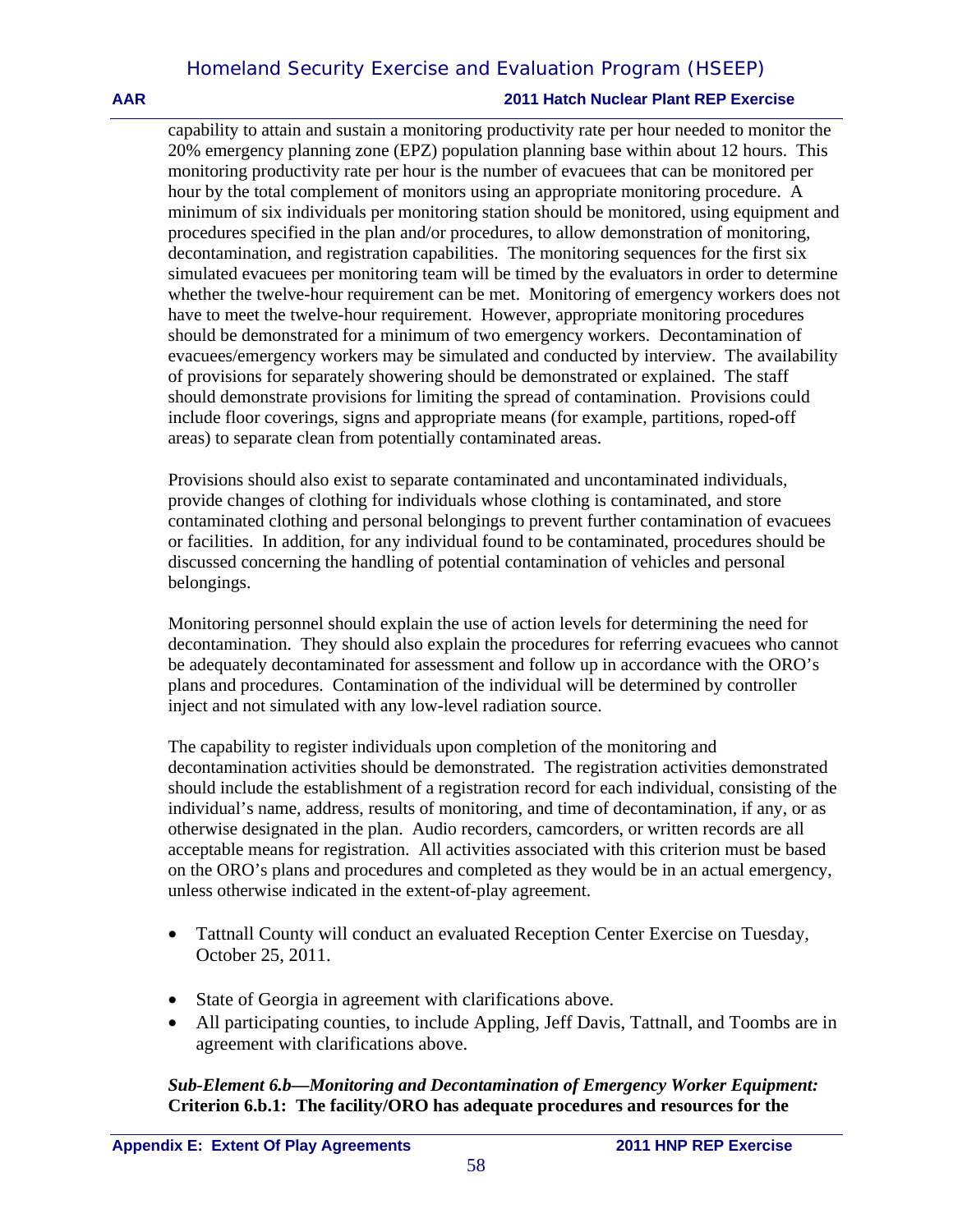### **AAR 2011 Hatch Nuclear Plant REP Exercise**

capability to attain and sustain a monitoring productivity rate per hour needed to monitor the 20% emergency planning zone (EPZ) population planning base within about 12 hours. This monitoring productivity rate per hour is the number of evacuees that can be monitored per hour by the total complement of monitors using an appropriate monitoring procedure. A minimum of six individuals per monitoring station should be monitored, using equipment and procedures specified in the plan and/or procedures, to allow demonstration of monitoring, decontamination, and registration capabilities. The monitoring sequences for the first six simulated evacuees per monitoring team will be timed by the evaluators in order to determine whether the twelve-hour requirement can be met. Monitoring of emergency workers does not have to meet the twelve-hour requirement. However, appropriate monitoring procedures should be demonstrated for a minimum of two emergency workers. Decontamination of evacuees/emergency workers may be simulated and conducted by interview. The availability of provisions for separately showering should be demonstrated or explained. The staff should demonstrate provisions for limiting the spread of contamination. Provisions could include floor coverings, signs and appropriate means (for example, partitions, roped-off areas) to separate clean from potentially contaminated areas.

Provisions should also exist to separate contaminated and uncontaminated individuals, provide changes of clothing for individuals whose clothing is contaminated, and store contaminated clothing and personal belongings to prevent further contamination of evacuees or facilities. In addition, for any individual found to be contaminated, procedures should be discussed concerning the handling of potential contamination of vehicles and personal belongings.

Monitoring personnel should explain the use of action levels for determining the need for decontamination. They should also explain the procedures for referring evacuees who cannot be adequately decontaminated for assessment and follow up in accordance with the ORO's plans and procedures. Contamination of the individual will be determined by controller inject and not simulated with any low-level radiation source.

The capability to register individuals upon completion of the monitoring and decontamination activities should be demonstrated. The registration activities demonstrated should include the establishment of a registration record for each individual, consisting of the individual's name, address, results of monitoring, and time of decontamination, if any, or as otherwise designated in the plan. Audio recorders, camcorders, or written records are all acceptable means for registration. All activities associated with this criterion must be based on the ORO's plans and procedures and completed as they would be in an actual emergency, unless otherwise indicated in the extent-of-play agreement.

- Tattnall County will conduct an evaluated Reception Center Exercise on Tuesday, October 25, 2011.
- State of Georgia in agreement with clarifications above.
- All participating counties, to include Appling, Jeff Davis, Tattnall, and Toombs are in agreement with clarifications above.

### *Sub-Element 6.b—Monitoring and Decontamination of Emergency Worker Equipment:*  **Criterion 6.b.1: The facility/ORO has adequate procedures and resources for the**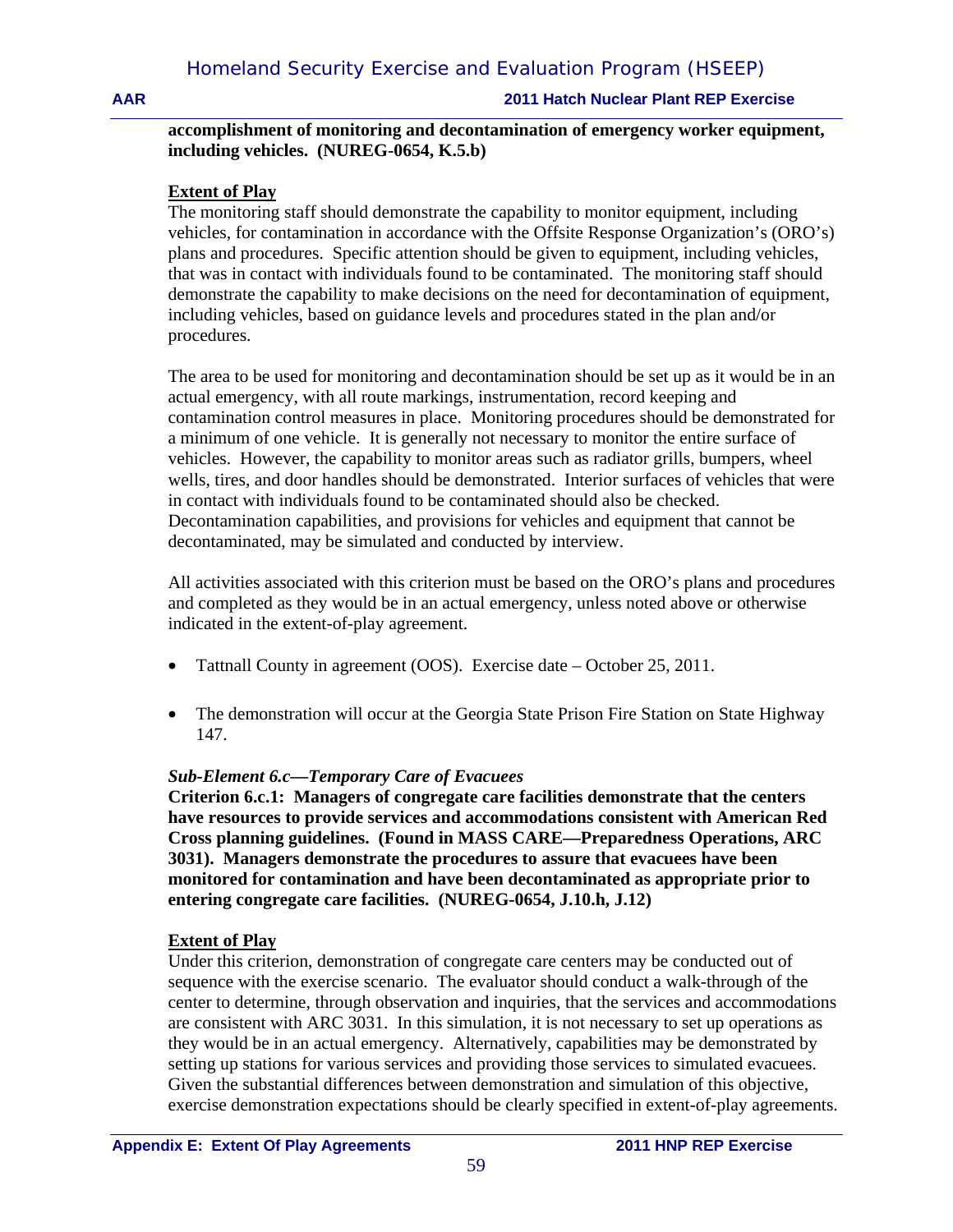### **accomplishment of monitoring and decontamination of emergency worker equipment, including vehicles. (NUREG-0654, K.5.b)**

### **Extent of Play**

The monitoring staff should demonstrate the capability to monitor equipment, including vehicles, for contamination in accordance with the Offsite Response Organization's (ORO's) plans and procedures. Specific attention should be given to equipment, including vehicles, that was in contact with individuals found to be contaminated. The monitoring staff should demonstrate the capability to make decisions on the need for decontamination of equipment, including vehicles, based on guidance levels and procedures stated in the plan and/or procedures.

The area to be used for monitoring and decontamination should be set up as it would be in an actual emergency, with all route markings, instrumentation, record keeping and contamination control measures in place. Monitoring procedures should be demonstrated for a minimum of one vehicle. It is generally not necessary to monitor the entire surface of vehicles. However, the capability to monitor areas such as radiator grills, bumpers, wheel wells, tires, and door handles should be demonstrated. Interior surfaces of vehicles that were in contact with individuals found to be contaminated should also be checked. Decontamination capabilities, and provisions for vehicles and equipment that cannot be decontaminated, may be simulated and conducted by interview.

All activities associated with this criterion must be based on the ORO's plans and procedures and completed as they would be in an actual emergency, unless noted above or otherwise indicated in the extent-of-play agreement.

- Tattnall County in agreement (OOS). Exercise date October 25, 2011.
- The demonstration will occur at the Georgia State Prison Fire Station on State Highway 147.

### *Sub-Element 6.c—Temporary Care of Evacuees*

**Criterion 6.c.1: Managers of congregate care facilities demonstrate that the centers have resources to provide services and accommodations consistent with American Red Cross planning guidelines. (Found in MASS CARE—Preparedness Operations, ARC 3031). Managers demonstrate the procedures to assure that evacuees have been monitored for contamination and have been decontaminated as appropriate prior to entering congregate care facilities. (NUREG-0654, J.10.h, J.12)** 

### **Extent of Play**

Under this criterion, demonstration of congregate care centers may be conducted out of sequence with the exercise scenario. The evaluator should conduct a walk-through of the center to determine, through observation and inquiries, that the services and accommodations are consistent with ARC 3031. In this simulation, it is not necessary to set up operations as they would be in an actual emergency. Alternatively, capabilities may be demonstrated by setting up stations for various services and providing those services to simulated evacuees. Given the substantial differences between demonstration and simulation of this objective, exercise demonstration expectations should be clearly specified in extent-of-play agreements.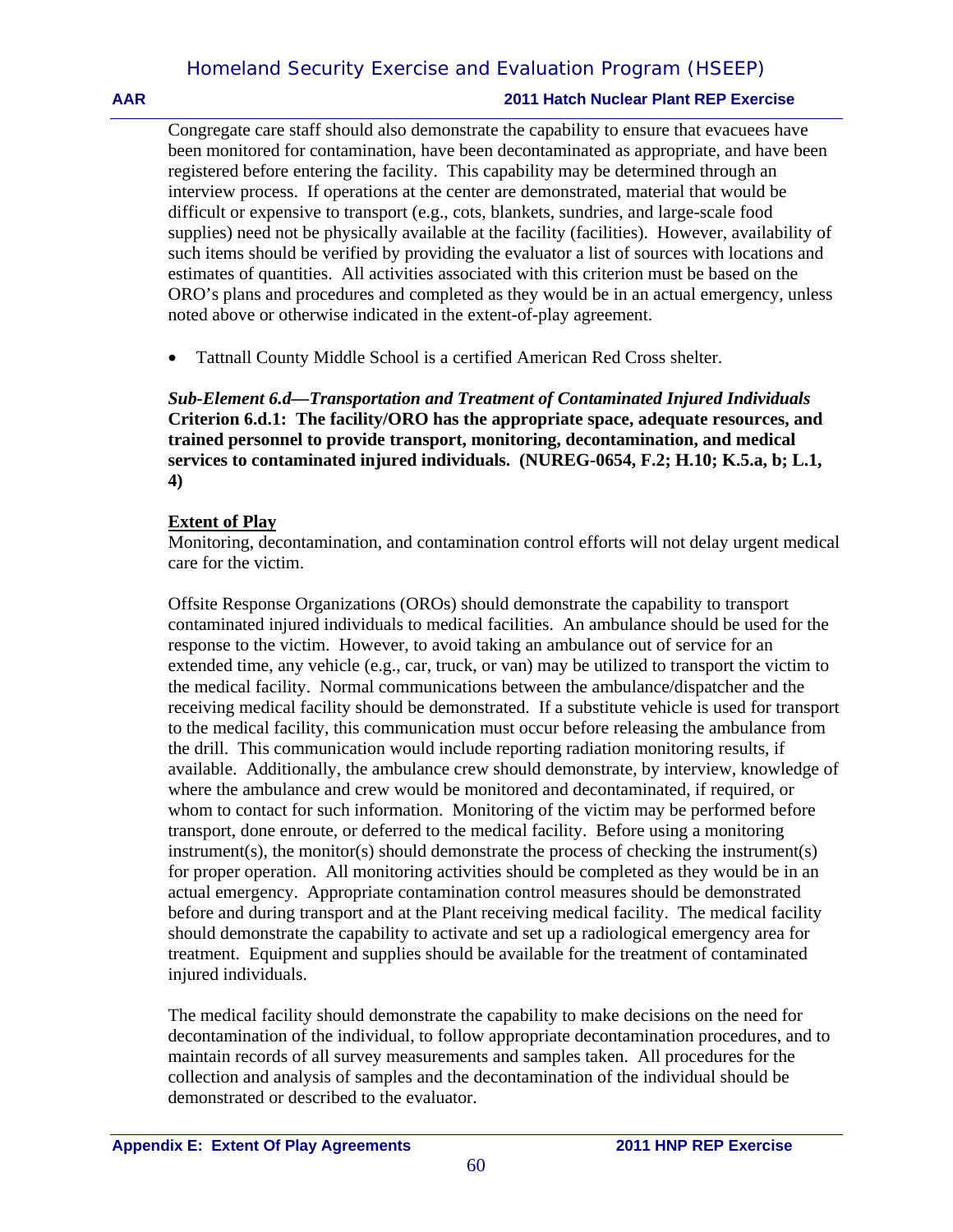### **AAR 2011 Hatch Nuclear Plant REP Exercise**

Congregate care staff should also demonstrate the capability to ensure that evacuees have been monitored for contamination, have been decontaminated as appropriate, and have been registered before entering the facility. This capability may be determined through an interview process. If operations at the center are demonstrated, material that would be difficult or expensive to transport (e.g., cots, blankets, sundries, and large-scale food supplies) need not be physically available at the facility (facilities). However, availability of such items should be verified by providing the evaluator a list of sources with locations and estimates of quantities. All activities associated with this criterion must be based on the ORO's plans and procedures and completed as they would be in an actual emergency, unless noted above or otherwise indicated in the extent-of-play agreement.

• Tattnall County Middle School is a certified American Red Cross shelter.

*Sub-Element 6.d—Transportation and Treatment of Contaminated Injured Individuals*  **Criterion 6.d.1: The facility/ORO has the appropriate space, adequate resources, and trained personnel to provide transport, monitoring, decontamination, and medical services to contaminated injured individuals. (NUREG-0654, F.2; H.10; K.5.a, b; L.1, 4)** 

### **Extent of Play**

Monitoring, decontamination, and contamination control efforts will not delay urgent medical care for the victim.

Offsite Response Organizations (OROs) should demonstrate the capability to transport contaminated injured individuals to medical facilities. An ambulance should be used for the response to the victim. However, to avoid taking an ambulance out of service for an extended time, any vehicle (e.g., car, truck, or van) may be utilized to transport the victim to the medical facility. Normal communications between the ambulance/dispatcher and the receiving medical facility should be demonstrated. If a substitute vehicle is used for transport to the medical facility, this communication must occur before releasing the ambulance from the drill. This communication would include reporting radiation monitoring results, if available. Additionally, the ambulance crew should demonstrate, by interview, knowledge of where the ambulance and crew would be monitored and decontaminated, if required, or whom to contact for such information. Monitoring of the victim may be performed before transport, done enroute, or deferred to the medical facility. Before using a monitoring instrument(s), the monitor(s) should demonstrate the process of checking the instrument(s) for proper operation. All monitoring activities should be completed as they would be in an actual emergency. Appropriate contamination control measures should be demonstrated before and during transport and at the Plant receiving medical facility. The medical facility should demonstrate the capability to activate and set up a radiological emergency area for treatment. Equipment and supplies should be available for the treatment of contaminated injured individuals.

The medical facility should demonstrate the capability to make decisions on the need for decontamination of the individual, to follow appropriate decontamination procedures, and to maintain records of all survey measurements and samples taken. All procedures for the collection and analysis of samples and the decontamination of the individual should be demonstrated or described to the evaluator.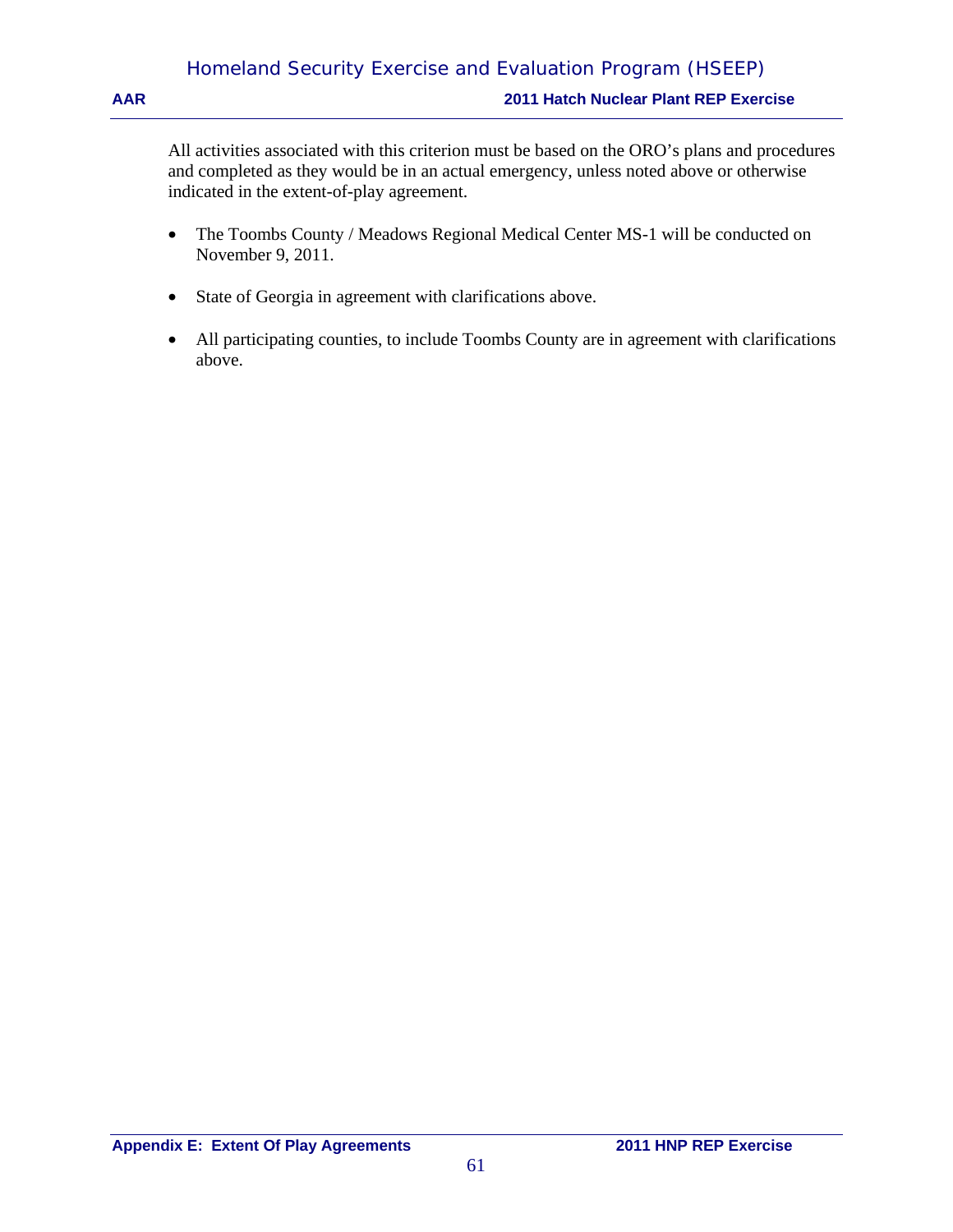All activities associated with this criterion must be based on the ORO's plans and procedures and completed as they would be in an actual emergency, unless noted above or otherwise indicated in the extent-of-play agreement.

- The Toombs County / Meadows Regional Medical Center MS-1 will be conducted on November 9, 2011.
- State of Georgia in agreement with clarifications above.
- All participating counties, to include Toombs County are in agreement with clarifications above.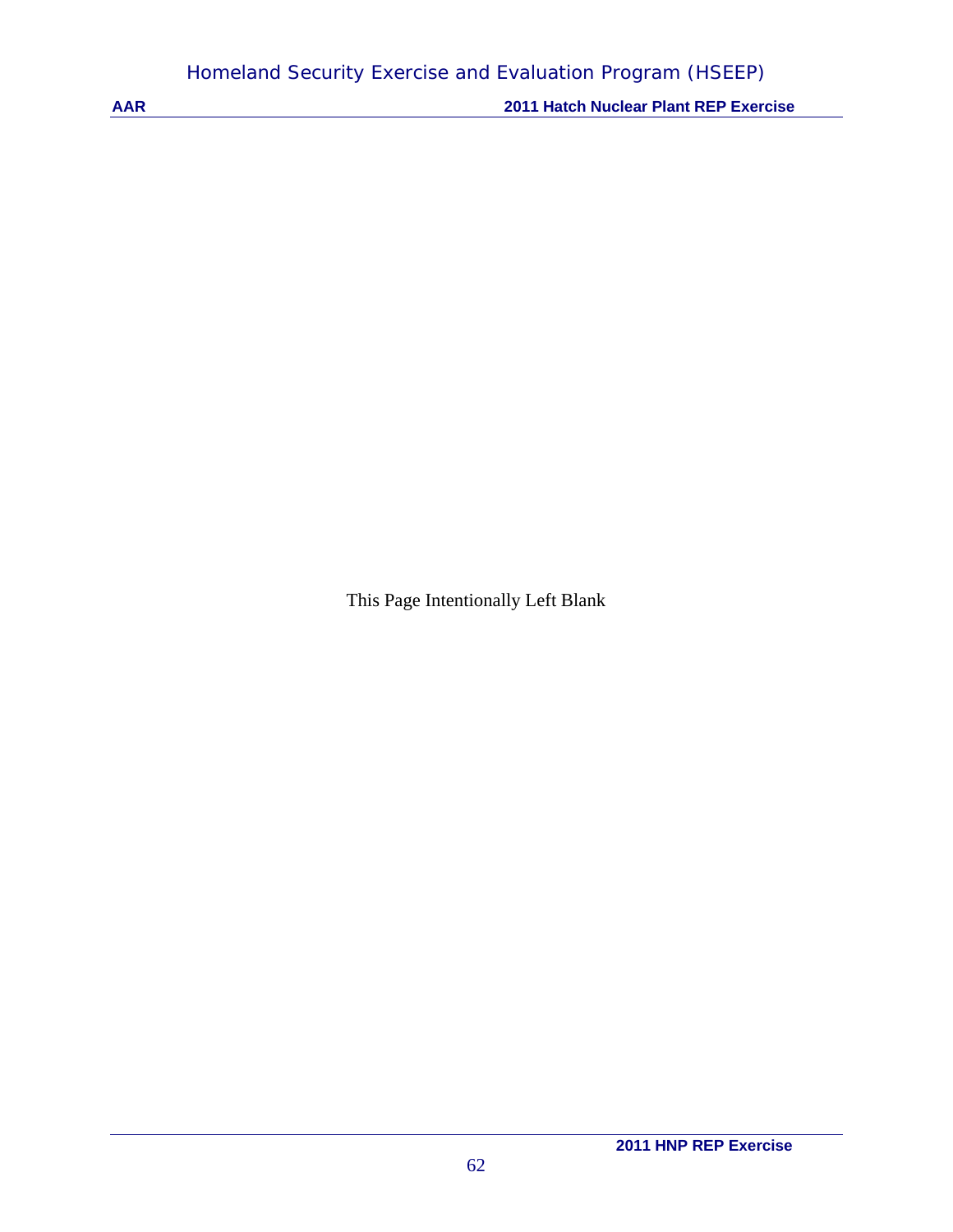This Page Intentionally Left Blank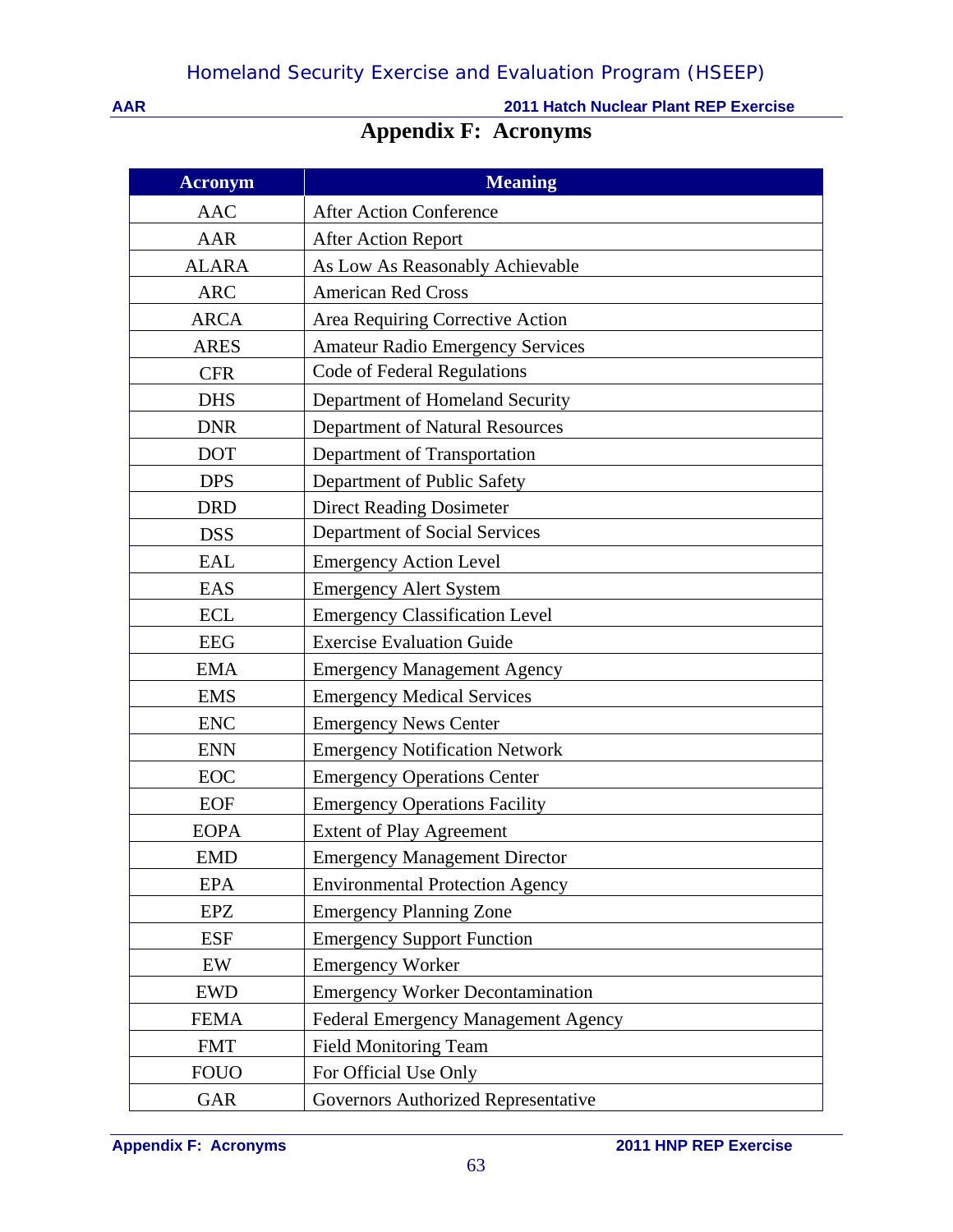# **Appendix F: Acronyms**

| <b>Acronym</b> | <b>Meaning</b>                          |
|----------------|-----------------------------------------|
| <b>AAC</b>     | <b>After Action Conference</b>          |
| <b>AAR</b>     | <b>After Action Report</b>              |
| <b>ALARA</b>   | As Low As Reasonably Achievable         |
| <b>ARC</b>     | <b>American Red Cross</b>               |
| <b>ARCA</b>    | Area Requiring Corrective Action        |
| <b>ARES</b>    | <b>Amateur Radio Emergency Services</b> |
| <b>CFR</b>     | Code of Federal Regulations             |
| <b>DHS</b>     | Department of Homeland Security         |
| <b>DNR</b>     | Department of Natural Resources         |
| <b>DOT</b>     | Department of Transportation            |
| <b>DPS</b>     | Department of Public Safety             |
| <b>DRD</b>     | <b>Direct Reading Dosimeter</b>         |
| <b>DSS</b>     | Department of Social Services           |
| <b>EAL</b>     | <b>Emergency Action Level</b>           |
| EAS            | <b>Emergency Alert System</b>           |
| <b>ECL</b>     | <b>Emergency Classification Level</b>   |
| <b>EEG</b>     | <b>Exercise Evaluation Guide</b>        |
| <b>EMA</b>     | <b>Emergency Management Agency</b>      |
| <b>EMS</b>     | <b>Emergency Medical Services</b>       |
| <b>ENC</b>     | <b>Emergency News Center</b>            |
| <b>ENN</b>     | <b>Emergency Notification Network</b>   |
| <b>EOC</b>     | <b>Emergency Operations Center</b>      |
| <b>EOF</b>     | <b>Emergency Operations Facility</b>    |
| <b>EOPA</b>    | <b>Extent of Play Agreement</b>         |
| <b>EMD</b>     | <b>Emergency Management Director</b>    |
| <b>EPA</b>     | <b>Environmental Protection Agency</b>  |
| <b>EPZ</b>     | <b>Emergency Planning Zone</b>          |
| <b>ESF</b>     | <b>Emergency Support Function</b>       |
| EW             | <b>Emergency Worker</b>                 |
| <b>EWD</b>     | <b>Emergency Worker Decontamination</b> |
| <b>FEMA</b>    | Federal Emergency Management Agency     |
| <b>FMT</b>     | <b>Field Monitoring Team</b>            |
| <b>FOUO</b>    | For Official Use Only                   |
| <b>GAR</b>     | Governors Authorized Representative     |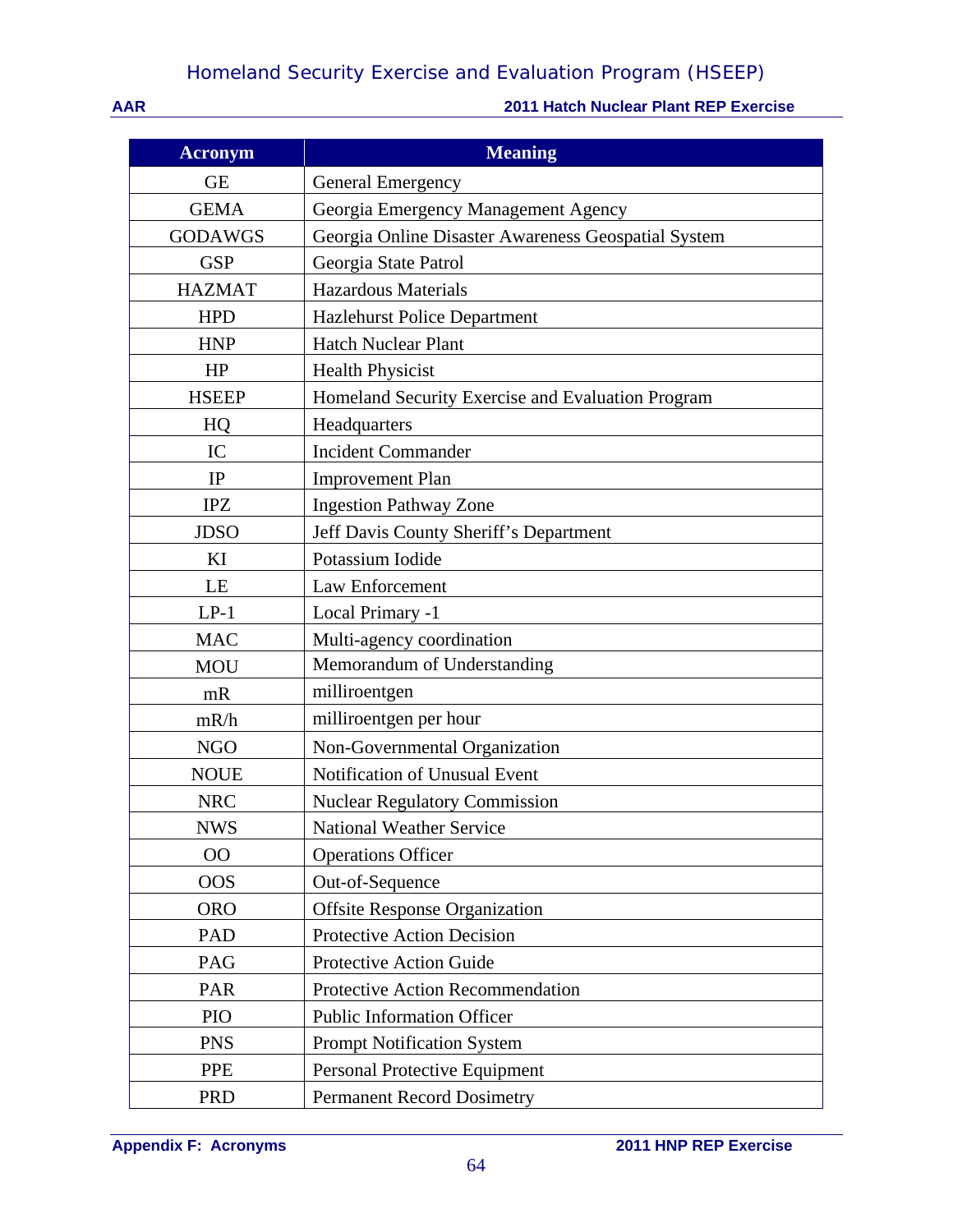### **AAR 2011 Hatch Nuclear Plant REP Exercise**

| <b>Acronym</b> | <b>Meaning</b>                                      |
|----------------|-----------------------------------------------------|
| <b>GE</b>      | <b>General Emergency</b>                            |
| <b>GEMA</b>    | Georgia Emergency Management Agency                 |
| <b>GODAWGS</b> | Georgia Online Disaster Awareness Geospatial System |
| <b>GSP</b>     | Georgia State Patrol                                |
| <b>HAZMAT</b>  | <b>Hazardous Materials</b>                          |
| <b>HPD</b>     | <b>Hazlehurst Police Department</b>                 |
| <b>HNP</b>     | <b>Hatch Nuclear Plant</b>                          |
| HP             | Health Physicist                                    |
| <b>HSEEP</b>   | Homeland Security Exercise and Evaluation Program   |
| HQ             | Headquarters                                        |
| IC             | <b>Incident Commander</b>                           |
| IP             | <b>Improvement Plan</b>                             |
| <b>IPZ</b>     | <b>Ingestion Pathway Zone</b>                       |
| <b>JDSO</b>    | Jeff Davis County Sheriff's Department              |
| KI             | Potassium Iodide                                    |
| LE             | Law Enforcement                                     |
| $LP-1$         | Local Primary -1                                    |
| <b>MAC</b>     | Multi-agency coordination                           |
| <b>MOU</b>     | Memorandum of Understanding                         |
| mR             | milliroentgen                                       |
| mR/h           | milliroentgen per hour                              |
| <b>NGO</b>     | Non-Governmental Organization                       |
| <b>NOUE</b>    | Notification of Unusual Event                       |
| <b>NRC</b>     | <b>Nuclear Regulatory Commission</b>                |
| <b>NWS</b>     | <b>National Weather Service</b>                     |
| 00             | <b>Operations Officer</b>                           |
| <b>OOS</b>     | Out-of-Sequence                                     |
| <b>ORO</b>     | <b>Offsite Response Organization</b>                |
| PAD            | Protective Action Decision                          |
| PAG            | Protective Action Guide                             |
| PAR            | Protective Action Recommendation                    |
| <b>PIO</b>     | <b>Public Information Officer</b>                   |
| <b>PNS</b>     | <b>Prompt Notification System</b>                   |
| <b>PPE</b>     | Personal Protective Equipment                       |
| <b>PRD</b>     | <b>Permanent Record Dosimetry</b>                   |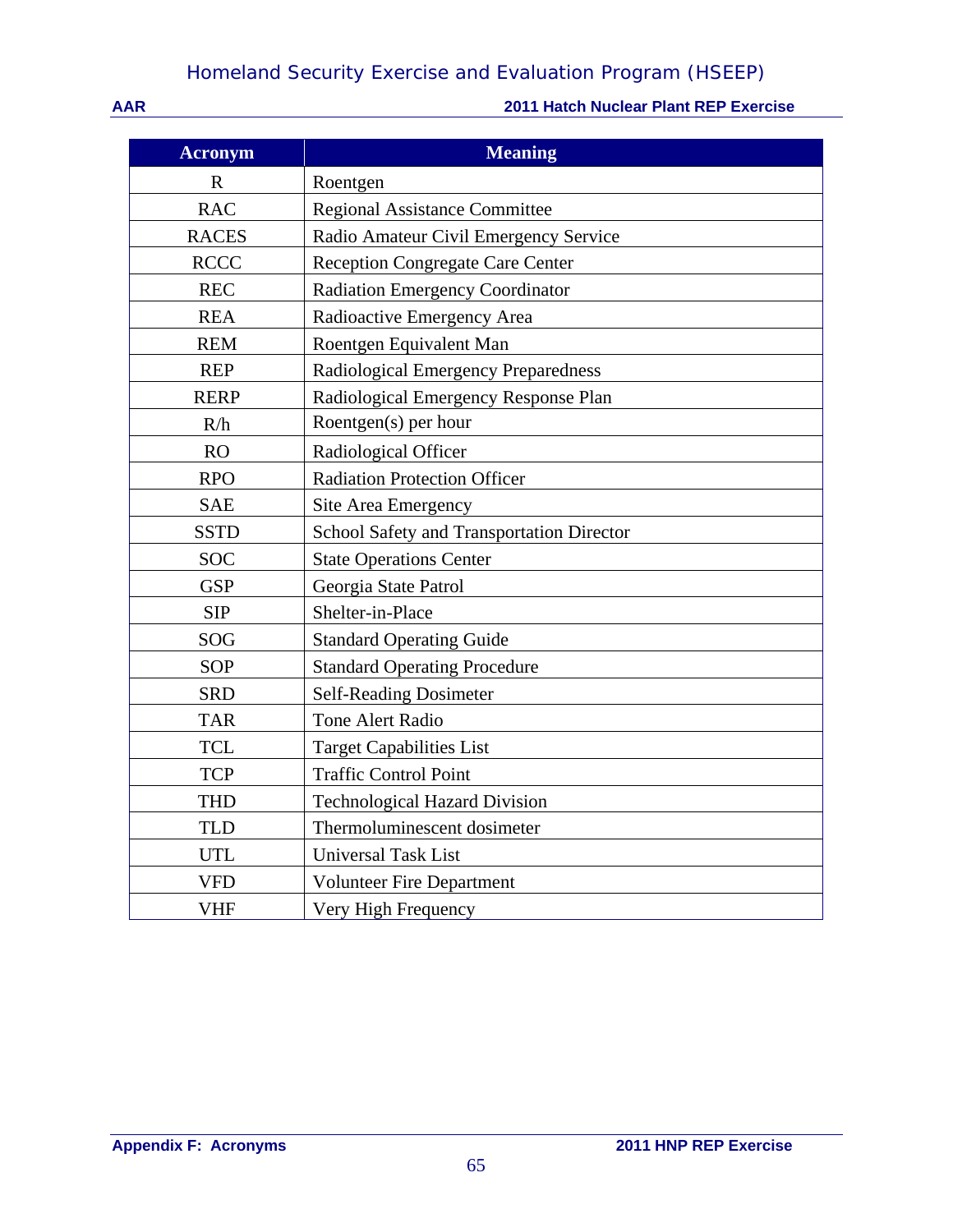### **AAR 2011 Hatch Nuclear Plant REP Exercise**

| <b>Acronym</b> | <b>Meaning</b>                            |
|----------------|-------------------------------------------|
| $\mathbf R$    | Roentgen                                  |
| <b>RAC</b>     | <b>Regional Assistance Committee</b>      |
| <b>RACES</b>   | Radio Amateur Civil Emergency Service     |
| <b>RCCC</b>    | <b>Reception Congregate Care Center</b>   |
| <b>REC</b>     | <b>Radiation Emergency Coordinator</b>    |
| <b>REA</b>     | Radioactive Emergency Area                |
| <b>REM</b>     | Roentgen Equivalent Man                   |
| <b>REP</b>     | Radiological Emergency Preparedness       |
| <b>RERP</b>    | Radiological Emergency Response Plan      |
| R/h            | Roentgen(s) per hour                      |
| RO             | Radiological Officer                      |
| <b>RPO</b>     | <b>Radiation Protection Officer</b>       |
| <b>SAE</b>     | Site Area Emergency                       |
| <b>SSTD</b>    | School Safety and Transportation Director |
| <b>SOC</b>     | <b>State Operations Center</b>            |
| <b>GSP</b>     | Georgia State Patrol                      |
| <b>SIP</b>     | Shelter-in-Place                          |
| SOG            | <b>Standard Operating Guide</b>           |
| <b>SOP</b>     | <b>Standard Operating Procedure</b>       |
| <b>SRD</b>     | <b>Self-Reading Dosimeter</b>             |
| <b>TAR</b>     | <b>Tone Alert Radio</b>                   |
| <b>TCL</b>     | <b>Target Capabilities List</b>           |
| <b>TCP</b>     | <b>Traffic Control Point</b>              |
| <b>THD</b>     | <b>Technological Hazard Division</b>      |
| <b>TLD</b>     | Thermoluminescent dosimeter               |
| <b>UTL</b>     | Universal Task List                       |
| <b>VFD</b>     | <b>Volunteer Fire Department</b>          |
| <b>VHF</b>     | Very High Frequency                       |